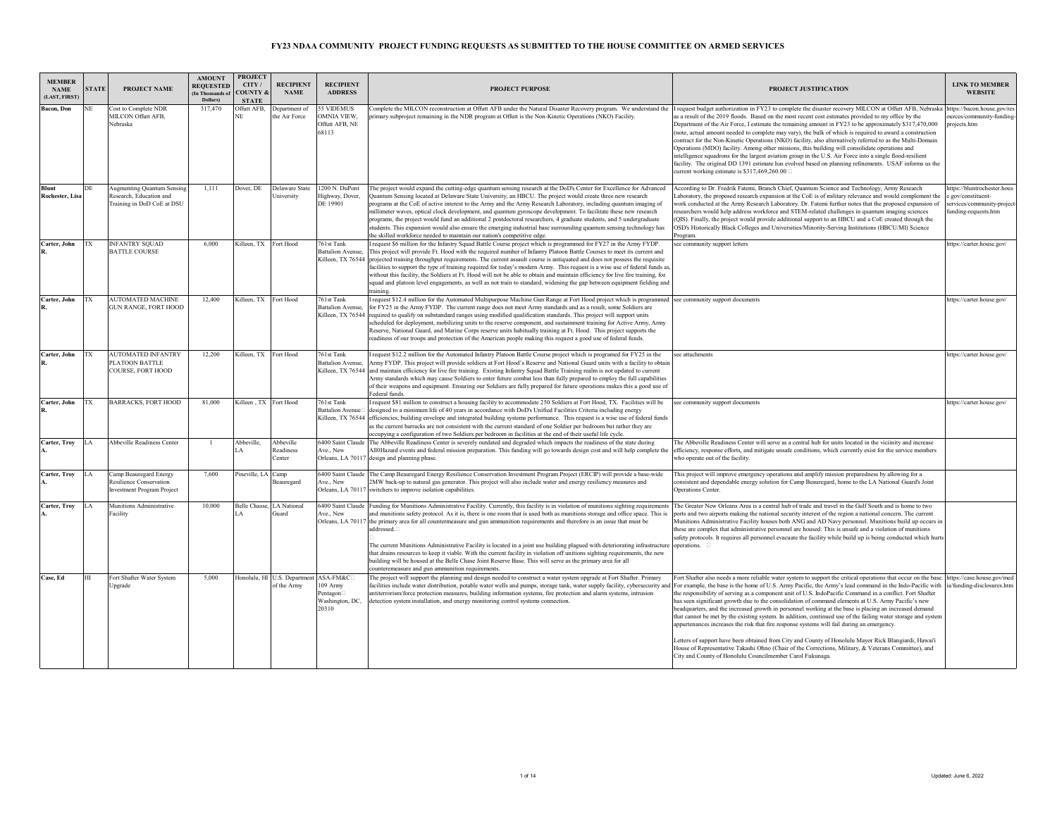| <b>MEMBER</b><br><b>NAME</b><br>(LAST, FIRST) | <b>STATE</b> | PROJECT NAME                                                                               | <b>AMOUNT</b><br><b>REQUESTED</b><br>(In Thousands of<br>Dollars) | <b>PROJECT</b><br>CITY/<br><b>COUNTY &amp;</b><br><b>STATE</b> | <b>RECIPIENT</b><br><b>NAME</b>                      | <b>RECIPIENT</b><br><b>ADDRESS</b>                   | <b>PROJECT PURPOSE</b>                                                                                                                                                                                                                                                                                                                                                                                                                                                                                                                                                                                                                                                                                                                                                                                                                  | PROJECT JUSTIFICATION                                                                                                                                                                                                                                                                                                                                                                                                                                                                                                                                                                                                                                                                                                                                                                                                                                                                                                                                                                                                                                                                                        | <b>LINK TO MEMBER</b><br><b>WEBSITE</b>                                                               |
|-----------------------------------------------|--------------|--------------------------------------------------------------------------------------------|-------------------------------------------------------------------|----------------------------------------------------------------|------------------------------------------------------|------------------------------------------------------|-----------------------------------------------------------------------------------------------------------------------------------------------------------------------------------------------------------------------------------------------------------------------------------------------------------------------------------------------------------------------------------------------------------------------------------------------------------------------------------------------------------------------------------------------------------------------------------------------------------------------------------------------------------------------------------------------------------------------------------------------------------------------------------------------------------------------------------------|--------------------------------------------------------------------------------------------------------------------------------------------------------------------------------------------------------------------------------------------------------------------------------------------------------------------------------------------------------------------------------------------------------------------------------------------------------------------------------------------------------------------------------------------------------------------------------------------------------------------------------------------------------------------------------------------------------------------------------------------------------------------------------------------------------------------------------------------------------------------------------------------------------------------------------------------------------------------------------------------------------------------------------------------------------------------------------------------------------------|-------------------------------------------------------------------------------------------------------|
| <b>Bacon</b> , Don                            | NE           | Cost to Complete NDR<br>MILCON Offutt AFB.<br>Nebraska                                     | 317,470                                                           | Offutt AFB.<br>ΔĒ                                              | Department of<br>the Air Force                       | 55 VIDEMUS<br>OMNIA VIEW.<br>Offutt AFB, NE<br>68113 | omplete the MILCON reconstruction at Offutt AFB under the Natural Disaster Recovery program. We understand the<br>primary subproject remaining in the NDR program at Offutt is the Non-Kinetic Operations (NKO) Facility.                                                                                                                                                                                                                                                                                                                                                                                                                                                                                                                                                                                                               | I request budget authorization in FY23 to complete the disaster recovery MILCON at Offutt AFB. Nebraska<br>as a result of the 2019 floods. Based on the most recent cost estimates provided to my office by the<br>Department of the Air Force, I estimate the remaining amount in FY23 to be approximately \$317,470,000<br>(note, actual amount needed to complete may vary), the bulk of which is required to award a construction<br>contract for the Non-Kinetic Operations (NKO) facility, also alternatively referred to as the Multi-Domain<br>Operations (MDO) facility. Among other missions, this building will consolidate operations and<br>intelligence squadrons for the largest aviation group in the U.S. Air Force into a single flood-resilient<br>facility. The original DD 1391 estimate has evolved based on planning refinements. USAF informs us the<br>current working estimate is \$317,469,260.00 $\Box$                                                                                                                                                                          | https://bacon.house.gov/re<br>purces/community-funding<br>rojects.htm                                 |
| <b>Blunt</b><br>Rochester, Lisa               | DE           | <b>Augmenting Quantum Sensing</b><br>Research, Education and<br>Training in DoD CoE at DSU | 1.111                                                             | Dover, DE                                                      | Delaware State<br>University                         | 1200 N. DuPont<br>Highway, Dover,<br>DE 19901        | The project would expand the cutting-edge quantum sensing research at the DoD's Center for Excellence for Advanced<br>Quantum Sensing located at Delaware State University, an HBCU. The project would create three new research<br>programs at the CoE of active interest to the Army and the Army Research Laboratory, including quantum imaging of<br>millimeter waves, optical clock development, and quantum gyroscope development. To facilitate these new research<br>programs, the project would fund an additional 2 postdoctoral researchers, 4 graduate students, and 5 undergraduate<br>students. This expansion would also ensure the emerging industrial base surrounding quantum sensing technology has<br>the skilled workforce needed to maintain our nation's competitive edge.                                       | According to Dr. Fredrik Fatemi, Branch Chief, Quantum Science and Technology, Army Research<br>Laboratory, the proposed research expansion at the CoE is of military relevance and would complement the<br>work conducted at the Army Research Laboratory. Dr. Fatemi further notes that the proposed expansion of<br>researchers would help address workforce and STEM-related challenges in quantum imaging sciences<br>(QIS). Finally, the project would provide additional support to an HBCU and a CoE created through the<br>OSD's Historically Black Colleges and Universities/Minority-Serving Institutions (HBCU/MI) Science<br>Program.                                                                                                                                                                                                                                                                                                                                                                                                                                                           | ttps://bluntrochester.hou<br>e.gov/constituent-<br>services/community-project<br>funding-requests.htm |
| Carter, John                                  | TX           | <b>INFANTRY SQUAD</b><br><b>BATTLE COURSE</b>                                              | 6,000                                                             | Killeen, TX                                                    | Fort Hood                                            | 761st Tank<br><b>Battalion Avenue.</b>               | request \$6 million for the Infantry Squad Battle Course project which is programmed for FY27 in the Army FYDP.<br>This project will provide Ft. Hood with the required number of Infantry Platoon Battle Courses to meet its current and<br>Killeen, TX 76544 projected training throughput requirements. The current assault course is antiquated and does not possess the requisite<br>facilities to support the type of training required for today's modern Army. This request is a wise use of federal funds as,<br>without this facility, the Soldiers at Ft. Hood will not be able to obtain and maintain efficiency for live fire training, for<br>squad and platoon level engagements, as well as not train to standard, widening the gap between equipment fielding and<br>training.                                         | see community support letters                                                                                                                                                                                                                                                                                                                                                                                                                                                                                                                                                                                                                                                                                                                                                                                                                                                                                                                                                                                                                                                                                | https://carter.house.gov/                                                                             |
| Carter, John                                  | TX           | <b>AUTOMATED MACHINE</b><br><b>GUN RANGE, FORT HOOD</b>                                    | 12,400                                                            | Killeen, TX                                                    | Fort Hood                                            | 761st Tank<br><b>Battalion Avenue,</b>               | request \$12.4 million for the Automated Multipurpose Machine Gun Range at Fort Hood project which is programmed see community support documents<br>for FY25 in the Army FYDP. The current range does not meet Army standards and as a result, some Soldiers are<br>Killeen, TX 76544 required to qualify on substandard ranges using modified qualification standards. This project will support units<br>scheduled for deployment, mobilizing units to the reserve component, and sustainment training for Active Army, Army<br>Reserve, National Guard, and Marine Corps reserve units habitually training at Ft. Hood. This project supports the<br>readiness of our troops and protection of the American people making this request a good use of federal funds.                                                                  |                                                                                                                                                                                                                                                                                                                                                                                                                                                                                                                                                                                                                                                                                                                                                                                                                                                                                                                                                                                                                                                                                                              | https://carter.house.gov/                                                                             |
| Carter, John                                  | <b>TX</b>    | <b>AUTOMATED INFANTRY</b><br>PLATOON BATTLE<br><b>COURSE, FORT HOOD</b>                    | 12,200                                                            | Killeen, TX                                                    | Fort Hood                                            | 761st Tank<br><b>Battalion Avenue,</b>               | request \$12.2 million for the Automated Infantry Platoon Battle Course project which is programed for FY25 in the<br>Army FYDP. This project will provide soldiers at Fort Hood's Reserve and National Guard units with a facility to obtain<br>Killeen, TX 76544 and maintain efficiency for live fire training. Existing Infantry Squad Battle Training realm is not updated to current<br>Army standards which may cause Soldiers to enter future combat less than fully prepared to employ the full capabilities<br>of their weapons and equipment. Ensuring our Soldiers are fully prepared for future operations makes this a good use of<br>Federal funds.                                                                                                                                                                      | see attachments                                                                                                                                                                                                                                                                                                                                                                                                                                                                                                                                                                                                                                                                                                                                                                                                                                                                                                                                                                                                                                                                                              | https://carter.house.gov/                                                                             |
| Carter, John                                  | TX           | <b>BARRACKS, FORT HOOD</b>                                                                 | 81,000                                                            | Killeen TX Fort Hood                                           |                                                      | 761st Tank<br><b>Battalion Avenuel</b>               | request \$81 million to construct a housing facility to accommodate 250 Soldiers at Fort Hood, TX. Facilities will be<br>designed to a minimum life of 40 years in accordance with DoD's Unified Facilities Criteria including energy<br>Killeen. TX 76544 efficiencies, building envelope and integrated building systems performance. This request is a wise use of federal funds<br>as the current barracks are not consistent with the current standard of one Soldier per bedroom but rather they are<br>occupying a configuration of two Soldiers per bedroom in facilities at the end of their useful life cycle.                                                                                                                                                                                                                | see community support documents                                                                                                                                                                                                                                                                                                                                                                                                                                                                                                                                                                                                                                                                                                                                                                                                                                                                                                                                                                                                                                                                              | https://carter.house.gov/                                                                             |
| Carter, Trov                                  | LA           | <b>Abbeville Readiness Center</b>                                                          |                                                                   | Abbeville.                                                     | Abbeville<br><b>Readiness</b><br>Center              | 6400 Saint Claude<br>Ave., New<br>Orleans, LA 7011   | The Abbeville Readiness Center is severely outdated and degraded which impacts the readiness of the state during<br>All0Hazard events and federal mission preparation. This funding will go towards design cost and will help complete the<br>design and planning phase.                                                                                                                                                                                                                                                                                                                                                                                                                                                                                                                                                                | The Abbeville Readiness Center will serve as a central hub for units located in the viciinity and increase<br>efficiency, response efforts, and mitigate unsafe conditions, which currently exist for the service members<br>who operate out of the facility.                                                                                                                                                                                                                                                                                                                                                                                                                                                                                                                                                                                                                                                                                                                                                                                                                                                |                                                                                                       |
| Carter, Troy                                  | LA           | Camp Beauregard Energy<br>Resilience Conservation<br><b>Investment Program Project</b>     | 7.600                                                             | Pineville, LA Camp                                             | <b>Beauregard</b>                                    | 6400 Saint Claude<br>Ave., New<br>Orleans, LA 701    | The Camp Beauregard Energy Resilience Conservation Investment Program Project (ERCIP) will provide a base-wide<br>2MW back-up to natural gas generator. This project will also include water and energy resiliency measures and<br>switchers to improve isolation capabilities.                                                                                                                                                                                                                                                                                                                                                                                                                                                                                                                                                         | This project will improve emergency operations and amplify mission preparedness by allowing for a<br>onsistent and dependable energy solution for Camp Beauregard, home to the LA National Guard's Joint<br>Operations Center.                                                                                                                                                                                                                                                                                                                                                                                                                                                                                                                                                                                                                                                                                                                                                                                                                                                                               |                                                                                                       |
| Carter, Troy                                  | LA           | Munitions Administrative<br>Facility                                                       | 10,000                                                            | Belle Chasse, LA National                                      | Juard                                                | 6400 Saint Claude<br>Ave., New<br>Orleans, LA 7011   | Funding for Munitions Administrative Facility. Currently, this facility is in violation of munitions sighting requirements<br>and munitions safety protocol. As it is, there is one room that is used both as munitions storage and office space. This is<br>the primary area for all countermeasure and gun ammunition requirements and therefore is an issue that must be<br>addressed. <sup>[1]</sup><br>The current Munitions Administrative Facility is located in a joint use building plagued with deteriorating infrastructure<br>that drains resources to keep it viable. With the current facility in violation off unitions sighting requirements, the new<br>building will be housed at the Belle Chase Joint Reserve Base. This will serve as the primary area for all<br>counteremeasure and gun ammunition requirements. | The Greater New Orleans Area is a central hub of trade and travel in the Gulf South and is home to two<br>ports and two airports making the national security interest of the region a national concern. The current<br>Munitions Administrative Facility houses both ANG and AD Navy personnel. Munitions build up occurs in<br>these are complex that administrative personnel are housed. This is unsafe and a violation of munitions<br>safety protocols. It requires all personnel evacuate the facility while build up is being conducted which hurts<br>operations. $\square$                                                                                                                                                                                                                                                                                                                                                                                                                                                                                                                         |                                                                                                       |
| Case, Ed                                      | HT           | Fort Shafter Water System<br>Upgrade                                                       | 5.000                                                             |                                                                | Honolulu, HI U.S. Department ASA-FM&C<br>of the Army | 109 Army<br>Pentagon<br>Washington, DC,<br>20310     | The project will support the planning and design needed to construct a water system upgrade at Fort Shafter. Primary<br>facilities include water distribution, potable water wells and pumps, storage tank, water supply facility, cybersecurity and<br>antiterrorism/force protection measures, building information systems, fire protection and alarm systems, intrusion<br>detection system installation, and energy monitoring control systems connection.                                                                                                                                                                                                                                                                                                                                                                         | Fort Shafter also needs a more reliable water system to support the critical operations that occur on the base. https://case.house.gov/med<br>For example, the base is the home of U.S. Army Pacific, the Army's lead command in the Indo-Pacific with ia/funding-disclosures.htm<br>the responsibility of serving as a component unit of U.S. IndoPacific Command in a conflict. Fort Shafter<br>has seen significant growth due to the consolidation of command elements at U.S. Army Pacific's new<br>headquarters, and the increased growth in personnel working at the base is placing an increased demand<br>that cannot be met by the existing system. In addition, continued use of the failing water storage and system<br>appurtenances increases the risk that fire response systems will fail during an emergency.<br>Letters of support have been obtained from City and County of Honolulu Mayor Rick Blangiardi, Hawai'i<br>House of Representative Takashi Ohno (Chair of the Corrections, Military, & Veterans Committee), and<br>City and County of Honolulu Councilmember Carol Fukunaga. |                                                                                                       |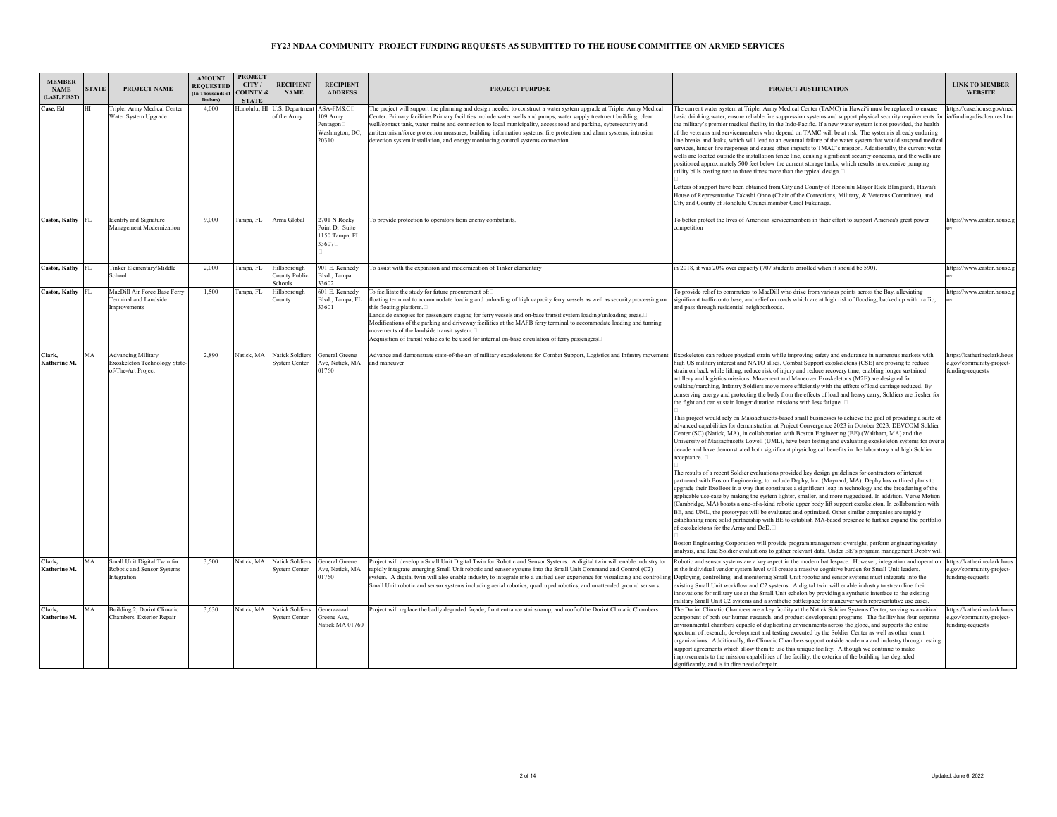| <b>MEMBER</b><br><b>NAME</b><br>(LAST, FIRST) | <b>STATE</b> | PROJECT NAME                                                                     | <b>AMOUNT</b><br><b>REQUESTED</b><br>(In Thousands of<br>Dollars) | <b>PROJECT</b><br>CITY/<br><b>OUNTY &amp;</b><br><b>STATE</b> | <b>RECIPIENT</b><br><b>NAME</b>          | <b>RECIPIENT</b><br><b>ADDRESS</b>                           | <b>PROJECT PURPOSE</b>                                                                                                                                                                                                                                                                                                                                                                                                                                                                                                                                                                             | PROJECT JUSTIFICATION                                                                                                                                                                                                                                                                                                                                                                                                                                                                                                                                                                                                                                                                                                                                                                                                                                                                                                                                                                                                                                                                                                                                                                                                                                                                                                                                                                                                                                                                                                                                                                                                                                                                                                                                                                                                                                                                                                                                                                                                                                                                                                                                                                                                          | <b>LINK TO MEMBER</b><br><b>WEBSITE</b>                                     |
|-----------------------------------------------|--------------|----------------------------------------------------------------------------------|-------------------------------------------------------------------|---------------------------------------------------------------|------------------------------------------|--------------------------------------------------------------|----------------------------------------------------------------------------------------------------------------------------------------------------------------------------------------------------------------------------------------------------------------------------------------------------------------------------------------------------------------------------------------------------------------------------------------------------------------------------------------------------------------------------------------------------------------------------------------------------|--------------------------------------------------------------------------------------------------------------------------------------------------------------------------------------------------------------------------------------------------------------------------------------------------------------------------------------------------------------------------------------------------------------------------------------------------------------------------------------------------------------------------------------------------------------------------------------------------------------------------------------------------------------------------------------------------------------------------------------------------------------------------------------------------------------------------------------------------------------------------------------------------------------------------------------------------------------------------------------------------------------------------------------------------------------------------------------------------------------------------------------------------------------------------------------------------------------------------------------------------------------------------------------------------------------------------------------------------------------------------------------------------------------------------------------------------------------------------------------------------------------------------------------------------------------------------------------------------------------------------------------------------------------------------------------------------------------------------------------------------------------------------------------------------------------------------------------------------------------------------------------------------------------------------------------------------------------------------------------------------------------------------------------------------------------------------------------------------------------------------------------------------------------------------------------------------------------------------------|-----------------------------------------------------------------------------|
| Case, Ed                                      | HТ           | Tripler Army Medical Center<br>Water System Upgrade                              | 4.000                                                             | Honolulu, HI                                                  | U.S. Departmen<br>of the Army            | ASA-FM&C<br>109 Army<br>Pentagon<br>Washington, DC,<br>20310 | The project will support the planning and design needed to construct a water system upgrade at Tripler Army Medical<br>Center. Primary facilities Primary facilities include water wells and pumps, water supply treatment building, clear<br>well/contact tank, water mains and connection to local municipality, access road and parking, cybersecurity and<br>intiterrorism/force protection measures, building information systems, fire protection and alarm systems, intrusion<br>detection system installation, and energy monitoring control systems connection.                           | The current water system at Tripler Army Medical Center (TAMC) in Hawai'i must be replaced to ensure<br>basic drinking water, ensure reliable fire suppression systems and support physical security requirements for ia/funding-disclosures.htm<br>the military's premier medical facility in the Indo-Pacific. If a new water system is not provided, the health<br>of the veterans and servicemembers who depend on TAMC will be at risk. The system is already enduring<br>line breaks and leaks, which will lead to an eventual failure of the water system that would suspend medical<br>services, hinder fire responses and cause other impacts to TMAC's mission. Additionally, the current water<br>wells are located outside the installation fence line, causing significant security concerns, and the wells are<br>positioned approximately 500 feet below the current storage tanks, which results in extensive pumping<br>utility bills costing two to three times more than the typical design. <sup>[1]</sup><br>Letters of support have been obtained from City and County of Honolulu Mayor Rick Blangiardi, Hawai'i<br>House of Representative Takashi Ohno (Chair of the Corrections, Military, & Veterans Committee), and<br>City and County of Honolulu Councilmember Carol Fukunaga.                                                                                                                                                                                                                                                                                                                                                                                                                                                                                                                                                                                                                                                                                                                                                                                                                                                                                                                   | attps://case.house.gov/med                                                  |
| Castor, Kathy FL                              |              | <b>Identity</b> and Signature<br>Management Modernization                        | 9,000                                                             | Tampa, FL                                                     | Arma Global                              | $2701$ N Rocky<br>Point Dr. Suite<br>1150 Tampa, FL<br>33607 | To provide protection to operators from enemy combatants.                                                                                                                                                                                                                                                                                                                                                                                                                                                                                                                                          | To better protect the lives of American servicemembers in their effort to support America's great power<br>competition                                                                                                                                                                                                                                                                                                                                                                                                                                                                                                                                                                                                                                                                                                                                                                                                                                                                                                                                                                                                                                                                                                                                                                                                                                                                                                                                                                                                                                                                                                                                                                                                                                                                                                                                                                                                                                                                                                                                                                                                                                                                                                         | https://www.castor.house.g                                                  |
| Castor, Kathy FL                              |              | Tinker Elementary/Middle<br>School                                               | 2,000                                                             | Tampa, FL                                                     | Hillsborough<br>County Public<br>Schools | 901 E. Kennedy<br>Blvd., Tampa<br>33602                      | To assist with the expansion and modernization of Tinker elementary                                                                                                                                                                                                                                                                                                                                                                                                                                                                                                                                | in 2018, it was 20% over capacity (707 students enrolled when it should be 590).                                                                                                                                                                                                                                                                                                                                                                                                                                                                                                                                                                                                                                                                                                                                                                                                                                                                                                                                                                                                                                                                                                                                                                                                                                                                                                                                                                                                                                                                                                                                                                                                                                                                                                                                                                                                                                                                                                                                                                                                                                                                                                                                               | https://www.castor.house.                                                   |
| Castor, Kathy FL                              |              | MacDill Air Force Base Ferry<br>Terminal and Landside<br>Improvements            | 1.500                                                             | Tampa, FL                                                     | Hillsborough<br>County                   | 601 E. Kennedy<br>Blvd., Tampa, FL<br>33601                  | To facilitate the study for future procurement of:<br>floating terminal to accommodate loading and unloading of high capacity ferry vessels as well as security processing on<br>this floating platform.<br>Landside canopies for passengers staging for ferry vessels and on-base transit system loading/unloading areas.□<br>Modifications of the parking and driveway facilities at the MAFB ferry terminal to accommodate loading and turning<br>movements of the landside transit system.<br>Acquisition of transit vehicles to be used for internal on-base circulation of ferry passengers□ | To provide relief to commuters to MacDill who drive from various points across the Bay, alleviating<br>significant traffic onto base, and relief on roads which are at high risk of flooding, backed up with traffic,<br>and pass through residential neighborhoods.                                                                                                                                                                                                                                                                                                                                                                                                                                                                                                                                                                                                                                                                                                                                                                                                                                                                                                                                                                                                                                                                                                                                                                                                                                                                                                                                                                                                                                                                                                                                                                                                                                                                                                                                                                                                                                                                                                                                                           | ittps://www.castor.house.                                                   |
| Clark.<br>Katherine M.                        | MA           | <b>Advancing Military</b><br>Exoskeleton Technology State-<br>of-The-Art Project | 2,890                                                             | Natick, MA                                                    | Natick Soldiers<br><b>System Center</b>  | General Greene<br>Ave, Natick, MA<br>01760                   | Advance and demonstrate state-of-the-art of military exoskeletons for Combat Support, Logistics and Infantry movement Exoskeleton can reduce physical strain while improving safety and endurance in numerous markets with<br>and maneuver                                                                                                                                                                                                                                                                                                                                                         | high US military interest and NATO allies. Combat Support exoskeletons (CSE) are proving to reduce<br>strain on back while lifting, reduce risk of injury and reduce recovery time, enabling longer sustained<br>artillery and logistics missions. Movement and Maneuver Exoskeletons (M2E) are designed for<br>walking/marching, Infantry Soldiers move more efficiently with the effects of load carriage reduced. By<br>conserving energy and protecting the body from the effects of load and heavy carry, Soldiers are fresher for<br>the fight and can sustain longer duration missions with less fatigue.<br>This project would rely on Massachusetts-based small businesses to achieve the goal of providing a suite of<br>advanced capabilities for demonstration at Project Convergence 2023 in October 2023. DEVCOM Soldier<br>Center (SC) (Natick, MA), in collaboration with Boston Engineering (BE) (Waltham, MA) and the<br>University of Massachusetts Lowell (UML), have been testing and evaluating exoskeleton systems for over a<br>decade and have demonstrated both significant physiological benefits in the laboratory and high Soldier<br>acceptance. $\Box$<br>The results of a recent Soldier evaluations provided key design guidelines for contractors of interest<br>partnered with Boston Engineering, to include Dephy, Inc. (Maynard, MA). Dephy has outlined plans to<br>upgrade their ExoBoot in a way that constitutes a significant leap in technology and the broadening of the<br>applicable use-case by making the system lighter, smaller, and more ruggedized. In addition, Verve Motion<br>(Cambridge, MA) boasts a one-of-a-kind robotic upper body lift support exoskeleton. In collaboration with<br>BE, and UML, the prototypes will be evaluated and optimized. Other similar companies are rapidly<br>establishing more solid partnership with BE to establish MA-based presence to further expand the portfolio<br>of exoskeletons for the Army and DoD.<br>Boston Engineering Corporation will provide program management oversight, perform engineering/safety<br>analysis, and lead Soldier evaluations to gather relevant data. Under BE's program management Dephy will | https://katherineclark.hous<br>e.gov/community-project-<br>funding-requests |
| Clark,<br>Katherine M.                        | MA           | Small Unit Digital Twin for<br>Robotic and Sensor Systems<br>Integration         | 3.500                                                             | Natick, MA                                                    | Natick Soldiers<br>System Center         | General Greene<br>Ave, Natick, MA<br>01760                   | Project will develop a Small Unit Digital Twin for Robotic and Sensor Systems. A digital twin will enable industry to<br>apidly integrate emerging Small Unit robotic and sensor systems into the Small Unit Command and Control (C2)<br>ystem. A digital twin will also enable industry to integrate into a unified user experience for visualizing and controlling<br>Small Unit robotic and sensor systems including aerial robotics, quadruped robotics, and unattended ground sensors.                                                                                                        | Robotic and sensor systems are a key aspect in the modern battlespace. However, integration and operation<br>at the individual vendor system level will create a massive cognitive burden for Small Unit leaders.<br>Deploying, controlling, and monitoring Small Unit robotic and sensor systems must integrate into the<br>existing Small Unit workflow and C2 systems. A digital twin will enable industry to streamline their<br>innovations for military use at the Small Unit echelon by providing a synthetic interface to the existing<br>military Small Unit C2 systems and a synthetic battlespace for maneuver with representative use cases.                                                                                                                                                                                                                                                                                                                                                                                                                                                                                                                                                                                                                                                                                                                                                                                                                                                                                                                                                                                                                                                                                                                                                                                                                                                                                                                                                                                                                                                                                                                                                                       | https://katherineclark.hous<br>.gov/community-project-<br>unding-requests   |
| Clark,<br>Katherine M.                        | MA           | Building 2, Doriot Climatic<br>Chambers, Exterior Repair                         | 3.630                                                             | Natick, MA                                                    | Natick Soldiers<br>System Center         | Generaaaaal<br>Greene Ave,<br>Natick MA 01760                | Project will replace the badly degraded façade, front entrance stairs/ramp, and roof of the Doriot Climatic Chambers                                                                                                                                                                                                                                                                                                                                                                                                                                                                               | The Doriot Climatic Chambers are a key facility at the Natick Soldier Systems Center, serving as a critical<br>component of both our human research, and product development programs. The facility has four separate<br>environmental chambers capable of duplicating environments across the globe, and supports the entire<br>spectrum of research, development and testing executed by the Soldier Center as well as other tenant<br>organizations. Additionally, the Climatic Chambers support outside academia and industry through testing<br>support agreements which allow them to use this unique facility. Although we continue to make<br>improvements to the mission capabilities of the facility, the exterior of the building has degraded<br>significantly, and is in dire need of repair.                                                                                                                                                                                                                                                                                                                                                                                                                                                                                                                                                                                                                                                                                                                                                                                                                                                                                                                                                                                                                                                                                                                                                                                                                                                                                                                                                                                                                     | https://katherineclark.hous<br>e.gov/community-project-<br>funding-requests |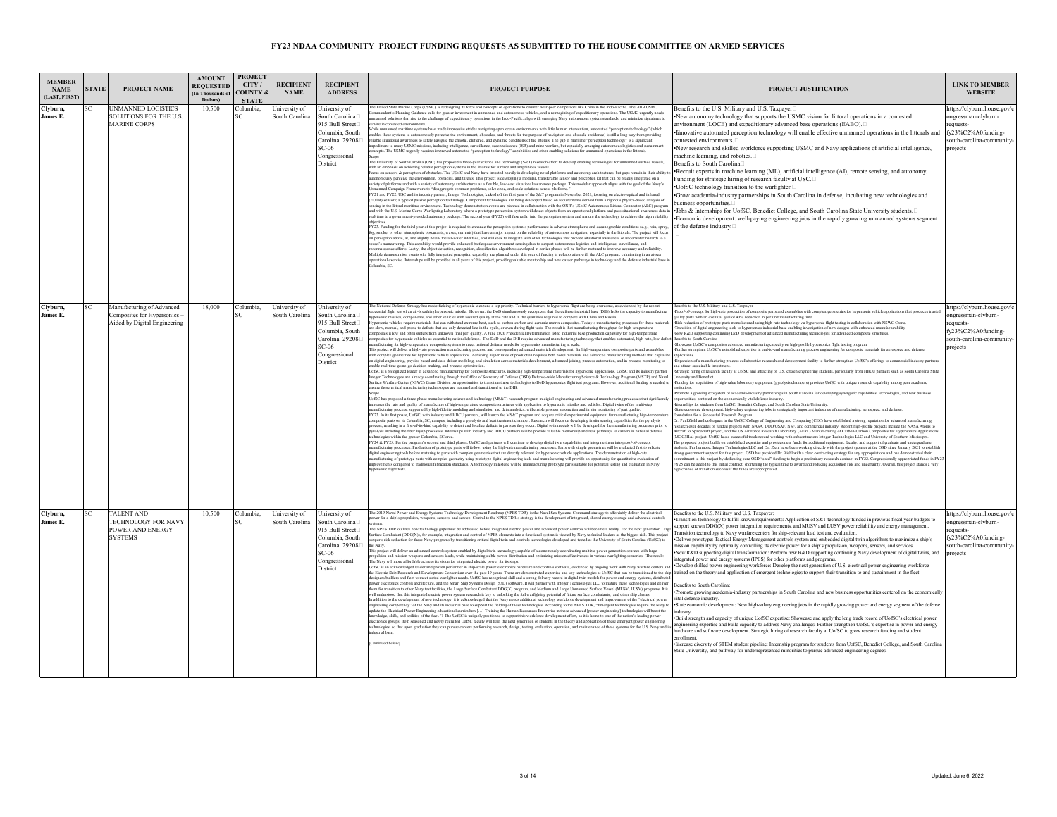| <b>MEMBER</b><br><b>NAME</b><br>(LAST, FIRST) | <b>STATE</b> | <b>PROJECT NAME</b>                                                                       | <b>AMOUNT</b><br><b>REQUESTED</b><br>(In Thousands of<br>Dollars) | <b>PROJECT</b><br>CITY/<br><b>COUNTY &amp;</b><br><b>STATE</b> | <b>RECIPIENT</b><br><b>NAME</b> | <b>RECIPIENT</b><br><b>ADDRESS</b>                                                                                                       | <b>PROJECT PURPOSE</b>                                                                                                                                                                                                                                                                                                                                                                                                                                                                                                                                                                                                                                                                                                                                                                                                                                                                                                                                                                                                                                                                                                                                                                                                                                                                                                                                                                                                                                                                                                                                                                                                                                                                                                                                                                                                                                                                                                                                                                                                                                                                                                                                                                                                                                                                                                                                                                                                                                                                                                                                                                                                                                                                                                                                                                                                                                                                                                                                                                                                                                                                                                                                                                                                                                                                                                                                                                                                                                                                                                                                                                                                                                                                                                                                                                                                                                                                                                                                                                                                                                                                                                                                                                                                                                                                                                                                                                                                                                                                                                                                                                                                                                                                                                                                                                                                                                                                                                                                                  | PROJECT JUSTIFICATION                                                                                                                                                                                                                                                                                                                                                                                                                                                                                                                                                                                                                                                                                                                                                                                                                                                                                                                                                                                                                                                                                                                                                                                                                                                                                                                                                                                                                                                                                                                                                                                                                                                                                                                                                                                                                                                                                                                                                                                                                                                                                                                                                                                                                                                                                                                                                                                                                                                                                                                                                                                                                                                                                                                                                                                                                                                                                                                                                                                                                                                                                                                                                                                                                                                                                                                                                                                             | <b>LINK TO MEMBER</b><br><b>WEBSITE</b>                                                                                        |
|-----------------------------------------------|--------------|-------------------------------------------------------------------------------------------|-------------------------------------------------------------------|----------------------------------------------------------------|---------------------------------|------------------------------------------------------------------------------------------------------------------------------------------|-------------------------------------------------------------------------------------------------------------------------------------------------------------------------------------------------------------------------------------------------------------------------------------------------------------------------------------------------------------------------------------------------------------------------------------------------------------------------------------------------------------------------------------------------------------------------------------------------------------------------------------------------------------------------------------------------------------------------------------------------------------------------------------------------------------------------------------------------------------------------------------------------------------------------------------------------------------------------------------------------------------------------------------------------------------------------------------------------------------------------------------------------------------------------------------------------------------------------------------------------------------------------------------------------------------------------------------------------------------------------------------------------------------------------------------------------------------------------------------------------------------------------------------------------------------------------------------------------------------------------------------------------------------------------------------------------------------------------------------------------------------------------------------------------------------------------------------------------------------------------------------------------------------------------------------------------------------------------------------------------------------------------------------------------------------------------------------------------------------------------------------------------------------------------------------------------------------------------------------------------------------------------------------------------------------------------------------------------------------------------------------------------------------------------------------------------------------------------------------------------------------------------------------------------------------------------------------------------------------------------------------------------------------------------------------------------------------------------------------------------------------------------------------------------------------------------------------------------------------------------------------------------------------------------------------------------------------------------------------------------------------------------------------------------------------------------------------------------------------------------------------------------------------------------------------------------------------------------------------------------------------------------------------------------------------------------------------------------------------------------------------------------------------------------------------------------------------------------------------------------------------------------------------------------------------------------------------------------------------------------------------------------------------------------------------------------------------------------------------------------------------------------------------------------------------------------------------------------------------------------------------------------------------------------------------------------------------------------------------------------------------------------------------------------------------------------------------------------------------------------------------------------------------------------------------------------------------------------------------------------------------------------------------------------------------------------------------------------------------------------------------------------------------------------------------------------------------------------------------------------------------------------------------------------------------------------------------------------------------------------------------------------------------------------------------------------------------------------------------------------------------------------------------------------------------------------------------------------------------------------------------------------------------------------------------------------------------------------|-------------------------------------------------------------------------------------------------------------------------------------------------------------------------------------------------------------------------------------------------------------------------------------------------------------------------------------------------------------------------------------------------------------------------------------------------------------------------------------------------------------------------------------------------------------------------------------------------------------------------------------------------------------------------------------------------------------------------------------------------------------------------------------------------------------------------------------------------------------------------------------------------------------------------------------------------------------------------------------------------------------------------------------------------------------------------------------------------------------------------------------------------------------------------------------------------------------------------------------------------------------------------------------------------------------------------------------------------------------------------------------------------------------------------------------------------------------------------------------------------------------------------------------------------------------------------------------------------------------------------------------------------------------------------------------------------------------------------------------------------------------------------------------------------------------------------------------------------------------------------------------------------------------------------------------------------------------------------------------------------------------------------------------------------------------------------------------------------------------------------------------------------------------------------------------------------------------------------------------------------------------------------------------------------------------------------------------------------------------------------------------------------------------------------------------------------------------------------------------------------------------------------------------------------------------------------------------------------------------------------------------------------------------------------------------------------------------------------------------------------------------------------------------------------------------------------------------------------------------------------------------------------------------------------------------------------------------------------------------------------------------------------------------------------------------------------------------------------------------------------------------------------------------------------------------------------------------------------------------------------------------------------------------------------------------------------------------------------------------------------------------------------------------------|--------------------------------------------------------------------------------------------------------------------------------|
| Clyburn,<br>James E.                          | šС           | <b>JNMANNED LOGISTICS</b><br>SOLUTIONS FOR THE U.S.<br><b>MARINE CORPS</b>                | 10,500                                                            | <b>Columbia</b><br>š۵                                          | Jniversity of<br>South Carolina | Jniversity of<br>South Carolina<br>915 Bull Street<br>Columbia, South<br>Carolina, 292081<br>$SC-06$<br>Congressional<br>District        | he United State Marine Corps (USMC) is redesigning its force and concepts of operations to counter near-peer competitors like China in the Indo-Pacific. The 2019 USMC<br>imandant's Planning Guidance calls for greater investment in unmanned and autonomous vehicles, and a reimagining of expeditionary operations. The USMC urgently needs<br>anned solutions that rise to the challenge of expeditionary operations in the Indo-Pacific, align with emerging Navy autonomous system standards, and minimize<br>urvive in contested environ<br>While unmanned maritime systems have made impressive strides navigating open ocean environments with little human intervention, automated "perception technology" (which<br>ables these systems to autonomously perceive the environment, obstacles, and threats for the purpose of navigation and obstacle avoidance) is still a long way from providing<br>reliable situational awareness to safely navigate the chaotic, cluttered, and dynamic conditions of the littorals. The gap in maritime "perception technology" is a significant<br>pediment to many USMC missions, including intelligence, surveillance, recomnaissance (ISR) and mine warfare, but especially emerging autonomous logistics and sustain<br>cepts. The USMC urgently requires improved automated "perception technology" capabilities and other enabling solutions for unmanned operations in the littorals.<br>The University of South Carolina (USC) has proposed a three-year science and technology (S&T) research effort to develop enabling technologies for unmanned surface vessels.<br>with an emphasis on achieving reliable perception systems in the littorals for surface and amphibious vessels.<br>Focus on sensors & perception of obstacles. The USMC and Navy have invested heavily in developing novel platforms and autonomy architectures, but gaps remain in their ability<br>autonomously perceive the environment, obstacles, and threats. This project is developing a modular, transferable sensor and perception kit that can be readily integrated on a<br>variety of platforms and with a variety of aut<br>nanned Campaign Framework to "disaggregate common problems, solve once, and scale solutions across platforms."<br>FY21 and FY22. USC and its industry partner, Integer Technologies, kicked off the first year of the S&T program in November 2021, focusing on electro-optical and infrared<br>(EO/IR) sensors; a type of passive perception technology. Component technologies are being developed based on requirements derived from a rigorous physics-based analysis of<br>msing in the littoral maritime environment. Technology demonstration events are planned in collaboration with the ONR's USMC Autonomous Littoral Connector (ALC) program<br>and with the U.S. Marine Corps Warfighting Laboratory where a prototype perception system will detect objects from an operational platform and pass situational awareness data in<br>eal-time to a government-provided autonomy package. The second year (FY22) will fuse radar into the perception system and mature the technology to achieve the high reliability<br>FY23. Funding for the third year of this project is required to enhance the perception system's performance in adverse atmospheric and oceanographic conditions (e.g., rain, spray<br>fog, smoke, or other atmospheric obscurants, waves, currents) that have a major impact on the reliability of autonomous navigation, especially in the littorals. The project will focus<br>on perception above, at, and slightly below the air-water interface, and will seek to integrate with other technologies that provide situational awareness of underwater hazards to a<br>ssel's maneuvering. This capability would provide enhanced battlespace environment sensing data to support autonomous logistics and intelligence, surveillance, and<br>onnaissance efforts. Lastly, the object detection, recognition, classification algorithms developed in earlier phases will be further matured to improve accuracy and reliability<br>Multiple demonstration events of a fully integrated perception capability are planned under this year of funding in collaboration with the ALC program, culminating in an at-sea<br>rational exercise. Internships will be provided in all years of this project, providing valuable mentorship and new career pathways in technology and the defense industrial base<br>'olumbia SC                                                                                                                                                                                                                                                                                                                                                                                                                                | Benefits to the U.S. Military and U.S. Taxpayer<br>New autonomy technology that supports the USMC vision for littoral operations in a contested<br>environment (LOCE) and expeditionary advanced base operations (EABO).<br>Innovative automated perception technology will enable effective unmanned operations in the littorals and<br>contested environments.<br>New research and skilled workforce supporting USMC and Navy applications of artificial intelligence,<br>nachine learning, and robotics.□<br>Benefits to South Carolina<br>·Recruit experts in machine learning (ML), artificial intelligence (AI), remote sensing, and autonomy.<br>Funding for strategic hiring of research faculty at USC.<br>UofSC technology transition to the warfighter.<br>Grow academia-industry partnerships in South Carolina in defense, incubating new technologies and<br>susiness opportunities.<br>·Jobs & Internships for UofSC, Benedict College, and South Carolina State University students.<br>*Economic development: well-paying engineering jobs in the rapidly growing unmanned systems segment<br>of the defense industry.                                                                                                                                                                                                                                                                                                                                                                                                                                                                                                                                                                                                                                                                                                                                                                                                                                                                                                                                                                                                                                                                                                                                                                                                                                                                                                                                                                                                                                                                                                                                                                                                                                                                                                                                                                                                                                                                                                                                                                                                                                                                                                                                                                                                                                                                           | attps://clyburn.house.gov/c<br>ongressman-clyburn-<br>equests-<br>fy23%C2%A0funding-<br>south-carolina-community-<br>projects  |
| Clyburn.<br>James E.                          | SC           | Manufacturing of Advanced<br>Composites for Hypersonics -<br>Aided by Digital Engineering | 18,000                                                            | Columbia.<br>SC                                                | University of<br>South Carolina | University of<br>South Carolina<br>915 Bull Street<br>Columbia, South<br>Carolina. 292081<br>$SC-06$<br>Congressional<br><b>District</b> | The National Defense Strategy has made fielding of hypersonic weapons a top priority. Technical barriers to hypersonic flight are being overcome, as evidenced by the recent<br>cessful flight test of an air-breathing hypersonic missile. However, the DoD simultaneously recognizes that the defense industrial base (DIB) lacks the capacity to manufactur<br>ersonic missiles, components, and other vehicles with assured quality at the rate and in the quantities required to compete with China and Russia<br>ersonic vehicles require materials that can withstand extreme heat, such as carbon-carbon and ceramic matrix composites. Today's manufacturing processes for these material<br>e slow, manual, and prone to defects that are only detected late in the cycle, or even during flight tests. The result is that manufacturing throughput for high-temperature<br>mposites is low and often suffers from unknown final part quality. A June 2020 Presidential Determination listed industrial base production capability for high-temperatur<br>mposites for hypersonic vehicles as essential to national defense. The DoD and the DIB require advanced manufacturing technology that enables automated, high-rate, low-defe<br>nufacturing for high-temperature composite systems to meet national defense needs for hypersonics manufacturing at scale.<br>This project will deliver a high-rate production manufacturing process, and corresponding advanced materials development, for high-temperature composite parts and assemblies<br>with complex geometries for hypersonic vehicle applications. Achieving higher rates of production requires both novel materials and advanced manufacturing methods that capitalize<br>n digital engineering, physics-based and data-driven modeling, and simulation across materials development, advanced joining, process automation, and in-process monitoring to<br>nable real-time go/no-go decision-making, and process optimization<br>UofSC is a recognized leader in advanced manufacturing for composite structures, including high-temperature materials for hypersonic applications. UofSC and its industry partner<br>nteger Technologies are already coordinating through the Office of Secretary of Defense (OSD) Defense-wide Manufacturing Science & Technology Program (MSTP) and Naval<br>Surface Warfare Center (NSWC) Crane Division on opportunities to transition these technologies to DoD hypersonics flight test programs. However, additional funding is needed to Punding for acquisition of high-value laborat<br>sure these critical manufacturing technologies are matured and transitioned to the DIB.<br>UofSC has proposed a three-phase manufacturing science and technology (MS&T) research program in digital engineering and advanced manufacturing processes that significantl<br>creases the rate and quality of manufacture of high-temperature composite structures with application to hypersonic missiles and vehicles. Digital twins of the multi-step<br>urfacturing process, supported by high-fidelity modeling and simulation and data analytics, will enable process automation and in situ monitoring of part quality<br>FY23. In its first phase, UofSC, with industry and HBCU partners, will launch the MS&T program and acquire critical experimental equipment for manufacturing high-tempera<br>mposite parts on its Columbia, SC, campus, including a pyrolysis and heat treatment chamber. Research will focus on developing in situ sensing capabilities for the pyrolysis<br>ocess, resulting in a first-of-its-kind capability to detect and localize defects in parts as they occur. Digital twin models will be developed for the manufacturing processes prior to<br>pyrolysis including the fiber layup processes. Internships with industry and HBCU partners will be provide valuable mentorship and new pathways to careers in national defense<br>hnologies within the greater Columbia, SC area.<br>FY24 & FY25. For the program's second and third phases, UofSC and partners will continue to develop digital twin capabilities and integrate them into proof-of-concept<br>nufacturing processes. Production of prototype parts will follow, using the high-rate manufacturing processes. Parts with simple geometries will be evaluated first to validate<br>digital engineering tools before maturing to parts with complex geometries that are directly relevant for hypersonic vehicle applications. The demonstration of high-rate<br>nufacturing of prototype parts with complex geometry using prototype digital engineering tools and manufacturing will provide an opportunity for quantitative evaluation of<br>vements compared to traditional fabrication standards. A technology milestone will be manufacturing prototype parts suitable for potential testing and evaluation in Navy<br>ersonic flight tests | enefits to the U.S. Military and U.S. Taxpayer<br>Proof-of-concept for high-rate production of composite parts and assemblies with complex geometries for hypersonic vehicle applications that produces trusted<br>sality parts with an eventual goal of 40% reduction in per unit manufacturing time.<br>-Risk reduction of prototype parts manufactured using high-rate technology via hypersonic flight testing in collaboration with NSWC Crane.<br>Transition of digital engineering tools to hypersonics industrial base enabling investigation of new designs with enhanced manufacturability.<br>New R&D supporting continuing DoD development of advanced manufacturing technologies for advanced composite structures.<br>enefits to South Carolina<br>Showcase UofSC's composites advanced manufacturing capacity on high-profile hypersonics flight testing program<br>Further strengthen UofSC's established expertise in end-to-end manufacturing process engineering for composite materials for aerospace and defense<br>applications<br>Expansion of a manufacturing process collaborative research and development facility to further strengthen UofSC's offerings to commercial industry partner.<br>nd attract sustainable investmen<br>Strategic hiring of research faculty at UofSC and attracting of U.S. citizen engineering students, particularly from HBCU partners such as South Carolina State<br>iversity and Benedict<br>omote a growing ecosystem of academia-industry partnerships in South Carolina for developing synergistic capabilities, technologies, and new business<br>pportunities, centered on the economically vital defense industry<br>ternships for students from UofSC, Benedict College, and South Carolina State University.<br>State economic development: high-salary engineering jobs in strategically important industries of manufacturing, aerospace, and defens<br>oundation for a Successful Research Program<br>Dr. Paul Ziehl and colleagues in the UofSC College of Engineering and Computing (CEC) have established a strong reputation for advanced manufacturing<br>rch over decades of funded projects with NASA, DOD/USAF, NSF, and commercial industry. Recent high-profile projects include the NASA Atoms to<br>Aircraft to Spacecraft project, and the US Air Force Research Laboratory (AFRL) Manufacturing of Carbon-Carbon Composites for Hypersonics Applications<br>(MOC3HA) project. UofSC has a successful track record working with subc<br>he proposed project builds on established expertise and provides new funds for additional equipment, faculty, and support of graduate and undergrad<br>udents. Furthermore, Integer Technologies LLC and Dr. Ziehl have been working directly with the project sponsor at the OSD since January 2021 to establish<br>ong government support for this project. OSD has provided Dr. Ziehl with a clear contracting strategy for any appropriations and has demonstrated their<br>mitment to this project by dedicating core OSD "seed" funding to begin a preliminary research contract in FY22. Congressionally appropriated funds in FY23-<br>FY25 can be added to this initial contract, shortening the typical time to award and reducing acquisition risk and uncertainty. Overall, this project stands a very<br>izh chance of transition success if the funds are appropriated. | https://clyburn.house.gov/c<br>ongressman-clyburn-<br>requests-<br>fy23%C2%A0funding-<br>south-carolina-community-<br>projects |
| Clyburn.<br>James E.                          | SC           | TALENT AND<br>TECHNOLOGY FOR NAVY<br>POWER AND ENERGY<br>SYSTEMS                          | 10.500                                                            | Columbia.                                                      | University of<br>South Carolina | University of<br>South Carolina<br>915 Bull Street<br>Columbia, South<br>Carolina. 292081<br>$SC-06$<br>Congressional<br><b>District</b> | The 2019 Naval Power and Energy Systems Technology Development Roadmap (NPES TDR) is the Naval Sea Systems Command strategy to affordably deliver the electrical<br>ver for a ship's propulsion, weapons, sensors, and service. Central to the NPES TDR's strategy is the development of integrated, shared energy storage and advanced controls<br>The NPES TDR outlines how technology gaps must be addressed before integrated electric power and advanced power controls will become a reality. For the next generation Larg<br>urface Combatant (DDG(X)), for example, integration and control of NPES elements into a functional system is viewed by Navy technical leaders as the biggest risk. This project<br>upports risk reduction for these Navy programs<br>his project will deliver an advanced controls system enabled by digital twin technology; capable of autonomously coordinating multiple power generation sources with large<br>opulsion and mission weapons and sensors loads, while maintaining stable power distribution and optimizing mission effectiveness in various warfighting scenarios. The result<br>The Navy will more affordably achieve its vision for integrated electric power for its ships.<br>lofSC is an acknowledged leader and proven performer in ship-scale power electronics hardware and controls software, evidenced by ongoing work with Navy warfare center<br>the Electric Ship Research and Development Consortium over the past 19 years. There are demonstrated expertise and key technologies at UofSC that can be transifioned to the ship trained on the theory and application of eme<br>signers/builders and fleet to meet stated warfighter needs. UofSC has recognized skill and a strong delivery record in digital twin models for power and energy systems, distribu<br>ver electronics controls architecture, and the Smart Ship Systems Design (S3D) software. It will partner with Integer Technologies LLC to mature these technologies<br>them for transition to other Navy test facilities, the Large Surface Combatant DDG(X) program, and Medium and Large Unmanned Surface Vessel (MUSV, LUSV) programs. It is well understood that this integrated electric power s<br>a addition to the development of new technology, it is acknowledged that the Navy needs additional technology workforce development and improvement of the "electrical power<br>ngineering competency" of the Navy and its industrial base to support the fielding of these technologies. According to the NPES TDR, "Emergent technologies require the Navy to<br>odate the Electrical Power Engineering educational curriculum [] Training the Human Resources Enterprise in these advanced foower engineering] technologies will boost the<br>nowledge, skills, and abilities of the fleet."1 The UofSC is uniquely positioned to support this workforce development effort, as it is home to one of the nation's leading power<br>lectronics groups. Both seasoned and newly recruited UofSC faculty will train the next generation of students in the theory and application of these emergent power engineering<br>echnologies, so that upon graduation they can pursue careers performing research, design, testing, evaluation, operation, and maintenance of these systems for the U.S. Navy and<br>ontinued below]                                                                                                                                                                                                                                                                                                                                                                                                                                                                                                                                                                                                                                                                                                                                                                                                                                                                                                                                                                                                                                                                                                                                                                                                                                                                                                                                                                                                                                                                                                                                                                                        | Benefits to the U.S. Military and U.S. Taxpayer:<br>Transition technology to fulfill known requirements: Application of S&T technology funded in previous fiscal year budgets to<br>support known DDG(X) power integration requirements, and MUSV and LUSV power reliability and energy management<br>ransition technology to Navy warfare centers for ship-relevant load test and evaluation<br>Deliver prototype: Tactical Energy Management controls system and embedded digital twin algorithms to maximize a ship's<br>ssion capability by optimally controlling its electric power for a ship's propulsion, weapons, sensors, and services.<br>New R&D supporting digital transformation: Perform new R&D supporting continuing Navy development of digital twins, and<br>tegrated power and energy systems (IPES) for other platforms and programs<br>Develop skilled power engineering workforce: Develop the next generation of U.S. electrical power engineering workforce<br><b>Benefits to South Carolina</b><br>Promote growing academia-industry partnerships in South Carolina and new business opportunities centered on the economically<br>vital defense industry<br>*State economic development: New high-salary engineering jobs in the rapidly growing power and energy segment of the defense<br>Build strength and capacity of unique UofSC expertise: Showcase and apply the long track record of UofSC's electrical power<br>engineering expertise and build capacity to address Navy challenges. Further strengthen UofSC's expertise in power and energy<br>hardware and software development. Strategic hiring of research faculty at UofSC to grow research funding and student<br>enrollment<br>·Increase diversity of STEM student pipeline: Internship program for students from UofSC, Benedict College, and South Carolina<br>State University, and pathway for underrepresented minorities to pursue advanced engineering degrees.                                                                                                                                                                                                                                                                                                                                                                                                                                                                                                                                                                                                                                                                                                                                                                                                                                                                                                                                                                                                                                                                                                                                                                                                                                                                                                                                                                                                                                             | attps://clyburn.house.gov/c<br>ongressman-clyburn-<br>requests-<br>fy23%C2%A0funding-<br>south-carolina-community-<br>projects |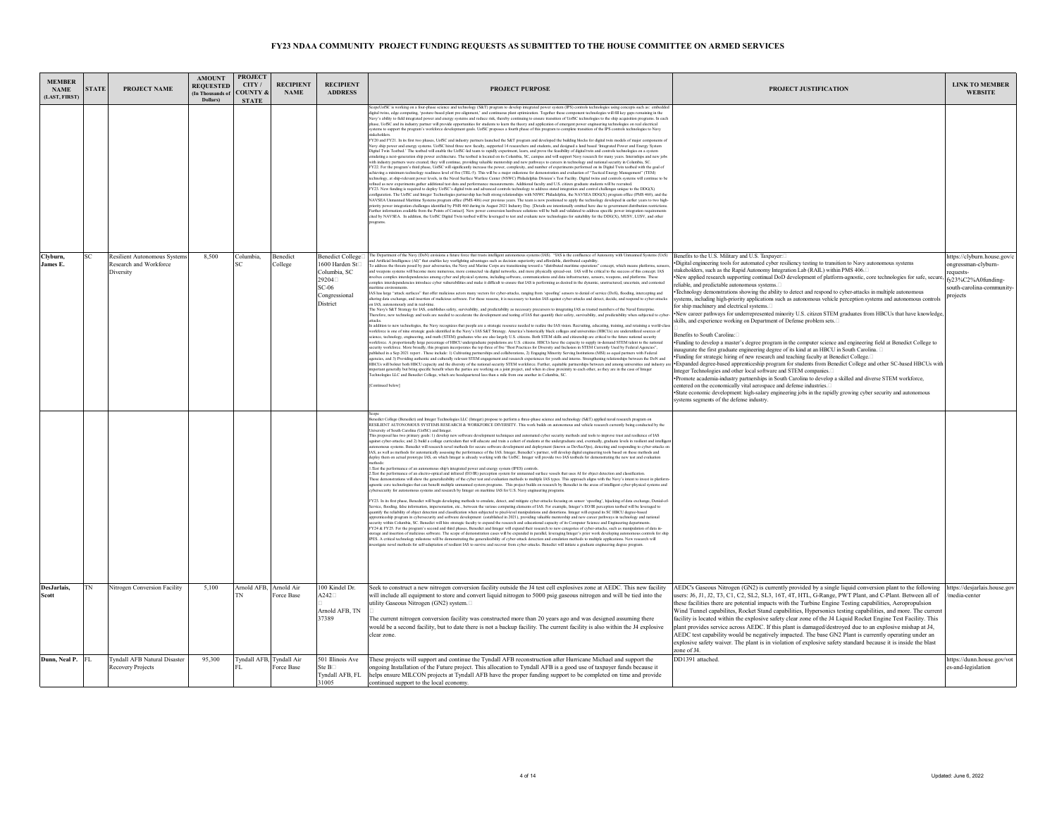| <b>MEMBER</b><br><b>NAME</b><br>(LAST, FIRST) | <b>STATE</b> | PROJECT NAME                                                       | <b>AMOUNT</b><br><b>REQUESTED</b><br>(In Thousands of<br>Dollars) | <b>PROJECT</b><br>CITY/<br><b>COUNTY &amp;</b><br><b>STATE</b> | <b>RECIPIENT</b><br><b>NAME</b> | <b>RECIPIENT</b><br><b>ADDRESS</b>                                                                               | <b>PROJECT PURPOSE</b>                                                                                                                                                                                                                                                                                                                                                                                                                                                                                                                                                                                                                                                                                                                                                                                                                                                                                                                                                                                                                                                                                                                                                                                                                                                                                                                                                                                                                                                                                                                                                                                                                                                                                                                                                                                                                                                                                                                                                                                                                                                                                                                                                                                                                                                                                                                                                                                                                                                                                                                                                                                                                                                                                                                                                                                                                                                                                                                                                                                                                                                                                                                                                                                                                                                                                                                                                                                                                                                                                                           | PROJECT JUSTIFICATION                                                                                                                                                                                                                                                                                                                                                                                                                                                                                                                                                                                                                                                                                                                                                                                                                                                                                                                                                                                                                                                                                                                                                                                                                                                                                                                                                                                                                                                                                                                                                                                                                                                                                                                                                                             | <b>LINK TO MEMBER</b><br><b>WEBSITE</b>                                                                                     |
|-----------------------------------------------|--------------|--------------------------------------------------------------------|-------------------------------------------------------------------|----------------------------------------------------------------|---------------------------------|------------------------------------------------------------------------------------------------------------------|----------------------------------------------------------------------------------------------------------------------------------------------------------------------------------------------------------------------------------------------------------------------------------------------------------------------------------------------------------------------------------------------------------------------------------------------------------------------------------------------------------------------------------------------------------------------------------------------------------------------------------------------------------------------------------------------------------------------------------------------------------------------------------------------------------------------------------------------------------------------------------------------------------------------------------------------------------------------------------------------------------------------------------------------------------------------------------------------------------------------------------------------------------------------------------------------------------------------------------------------------------------------------------------------------------------------------------------------------------------------------------------------------------------------------------------------------------------------------------------------------------------------------------------------------------------------------------------------------------------------------------------------------------------------------------------------------------------------------------------------------------------------------------------------------------------------------------------------------------------------------------------------------------------------------------------------------------------------------------------------------------------------------------------------------------------------------------------------------------------------------------------------------------------------------------------------------------------------------------------------------------------------------------------------------------------------------------------------------------------------------------------------------------------------------------------------------------------------------------------------------------------------------------------------------------------------------------------------------------------------------------------------------------------------------------------------------------------------------------------------------------------------------------------------------------------------------------------------------------------------------------------------------------------------------------------------------------------------------------------------------------------------------------------------------------------------------------------------------------------------------------------------------------------------------------------------------------------------------------------------------------------------------------------------------------------------------------------------------------------------------------------------------------------------------------------------------------------------------------------------------------------------------------|---------------------------------------------------------------------------------------------------------------------------------------------------------------------------------------------------------------------------------------------------------------------------------------------------------------------------------------------------------------------------------------------------------------------------------------------------------------------------------------------------------------------------------------------------------------------------------------------------------------------------------------------------------------------------------------------------------------------------------------------------------------------------------------------------------------------------------------------------------------------------------------------------------------------------------------------------------------------------------------------------------------------------------------------------------------------------------------------------------------------------------------------------------------------------------------------------------------------------------------------------------------------------------------------------------------------------------------------------------------------------------------------------------------------------------------------------------------------------------------------------------------------------------------------------------------------------------------------------------------------------------------------------------------------------------------------------------------------------------------------------------------------------------------------------|-----------------------------------------------------------------------------------------------------------------------------|
|                                               |              |                                                                    |                                                                   |                                                                |                                 |                                                                                                                  | ScopeUofSC is working on a four-phase science and technology (S&T) program to develop integrated power system (IPS) controls technologies using concepts such as: embedd<br>digital twins, edge computing, 'posture-based plant pre-alignment,' and continuous plant optimization. Together these component technologies will fill key gaps remaining in the<br>Navy's ability to field integrated power and energy systems and reduce risk, thereby continuing to ensure transition of UofSC technologies to the ship acquisition programs. In each<br>phase, UofSC and its industry partner will provide opportunities for students to learn the theory and application of emergent power engineering technologies on real electrical<br>systems to support the program's workforce development goals. UofSC proposes a fourth phase of this program to complete transition of the IPS controls technologies to Navy<br>FY20 and FY21. In its first two phases, UofSC and industry partners launched the S&T program and developed the building blocks for digital twin models of major components<br>Navy ship power and energy systems. UofSC hired three new faculty, supported 14 researchers and students, and designed a land based 'Integrated Power and Energy System<br>Digital Twin Testbed.' The testbed will enable the UofSC-led team to rapidly experiment, learn, and prove the feasibility of digital twin and controls technologies on a system<br>nulating a next-generation ship power architecture. The testbed is located on its Columbia, SC, campus and will support Navy research for many years. Internships and new jobs<br>with industry partners were created; they will continue, providing valuable mentorship and new pathways to careers in technology and national security in Columbia, SC.<br>FY22. For the program's third phase, UofSC will significantly increase the power, complexity, and number of experiments performed on its Digital Twin testbed with the goal of<br>ichieving a minimum technology readiness level of five (TRL-5). This will be a major milestone for demonstration and evaluation of "Tactical Energy Management" (TEM)<br>echnology, at ship-relevant power levels, in the Naval Surface Warfare Center (NSWC) Philadelphia Division's Test Facility. Digital twins and controls systems will continue to b<br>refined as new experiments guther additional test data and performance measurements. Additional faculty and U.S. citizen graduate students will be recruited.<br>FY23. New funding is required to deploy UofSC's digital twin and<br>figuration. The UofSC and Integer Technologies partnership has built strong relationships with NSWC Philadelphia, the NAVSEA DDG(X) program office (PMS 460), and the<br>NAVSEA Unmanned Maritime Systems program office (PMS 406) over previous years. The team is now positioned to apply the technology developed in earlier years to two high-<br>riority power integration challenges identified by PMS 460 during its August 2021 Industry Day. [Details are intentionally omitted here due to government distribution restriction<br>urther information available from the Points of Contact]. New power conversion hardware solutions will be built and validated to address specific power integration req<br>cited by NAVSEA. In addition, the UofSC Digital Twin testbed will be leveraged to test and evaluate new technologies for suitability for the DDG(X), MUSV, LUSV, and other        |                                                                                                                                                                                                                                                                                                                                                                                                                                                                                                                                                                                                                                                                                                                                                                                                                                                                                                                                                                                                                                                                                                                                                                                                                                                                                                                                                                                                                                                                                                                                                                                                                                                                                                                                                                                                   |                                                                                                                             |
| Clyburn,<br>James E.                          |              | Resilient Autonomous System<br>Research and Workforce<br>Diversity | 8.500                                                             | Columbia.                                                      | <b>Benedict</b><br>College      | Benedict College <sup>[</sup><br>1600 Harden St<br>Columbia, SC<br>29204<br>$SC-06$<br>Congressional<br>District | The Department of the Navy (DoN) envisions a future force that trusts intelligent autonomous systems (IAS). "IAS is the confluence of Autonomy with Unmanned Systems (UxS)<br>and Artificial Intelligence (AI)" that enables key warfighting advantages such as decision superiority and affordable, distributed capability.<br>To address the threats posed by peer adversaries, the Navy and Marine Corps are transitioning toward a "distributed maritime operations" concept, which means platforms, se<br>and weapons systems will become more numerous, more connected via digital networks, and more physically spread-out. IAS will be critical to the success of this concept. IAS<br>volves complex interdependencies among cyber and physical systems, including software, communications and data infrastructure, sensors, weapons, and platforms. These<br>complex interdependencies introduce cyber vulnerabilities and make it difficult to ensure that IAS is performing as desired in the dynamic, unstructured, uncertain, and contested<br>IAS has large "attack surfaces" that offer malicious actors many vectors for cyber-attacks, ranging from 'spoofing' sensors to denial of service (DoS), flooding, intercepting and<br>hering data exchange, and insertion of malicious software. For these reasons, it is necessary to harden IAS against cyber-attacks and detect, decide, and respond to cyber-attacks<br>on IAS, autonomously and in real-time.<br>The Navy's S&T Strategy for IAS, establishes safety, survivability, and predictability as necessary precursors to integrating IAS as trusted members of the Naval Enterprise<br>herefore, new technology and tools are needed to accelerate the development and testing of IAS that quantify their safety, survivability, and predictability when subjected to cybe<br>ttacks.<br>In addition to new technologies, the Navy recognizes that people are a strategic resource needed to realize the IAS vision. Recruiting, educating, training, and retaining a world-clas<br>workforce is one of nine strategic goals identified in the Navy's IAS S&T Strategy. America's historically black colleges and universities (HBCUs) are underutilized sources of<br>science, technology, engineering, and math (ST<br>vorkforce. A proportionally large percentage of HBCU undergraduate populations are U.S. citizens. HBCUs have the capacity to supply in-demand STEM talent to the national<br>security workforce. More broadly, this program incorporates the top three of five "Best Practices for Diversity and Inclusion in STEM Currently Used by Federal Agencies".<br>published in a Sep 2021 report . These include: 1) Cultivating partnerships and collaborations, 2) Engaging Minority Serving Institutions (MSI) as equal partners with Federal<br>nicies, and 3) Providing authentic and culturally relevant STEM engagement and research experiences for youth and interns. Strengthening relationships between the DoN and<br>HBCUs will bolster both HBCU capacity and the diversity of the national security STEM workforce. Further, equitable partnerships between and among universities and industry<br>mportant generally but bring specific benefit when the parties are working on a joint project, and when in close proximity to each other, as they are in the case of Integer<br>chnologies LLC and Benedict College, which are headquartered less than a mile from one another in Columbia, SC<br>ntinued below | Benefits to the U.S. Military and U.S. Taxpayer:<br>Digital engineering tools for automated cyber resiliency testing to transition to Navy autonomous systems<br>stakeholders, such as the Rapid Autonomy Integration Lab (RAIL) within PMS 406.<br>New applied research supporting continual DoD development of platform agnostic, core technologies for safe, secure,<br>reliable, and predictable autonomous systems.<br>*Technology demonstrations showing the ability to detect and respond to cyber-attacks in multiple autonomous<br>ystems, including high-priority applications such as autonomous vehicle perception systems and autonomous controls<br>for ship machinery and electrical systems.<br>New career pathways for underrepresented minority U.S. citizen STEM graduates from HBCUs that have knowledge.<br>skills, and experience working on Department of Defense problem sets.<br>Renefits to South Carolina:□<br>Funding to develop a master's degree program in the computer science and engineering field at Benedict College to<br>augurate the first graduate engineering degree of its kind at an HBCU in South Carolina.<br>· Funding for strategic hiring of new research and teaching faculty at Benedict College. □<br>·Expanded degree-based apprenticeship program for students from Benedict College and other SC-based HBCUs with<br>Integer Technologies and other local software and STEM companies.<br>·Promote academia-industry partnerships in South Carolina to develop a skilled and diverse STEM workforce,<br>centered on the economically vital aerospace and defense industries.<br>•State economic development: high-salary engineering jobs in the rapidly growing cyber security and autonomous<br>systems segments of the defense industry. | attps://clyburn.house.gov/<br>ongressman-clyburn-<br>equests-<br>fv23%C2%A0funding-<br>south-carolina-community<br>projects |
|                                               |              |                                                                    |                                                                   |                                                                |                                 |                                                                                                                  | RESILIENT AUTONOMOUS SYSTEMS RESEARCH & WORKFORCE DIVERSITY. This work builds on autonomous and vehicle research currently being conducted by the<br>iversity of South Carolina (UofSC) and Integer<br>This proposal has two primary goals: 1) develop new software development techniques and automated cyber security methods and tools to improve trust and resilience of IAS<br>against cyber-attacks; and 2) build a college curriculum that will educate and train a cohort of students at the undergraduate and, eventually, graduate levels in resilient and intellig<br>nomous systems. Benedict will research novel methods for secure software development and deployment (known as DevSecOps), detecting and responding to cyber-attacks or<br>IAS, as well as methods for automatically assessing the performance of the IAS. Integer, Benedict's partner, will develop digital engineering tools based on these methods and<br>deploy them on actual prototype IAS, on which Integer is already working with the UofSC. Integer will provide two IAS testbeds for demonstrating the new test and evaluation<br>1. Test the performance of an autonomous ship's integrated power and energy system (IPES) controls.<br>2. Test the performance of an electro-optical and infrared (EO/IR) perception system for unmanned surface vessels that uses AI for object detection and classification<br>These demonstrations will show the generalizability of the cyber test and evaluation methods to multiple IAS types. This approach aligns with the Navy's intent to invest in platforn<br>gnostic core technologies that can benefit multiple unmanned system programs. This project builds on research by Benedict in the areas of intelligent cyber-physical systems and<br>mous systems and research by Integer on maritime IAS for U.S. Navy engineering programs.<br>FY23. In its first phase, Benedict will begin developing methods to emulate, detect, and mitigate cyber-attacks focusing on sensor 'spoofing', hijacking of data exchange, Denial-or<br>Service, flooding, false information, impersonation, etc., between the various computing elements of IAS. For example, Integer's EO/IR perce<br>tion testbed will be leveraged to<br>quantify the reliability of object detection and classification when subjected to pixel-level manipulations and distortions. Integer will expand its SC HBCU degree-based<br>renticeship program in cybersecurity and software development (established in 2021), providing valuable mentorship and new career pathways in technology and national<br>curity within Columbia, SC. Benedict will hire strategic faculty to expand the research and educational capacity of its Computer Science and Engineering departm<br>FY24 & FY25. For the program's second and third phases. Benedict and Integer will expand their research to new categories of cyber-attacks, such as manipulation of data in-<br>torage and insertion of malicious software. The scope of demonstration cases will be expanded in parallel, leveraging Integer's prior work developing autonomous controls for ship<br>IPES. A critical technology milestone will be demonstrating the generalizability of cyber-attack detection and emulation methods to multiple applications. New research will<br>estigate novel methods for self-adaptation of resilient IAS to survive and recover from cyber-attacks. Benedict will initiate a graduate engineering degree program.         |                                                                                                                                                                                                                                                                                                                                                                                                                                                                                                                                                                                                                                                                                                                                                                                                                                                                                                                                                                                                                                                                                                                                                                                                                                                                                                                                                                                                                                                                                                                                                                                                                                                                                                                                                                                                   |                                                                                                                             |
| DesJarlais.<br>Scott                          | TN           | Nitrogen Conversion Facility                                       | 5.100                                                             | Arnold AFB. Arnold Air                                         | Force Base                      | 100 Kindel Dr.<br>$A242\square$<br>Arnold AFB, TN<br>37389                                                       | Seek to construct a new nitrogen conversion facility outside the J4 test cell explosives zone at AEDC. This new facility<br>will include all equipment to store and convert liquid nitrogen to 5000 psig gaseous nitrogen and will be tied into the<br>utility Gaseous Nitrogen (GN2) system.<br>The current nitrogen conversion facility was constructed more than 20 years ago and was designed assuming there<br>would be a second facility, but to date there is not a backup facility. The current facility is also within the J4 explosive<br>clear zone.                                                                                                                                                                                                                                                                                                                                                                                                                                                                                                                                                                                                                                                                                                                                                                                                                                                                                                                                                                                                                                                                                                                                                                                                                                                                                                                                                                                                                                                                                                                                                                                                                                                                                                                                                                                                                                                                                                                                                                                                                                                                                                                                                                                                                                                                                                                                                                                                                                                                                                                                                                                                                                                                                                                                                                                                                                                                                                                                                                  | AEDC's Gaseous Nitrogen (GN2) is currently provided by a single liquid conversion plant to the following<br>users: J6, J1, J2, T3, C1, C2, SL2, SL3, 16T, 4T, HTL, G-Range, PWT Plant, and C-Plant. Between all of<br>these facilities there are potential impacts with the Turbine Engine Testing capabilities, Aeropropulsion<br>Wind Tunnel capabilites, Rocket Stand capabilities, Hypersonics testing capabilities, and more. The current<br>facility is located within the explosive safety clear zone of the J4 Liquid Rocket Engine Test Facility. This<br>plant provides service across AEDC. If this plant is damaged/destroyed due to an explosive mishap at J4,<br>AEDC test capability would be negatively impacted. The base GN2 Plant is currently operating under an<br>explosive safety waiver. The plant is in violation of explosive safety standard because it is inside the blast<br>zone of J4.                                                                                                                                                                                                                                                                                                                                                                                                                                                                                                                                                                                                                                                                                                                                                                                                                                                                             | https://desjarlais.house.gov<br>media-center                                                                                |
| Dunn, Neal P. FL                              |              | Tyndall AFB Natural Disaster<br>Recovery Projects                  | 95,300                                                            | Fyndall AFB, Tyndall Air                                       | Force Base                      | 501 Illinois Ave<br>Ste B<br>Tyndall AFB, FL<br>31005                                                            | These projects will support and continue the Tyndall AFB reconstruction after Hurricane Michael and support the<br>ongoing Installation of the Future project. This allocation to Tyndall AFB is a good use of taxpayer funds because it<br>helps ensure MILCON projects at Tyndall AFB have the proper funding support to be completed on time and provide<br>continued support to the local economy.                                                                                                                                                                                                                                                                                                                                                                                                                                                                                                                                                                                                                                                                                                                                                                                                                                                                                                                                                                                                                                                                                                                                                                                                                                                                                                                                                                                                                                                                                                                                                                                                                                                                                                                                                                                                                                                                                                                                                                                                                                                                                                                                                                                                                                                                                                                                                                                                                                                                                                                                                                                                                                                                                                                                                                                                                                                                                                                                                                                                                                                                                                                           | DD1391 attached.                                                                                                                                                                                                                                                                                                                                                                                                                                                                                                                                                                                                                                                                                                                                                                                                                                                                                                                                                                                                                                                                                                                                                                                                                                                                                                                                                                                                                                                                                                                                                                                                                                                                                                                                                                                  | https://dunn.house.gov/vot<br>es-and-legislation                                                                            |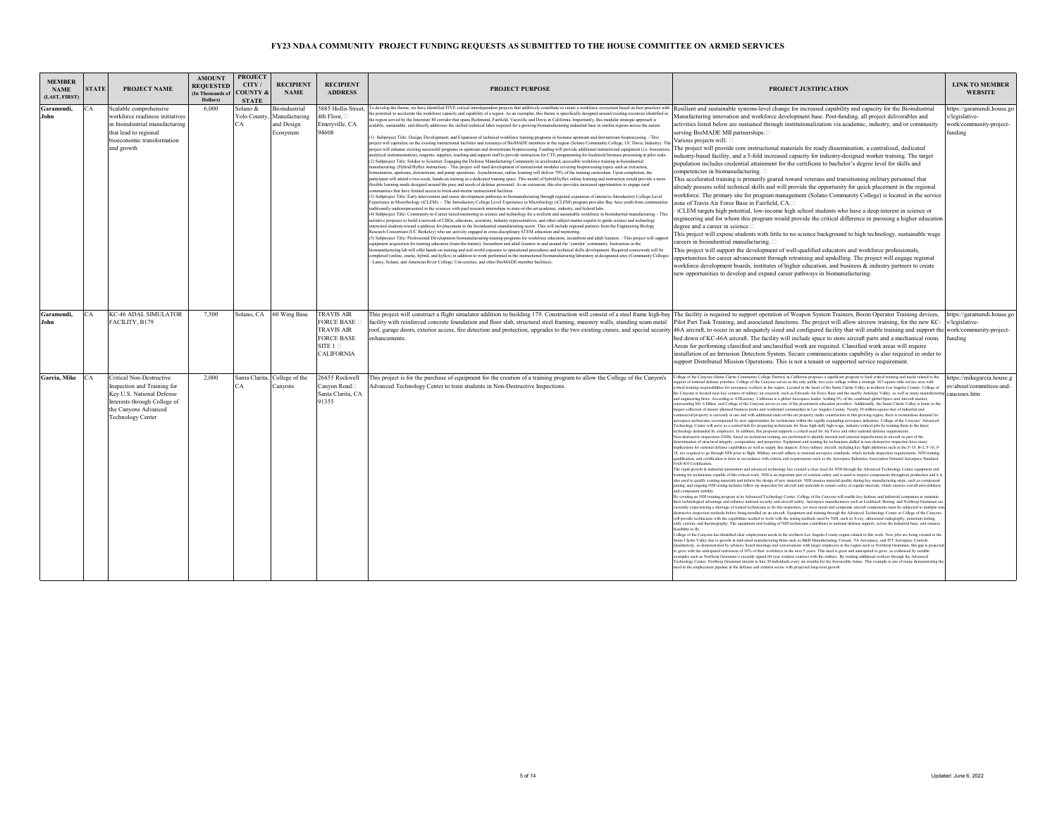| <b>MEMBER</b><br><b>NAME</b><br>(LAST, FIRST) | <b>STATE</b> | <b>PROJECT NAME</b>                                                                                                                                                      | <b>AMOUNT</b><br><b>REQUESTED</b><br>(In Thousands of<br>Dollars) | <b>PROJECT</b><br>CITY/<br><b>COUNTY &amp;</b><br><b>STATE</b> | <b>RECIPIENT</b><br><b>NAME</b>                          | <b>RECIPIENT</b><br><b>ADDRESS</b>                                                                                       | <b>PROJECT PURPOSE</b>                                                                                                                                                                                                                                                                                                                                                                                                                                                                                                                                                                                                                                                                                                                                                                                                                                                                                                                                                                                                                                                                                                                                                                                                                                                                                                                                                                                                                                                                                                                                                                                                                                                                                                                                                                                                                                                                                                                                                                                                                                                                                                                                                                                                                                                                                                                                                                                                                                                                                                                                                                                                                                                                                                                                                                                                                                                                                                                                                                                                                                                                                                                                                                                                                                                                                                                                                                                                                                                                                                                                                                                                                                                                                                                                                                                                                                                                                                                                                                                                                                                                                                                                                                                 | PROJECT JUSTIFICATION                                                                                                                                                                                                                                                                                                                                                                                                                                                                                                                                                                                                                                                                                                                                                                                                                                                                                                                                                                                                                                                                                                                                                                                                                                                                                                                                                                                                                                                                                                                                                                                                                                                                                                                                                                                                                                                                                                                                                                                                                                                                                                                                                                                                                                                                                                                                                                                                                                                                                                                                                                                                                                                                                                                                                                                                                                                                                                                                                                                                                                                                                                                                                                                                                                                                                                                                                                                                                                                                                                                                                                                                                                                                                                                                                                                                                                                                                                                                                                                                                                                                                                                                                                                                                                                                                                                                                                                                                                                                                                                                                                                                                                                                                                                                                                                                                                                                                                                                                                                                                                                                                                                                                                                                                                                                                                                                                                                                                                                                                                         | <b>LINK TO MEMBER</b><br><b>WEBSITE</b>                                            |
|-----------------------------------------------|--------------|--------------------------------------------------------------------------------------------------------------------------------------------------------------------------|-------------------------------------------------------------------|----------------------------------------------------------------|----------------------------------------------------------|--------------------------------------------------------------------------------------------------------------------------|--------------------------------------------------------------------------------------------------------------------------------------------------------------------------------------------------------------------------------------------------------------------------------------------------------------------------------------------------------------------------------------------------------------------------------------------------------------------------------------------------------------------------------------------------------------------------------------------------------------------------------------------------------------------------------------------------------------------------------------------------------------------------------------------------------------------------------------------------------------------------------------------------------------------------------------------------------------------------------------------------------------------------------------------------------------------------------------------------------------------------------------------------------------------------------------------------------------------------------------------------------------------------------------------------------------------------------------------------------------------------------------------------------------------------------------------------------------------------------------------------------------------------------------------------------------------------------------------------------------------------------------------------------------------------------------------------------------------------------------------------------------------------------------------------------------------------------------------------------------------------------------------------------------------------------------------------------------------------------------------------------------------------------------------------------------------------------------------------------------------------------------------------------------------------------------------------------------------------------------------------------------------------------------------------------------------------------------------------------------------------------------------------------------------------------------------------------------------------------------------------------------------------------------------------------------------------------------------------------------------------------------------------------------------------------------------------------------------------------------------------------------------------------------------------------------------------------------------------------------------------------------------------------------------------------------------------------------------------------------------------------------------------------------------------------------------------------------------------------------------------------------------------------------------------------------------------------------------------------------------------------------------------------------------------------------------------------------------------------------------------------------------------------------------------------------------------------------------------------------------------------------------------------------------------------------------------------------------------------------------------------------------------------------------------------------------------------------------------------------------------------------------------------------------------------------------------------------------------------------------------------------------------------------------------------------------------------------------------------------------------------------------------------------------------------------------------------------------------------------------------------------------------------------------------------------------------------|-------------------------------------------------------------------------------------------------------------------------------------------------------------------------------------------------------------------------------------------------------------------------------------------------------------------------------------------------------------------------------------------------------------------------------------------------------------------------------------------------------------------------------------------------------------------------------------------------------------------------------------------------------------------------------------------------------------------------------------------------------------------------------------------------------------------------------------------------------------------------------------------------------------------------------------------------------------------------------------------------------------------------------------------------------------------------------------------------------------------------------------------------------------------------------------------------------------------------------------------------------------------------------------------------------------------------------------------------------------------------------------------------------------------------------------------------------------------------------------------------------------------------------------------------------------------------------------------------------------------------------------------------------------------------------------------------------------------------------------------------------------------------------------------------------------------------------------------------------------------------------------------------------------------------------------------------------------------------------------------------------------------------------------------------------------------------------------------------------------------------------------------------------------------------------------------------------------------------------------------------------------------------------------------------------------------------------------------------------------------------------------------------------------------------------------------------------------------------------------------------------------------------------------------------------------------------------------------------------------------------------------------------------------------------------------------------------------------------------------------------------------------------------------------------------------------------------------------------------------------------------------------------------------------------------------------------------------------------------------------------------------------------------------------------------------------------------------------------------------------------------------------------------------------------------------------------------------------------------------------------------------------------------------------------------------------------------------------------------------------------------------------------------------------------------------------------------------------------------------------------------------------------------------------------------------------------------------------------------------------------------------------------------------------------------------------------------------------------------------------------------------------------------------------------------------------------------------------------------------------------------------------------------------------------------------------------------------------------------------------------------------------------------------------------------------------------------------------------------------------------------------------------------------------------------------------------------------------------------------------------------------------------------------------------------------------------------------------------------------------------------------------------------------------------------------------------------------------------------------------------------------------------------------------------------------------------------------------------------------------------------------------------------------------------------------------------------------------------------------------------------------------------------------------------------------------------------------------------------------------------------------------------------------------------------------------------------------------------------------------------------------------------------------------------------------------------------------------------------------------------------------------------------------------------------------------------------------------------------------------------------------------------------------------------------------------------------------------------------------------------------------------------------------------------------------------------------------------------------------------------------------------------------|------------------------------------------------------------------------------------|
| Garamendi.<br>John                            | CA           | Scalable comprehensive<br>workforce readiness initiatives<br>in bioindustrial manufacturing<br>that lead to regional<br>bioeconomic transformation<br>and growth         | 6,000                                                             | Solano &<br>Yolo County,<br>ĩА                                 | dioindustrial<br>Manufacturing<br>nd Design<br>Ecosystem | 885 Hollis Street.<br>4th Floor, [<br>Emeryville, CA<br>94608                                                            | To develop the theme, we have identified FIVE critical interdependent projects that additively contribute to create a workforce ecosystem based on best practices with<br>he potential to accelerate the workforce capacity and capability of a region. As an exemplar, this theme is specifically designed around existing resources identified in<br>he region served by the Interstate 80 corridor that spans Richmond, Fairfield, Vacaville and Davis in California. Importantly, this modular strategic approach is<br>scalable, sustainable, and directly addresses the skilled technical labor required for a growing biomanufacturing industrial base in similar regions across the nation.<br>(1) Subproject Title: Design, Development, and Expansion of technical workforce training programs in biomass upstream and downstream bioprocessing. - This<br>project will capitalize on the existing instructional facilities and resources of BioMADE members in the region (Solano Community College, UC Davis, Industry). Th<br>project will enhance existing successful programs in upstream and downstream bioprocessing. Funding will provide additional instructional equipment (i.e. bioreactors,<br>unalytical instrumentation), reagents, supplies, teaching and support staff to provide instruction for CTE programming for feedstock/biomass processing at pilot scale.<br>(2) Subproject Title: Soldier to Scientist: Engaging the Defense Manufacturing Community in accelerated, accessible workforce training in bioindustrial<br>manufacturing. (Hybrid/Hyflex instruction) - This project will fund development of instructional modules covering bioprocessing topics such as extraction,<br>fermentation, upstream, downstream, and pump operations. Asynchronous, online learning will deliver 70% of the training curriculum. Upon completion, the<br>participant will attend a two-week, hands-on training in a dedicated training space. This model of hybrid/hyflex online learning and instruction would provide a more<br>flexible learning mode designed around the pace and needs of defense personnel. As an extension, this also provides increased opportunities to engage rural<br>ommunities that have limited access to brick-and-mortar instructional facilities.<br>3) Subproject Title: Early intervention and career development pathways in biomanufacturing through regional expansion of intensive Introductory College-Level<br>Experience in Microbiology (iCLEM). - The Introductory College Level Experience in Microbiology (iCLEM) program provides Bay Area youth from communit<br>raditionally underrepresented in the sciences with paid research internships in state-of-the-art academic, industry, and federal labs.<br>(4) Subproject Title: Community-to-Career tiered-mentoring in science and technology for a resilient and sustainable workforce in bioindustrial manufacturing. - Thi<br>initiative proposes to build a network of CBOs, educators, scientists, industry representatives, and other subject matter experts to guide science and technology<br>nterested students toward a pathway for placement in the bioindustrial manufacturing sector. This will include regional partners from the Engineering Biology<br>Research Consortium (UC Berkeley) who are actively engaged in cross-disciplinary STEM education and mentoring.<br>(5) Subproject Title: Professional Development biomanufacturing training programs for workforce educators, incumbent and adult learners. - This project will support<br>equipment acquisition for training educators (train-the-trainer). Incumbent and adult learners in and around the 'corridor' community. Instruction in the<br>iomanufacturing lab will offer hands-on training and real-world exposure to operational procedures and technical skills development. Required coursework will be<br>empleted (online, onsite, hybrid, and hyflex) in addition to work performed in the instructional biomanufacturing laboratory at designated sites (Community Colleges<br>Laney, Solano, and American River College; Universities, and other BioMADE-member facilities). | Resilient and sustainable systems-level change for increased capability and capacity for the Bioindustrial<br>Manufacturing innovation and workforce development base. Post-funding, all project deliverables and<br>activities listed below are sustained through institutionalization via academic, industry, and/or community<br>serving BioMADE MII partnerships.<br>Various projects will:<br>The project will provide core instructional materials for ready dissemination, a centralized, dedicated<br>industry-based facility, and a 5-fold increased capacity for industry-designed worker training. The target<br>population includes credential attainment for the certificate to bachelor's degree level for skills and<br>competencies in biomanufacturing.<br>This accelerated training is primarily geared toward veterans and transitioning military personnel that<br>already possess solid technical skills and will provide the opportunity for quick placement in the regional<br>workforce. The primary site for program management (Solano Community College) is located in the service<br>cone of Travis Air Force Base in Fairfield, CA.□<br>iCLEM targets high potential, low-income high school students who have a deep interest in science or<br>engineering and for whom this program would provide the critical difference in pursuing a higher education<br>degree and a career in science.<br>This project will expose students with little to no science background to high technology, sustainable wage<br>careers in bioindustrial manufacturing. $\square$<br>This project will support the development of well-qualified educators and workforce professionals,<br>opportunities for career advancement through retraining and upskilling. The project will engage regional<br>workforce development boards, institutes of higher education, and business & industry partners to create<br>new opportunities to develop and expand career pathways in biomanufacturing.                                                                                                                                                                                                                                                                                                                                                                                                                                                                                                                                                                                                                                                                                                                                                                                                                                                                                                                                                                                                                                                                                                                                                                                                                                                                                                                                                                                                                                                                                                                                                                                                                                                                                                                                                                                                                                                                                                                                                                                                                                                                                                                                                                                                                                                                                                                                                                                                                                                                                                                                                                                                                                                                                                                                                                                                                                                                                                                                                                                                                                                                                                                                                                                                                                                                                                                                                                                                                                                                                                                  | https://garamendi.house.go<br>v/legislative-<br>work/community-project-<br>funding |
| Garamendi.<br><b>John</b>                     | CA           | <b>KC-46 ADAL SIMULATOR</b><br>FACILITY, B179                                                                                                                            | 7.500                                                             |                                                                | Solano, CA 60 Wing Base                                  | <b>TRAVIS AIR</b><br><b>FORCE BASE</b><br><b>TRAVIS AIR</b><br><b>FORCE BASE</b><br>SITE $1$ $\Box$<br><b>CALIFORNIA</b> | This project will construct a flight simulator addition to building 179. Construction will consist of a steel frame high-bay The facility is required to support operation of Weapon System Trainers, Boom Operator Training d<br>facility with reinforced concrete foundation and floor slab, structural steel framing, masonry walls, standing seam metal<br>roof, garage doors, exterior access, fire detection and protection, upgrades to the two existing cranes, and special security<br>enhancements.                                                                                                                                                                                                                                                                                                                                                                                                                                                                                                                                                                                                                                                                                                                                                                                                                                                                                                                                                                                                                                                                                                                                                                                                                                                                                                                                                                                                                                                                                                                                                                                                                                                                                                                                                                                                                                                                                                                                                                                                                                                                                                                                                                                                                                                                                                                                                                                                                                                                                                                                                                                                                                                                                                                                                                                                                                                                                                                                                                                                                                                                                                                                                                                                                                                                                                                                                                                                                                                                                                                                                                                                                                                                                          | Pilot Part Task Training, and associated functions. The project will allow aircrew training, for the new KC- v/legislative-<br>46A aircraft, to occur in an adequately sized and configured facility that will enable training and support the work/community-project-<br>bed down of KC-46A aircraft. The facility will include space to store aircraft parts and a mechanical room.<br>Areas for performing classified and unclassified work are required. Classified work areas will require<br>installation of an Intrusion Detection System. Secure communications capability is also required in order to<br>support Distributed Mission Operations. This is not a tenant or supported service requirement.                                                                                                                                                                                                                                                                                                                                                                                                                                                                                                                                                                                                                                                                                                                                                                                                                                                                                                                                                                                                                                                                                                                                                                                                                                                                                                                                                                                                                                                                                                                                                                                                                                                                                                                                                                                                                                                                                                                                                                                                                                                                                                                                                                                                                                                                                                                                                                                                                                                                                                                                                                                                                                                                                                                                                                                                                                                                                                                                                                                                                                                                                                                                                                                                                                                                                                                                                                                                                                                                                                                                                                                                                                                                                                                                                                                                                                                                                                                                                                                                                                                                                                                                                                                                                                                                                                                                                                                                                                                                                                                                                                                                                                                                                                                                                                                                             | funding                                                                            |
| Garcia, Mike                                  | CA           | Critical Non-Destructive<br>Inspection and Training for<br>Key U.S. National Defense<br>Interests through College of<br>the Canyons Advanced<br><b>Technology Center</b> | 2.000                                                             | CА                                                             | Santa Clarita, College of the<br>Canyons                 | 26455 Rockwell<br>Canyon Road<br>Santa Clarita, CA<br>91355                                                              | This project is for the purchase of equipment for the creation of a training program to allow the College of the Canyon's<br>Advanced Technology Center to train students in Non-Destructive Inspections.                                                                                                                                                                                                                                                                                                                                                                                                                                                                                                                                                                                                                                                                                                                                                                                                                                                                                                                                                                                                                                                                                                                                                                                                                                                                                                                                                                                                                                                                                                                                                                                                                                                                                                                                                                                                                                                                                                                                                                                                                                                                                                                                                                                                                                                                                                                                                                                                                                                                                                                                                                                                                                                                                                                                                                                                                                                                                                                                                                                                                                                                                                                                                                                                                                                                                                                                                                                                                                                                                                                                                                                                                                                                                                                                                                                                                                                                                                                                                                                              | College of the Canyons (Santa Clarita Community College District) in California proposes a significant program to fund critical training and needs related to the<br>apport of national defense priorities. College of the Canvons serves as the only public two-year college within a strategic 367-square-mile service area with<br>ritical training responsibilities for aerospace workers in the region. Located in the heart of the Santa Clarita Valley in northern Los Angeles County, College of<br>the Canyons is located near key centers of military air research, such as Edwards Air Force Base and the nearby Antelope Valley, as well as many manufacturing caucuses.htm<br>and engineering firms. According to ATKearney, California is a global Aerospace leader, holding 9% of the combined global Space and Aircraft market,<br>spresenting \$61.6 billion, and College of the Canyons serves as one of the preeminent education providers. Additionally, the Santa Clarita Valley is home to the<br>largest collection of master-planned business parks and residential communities in Los Angeles County. Nearly 30 million-square-feet of industrial and<br>mmercial property is currently in use and with additional state-of-the-art property under construction in this growing region, there is tremendous demand for<br>ospace technicians accompanied by new opportunities for technicians within the rapidly expanding aerospace industries. College of the Canyons' Advanced<br>Technology Center will serve as a central hub for preparing technicians for these high-skill, high-wage, industry-critical jobs by training them in the latest<br>technology demanded by employers. In addition, this proposal supports a critical need for Air Force and other national defense requirements<br>Non-destructive inspections (NDI), based on technician training, are performed to identify internal and external imperfections in aircraft as part of the<br>etermination of structural integrity, composition, and properties. Equipment and training for technicians skilled in non-destructive inspection have many<br>implications for national defense capabilities as well as supply line impacts. Every military aircraft, including key flight platforms such as the F-35, B-2, F-16, F-<br>18, are required to go through NDI prior to flight. Military aircraft adhere to national aerospace standards, which include inspection requirements. NDI training,<br>qualification, and certification is done in accordance with criteria and requirements such as the Aerospace Industries Association National Aerospace Standard<br>NAS-410 Certification.<br>The rapid growth in industrial automation and advanced technology has created a clear need for NDI through the Advanced Technology Center equipment and<br>raining for technicians capable of this critical work. NDI is an important part of aviation safety and is used to inspect components throughout production and it is<br>also used to qualify existing materials and inform the design of new materials. NDI ensures material quality during key manufacturing steps, such as component<br>oining, and ongoing NDI testing includes follow-up inspection for aircraft and materials to ensure safety at regular intervals, which ensures overall airworthiness<br>and component stability.<br>By creating an NDI training program at its Advanced Technology Center, College of the Canyons will enable key defense and industrial companies to maintain<br>their technological advantage and enhance national security and aircraft safety. Aerospace manufacturers such as Lockheed. Boeing, and Northrop Grumman are<br>currently experiencing a shortage of trained technicians to do this inspection, yet most metal and composite aircraft components must be subjected to multiple non-<br>lestructive inspection methods before being installed on an aircraft. Equipment and training through the Advanced Technology Center at College of the Canyons<br>will provide technicians with the capabilities needed to work with the testing methods used by NDI, such as X-ray, ultrasound radiography, penetrant testing,<br>eddy current, and thermography. The equipment and training of NDI technicians contributes to national defense support, serves the industrial base, and ensure<br>feasibility to fly.<br>College of the Canyons has identified clear employment needs in the northern Los Angeles County region related to this work. New jobs are being created in the<br>Santa Clarita Valley due to growth in mid-sized manufacturing firms such as B&B Manufacturing, Crissair, TA Aerospace, and ITT Aerospace Controls.<br>Qualitatively, as demonstrated by advisory board meetings and conversations with larger employers in the region such as Northrop Grumman, this gap is projecte<br>to grow with the anticipated retirement of 30% of their workforce in the next 5 years. This need is great and anticipated to grow, as evidenced by notable<br>xamples such as Northrop Grumman's recently signed 60-year aviation contract with the military. By training additional workers through the Advanced<br>echnology Center, Northrop Grumman intends to hire 30 individuals every six months for the foreseeable future. This example is one of many demonstrating the<br>teed in the employment pipeline in the defense and aviation sector with projected long-term growth. | https://mikegarcia.house.g<br>ov/about/committees-and-                             |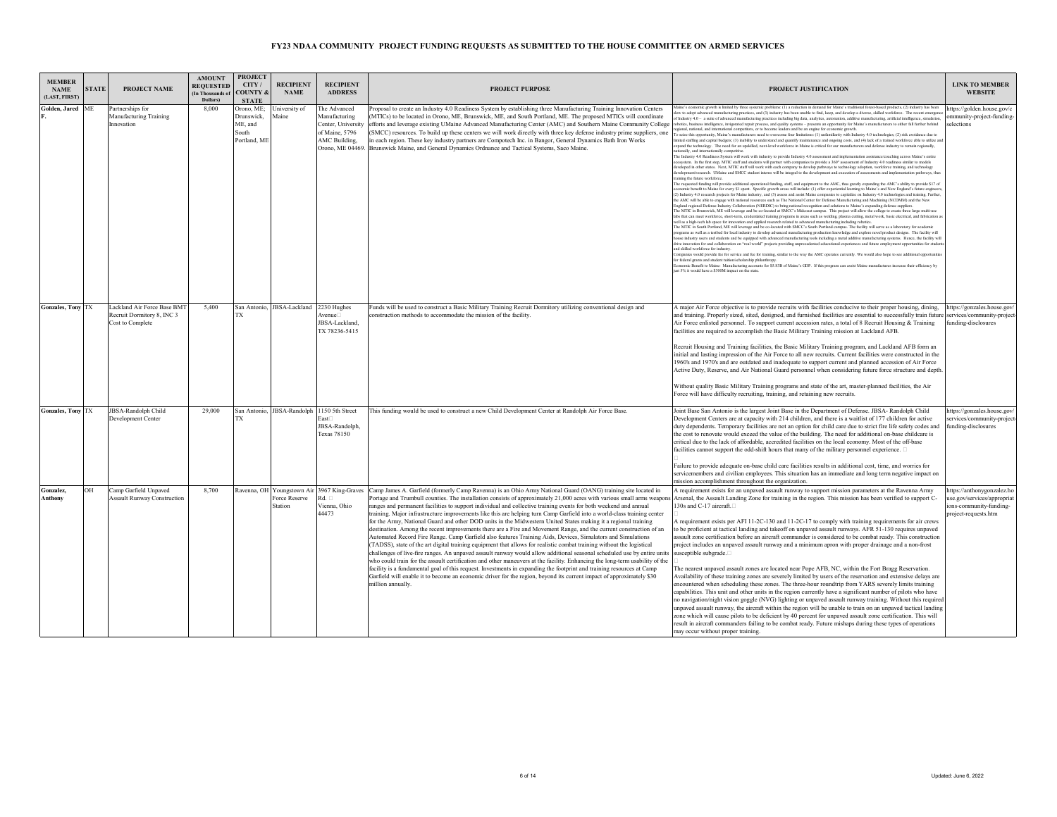| <b>MEMBER</b><br><b>NAME</b><br>(LAST, FIRST) | <b>STATE</b> | <b>PROJECT NAME</b>                                                           | <b>AMOUNT</b><br><b>REOUESTED</b><br>(In Thousands of<br>Dollars) | <b>PROJECT</b><br>CITY/<br><b>OUNTY &amp;</b><br><b>STATE</b> | <b>RECIPIENT</b><br><b>NAME</b>            | <b>RECIPIENT</b><br><b>ADDRESS</b>                                                                         | <b>PROJECT PURPOSE</b>                                                                                                                                                                                                                                                                                                                                                                                                                                                                                                                                                                                                                                                                                                                                                                                                                                                                                                                                                                                                                                                                                                                                                                                                                                                                                                                                                                                                                                                                                | PROJECT JUSTIFICATION                                                                                                                                                                                                                                                                                                                                                                                                                                                                                                                                                                                                                                                                                                                                                                                                                                                                                                                                                                                                                                                                                                                                                                                                                                                                                                                                                                                                                                                                                                                                                                                                                                                                                                                                                                                                                                                                                                                                                                                                                                                                                                                                                                                                                                                                                                                                                                                                                                                                                                                                                                                                                                                                                                                                                                                                                                                                                                                                                                                                                                                                                                                                                                                                                                                                                                                                                                                                                                                                                                                                                                                                                                                                                                                                                                                                                                                                                                                                                                                                                                                                                                                                                                                                                                                                                                                                                                                                                           | <b>LINK TO MEMBER</b><br><b>WEBSITE</b>                                                                   |
|-----------------------------------------------|--------------|-------------------------------------------------------------------------------|-------------------------------------------------------------------|---------------------------------------------------------------|--------------------------------------------|------------------------------------------------------------------------------------------------------------|-------------------------------------------------------------------------------------------------------------------------------------------------------------------------------------------------------------------------------------------------------------------------------------------------------------------------------------------------------------------------------------------------------------------------------------------------------------------------------------------------------------------------------------------------------------------------------------------------------------------------------------------------------------------------------------------------------------------------------------------------------------------------------------------------------------------------------------------------------------------------------------------------------------------------------------------------------------------------------------------------------------------------------------------------------------------------------------------------------------------------------------------------------------------------------------------------------------------------------------------------------------------------------------------------------------------------------------------------------------------------------------------------------------------------------------------------------------------------------------------------------|-------------------------------------------------------------------------------------------------------------------------------------------------------------------------------------------------------------------------------------------------------------------------------------------------------------------------------------------------------------------------------------------------------------------------------------------------------------------------------------------------------------------------------------------------------------------------------------------------------------------------------------------------------------------------------------------------------------------------------------------------------------------------------------------------------------------------------------------------------------------------------------------------------------------------------------------------------------------------------------------------------------------------------------------------------------------------------------------------------------------------------------------------------------------------------------------------------------------------------------------------------------------------------------------------------------------------------------------------------------------------------------------------------------------------------------------------------------------------------------------------------------------------------------------------------------------------------------------------------------------------------------------------------------------------------------------------------------------------------------------------------------------------------------------------------------------------------------------------------------------------------------------------------------------------------------------------------------------------------------------------------------------------------------------------------------------------------------------------------------------------------------------------------------------------------------------------------------------------------------------------------------------------------------------------------------------------------------------------------------------------------------------------------------------------------------------------------------------------------------------------------------------------------------------------------------------------------------------------------------------------------------------------------------------------------------------------------------------------------------------------------------------------------------------------------------------------------------------------------------------------------------------------------------------------------------------------------------------------------------------------------------------------------------------------------------------------------------------------------------------------------------------------------------------------------------------------------------------------------------------------------------------------------------------------------------------------------------------------------------------------------------------------------------------------------------------------------------------------------------------------------------------------------------------------------------------------------------------------------------------------------------------------------------------------------------------------------------------------------------------------------------------------------------------------------------------------------------------------------------------------------------------------------------------------------------------------------------------------------------------------------------------------------------------------------------------------------------------------------------------------------------------------------------------------------------------------------------------------------------------------------------------------------------------------------------------------------------------------------------------------------------------------------------------------------------------------|-----------------------------------------------------------------------------------------------------------|
| Golden, Jared ME                              |              | Partnerships for<br><b>Manufacturing Training</b><br>Innovation               | 8.000                                                             | Orono, ME;<br>Drunswick,<br>ME, and<br>South<br>Portland, ME  | University of<br>Maine                     | The Advanced<br>Manufacturing<br>Center, University<br>of Maine, 5796<br>AMC Building.<br>Orono, ME 04469. | Proposal to create an Industry 4.0 Readiness System by establishing three Manufacturing Training Innovation Centers<br>MTICs) to be located in Orono, ME, Brunswick, ME, and South Portland, ME. The proposed MTICs will coordinate<br>efforts and leverage existing UMaine Advanced Manufacturing Center (AMC) and Southern Maine Community College<br>SMCC) resources. To build up these centers we will work directly with three key defense industry prime suppliers, one<br>n each region. These key industry partners are Compotech Inc. in Bangor, General Dynamics Bath Iron Works<br>Brunswick Maine, and General Dynamics Ordnance and Tactical Systems, Saco Maine.                                                                                                                                                                                                                                                                                                                                                                                                                                                                                                                                                                                                                                                                                                                                                                                                                        | laine's economic growth is limited by three systemic problems: (1) a reduction in demand for Maine's traditional forest-based products, (2) industry has been<br>low to adopt advanced manufacturing practices, and (3) industry has been unable to find, keep, and develop a diverse, skilled workforce. The recent emerge<br>f Industry 4.0 - a suite of advanced manufacturing practices including big data, analytics, automation, additive manufacturing, artificial intelligence, simulation<br>obotics, business intelligence, invigorated repair process, and quality systems - presents an opportunity for Maine's manufacturers to either fall further behind<br>gional, national, and international competitors, or to become leaders and be an engine for economic growth<br>To seize this opportunity. Maine's manufacturers need to overcome four limitations: (1) unfamiliarity with Industry 4.0 technologies: (2) risk avoidance due to<br>mited staffing and capital budgets; (3) inability to understand and quantify maintenance and ongoing costs, and (4) lack of a trained workforce able to utilize an<br>xpand the technology. The need for an upskilled, next-level workforce in Maine is critical for our manufacturers and defense industry to remain regionally<br>ionally, and internationally competiti<br>The Industry 4.0 Readiness System will work with industry to provide Industry 4.0 assessment and implementation assistance/coaching across Maine's entire<br>ssystem. In the first step, MTIC staff and students will partner with companies to provide a 360° assessment of Industry 4.0 readiness similar to models<br>developed in other states. Next, MTIC staff will work with each company to develop pathways to technology adoption, workforce training, and technology<br>development/research. UMaine and SMCC student interns will be integral to the development and execution of assessments and implementation pathways, thu<br>raining the future workforce<br>The requested funding will provide additional operational funding, staff, and equipment to the AMC, thus greatly expanding the AMC's ability to provide \$17 of<br>nomic benefit to Maine for every \$1 spent. Specific growth areas will include: (1) offer experiential learning to Maine's and New England's future enginee<br>(2) Industry 4.0 research projects for Maine industry, and (3) assess and assist Maine companies to capitalize on Industry 4.0 technologies and training. Further<br>the AMC will be able to engage with national resources such as The National Center for Defense Manufacturing and Machining (NCDMM) and the New<br>Ingland regional Defense Industry Collaboration (NERDIC) to bring national recognition and solutions to Maine's expanding defense suppliers<br>The MTIC in Brunswick, ME will leverage and be co-located at SMCC's Midcoast campus. This project will allow the college to create three large multi-use<br>labs that can meet workforce, short-term, credentialed training programs in areas such as welding, plasma cutting, metal work, basic electrical, and fabrication a<br>well as a high-tech lab space for innovation and applied research related to advanced manufacturing including robotics.<br>The MTIC in South Portland, ME will leverage and be co-located with SMCC's South Portland campus. The facility will serve as a laboratory for academic<br>programs as well as a testbed for local industry to develop advanced manufacturing production knowledge and explore novel product designs. The facility will<br>souse industry users and students and be equipped with advanced manufacturing tools including a metal additive manufacturing systems. Hence, the facility will<br>drive innovation for and collaboration on "real world" projects providing unprecedented educational experiences and future employment opportunities for stude<br>and skilled workforce for industry.<br>ompanies would provide fee for service and fee for training, similar to the way the AMC operates currently. We would also hope to see additional opportunit<br>for federal grants and student tuition/scholarship philanthrop<br>onomic Benefit to Maine: Manufacturing accounts for \$5.83B of Maine's GDP. If this program can assist Maine manufactures increase their efficiency by<br>just 5% it would have a \$300M impact on the state. | https://golden.house.gov/c<br>mmunity-project-funding-<br>elections                                       |
| <b>Gonzales, Tony TX</b>                      |              | Lackland Air Force Base BMT<br>Recruit Dormitory 8, INC 3<br>Cost to Complete | 5.400                                                             | TX                                                            | San Antonio, JBSA-Lackland 2230 Hughes     | Avenue<br>JBSA-Lackland<br>TX 78236-5415                                                                   | Funds will be used to construct a Basic Military Training Recruit Dormitory utilizing conventional design and<br>onstruction methods to accommodate the mission of the facility.                                                                                                                                                                                                                                                                                                                                                                                                                                                                                                                                                                                                                                                                                                                                                                                                                                                                                                                                                                                                                                                                                                                                                                                                                                                                                                                      | A major Air Force objective is to provide recruits with facilities conducive to their proper housing, dining,<br>and training. Properly sized, sited, designed, and furnished facilities are essential to successfully train future<br>Air Force enlisted personnel. To support current accession rates, a total of 8 Recruit Housing & Training<br>facilities are required to accomplish the Basic Military Training mission at Lackland AFB.<br>Recruit Housing and Training facilities, the Basic Military Training program, and Lackland AFB form an<br>initial and lasting impression of the Air Force to all new recruits. Current facilities were constructed in the<br>1960's and 1970's and are outdated and inadequate to support current and planned accession of Air Force<br>Active Duty, Reserve, and Air National Guard personnel when considering future force structure and depth<br>Without quality Basic Military Training programs and state of the art, master-planned facilities, the Air<br>Force will have difficulty recruiting, training, and retaining new recruits.                                                                                                                                                                                                                                                                                                                                                                                                                                                                                                                                                                                                                                                                                                                                                                                                                                                                                                                                                                                                                                                                                                                                                                                                                                                                                                                                                                                                                                                                                                                                                                                                                                                                                                                                                                                                                                                                                                                                                                                                                                                                                                                                                                                                                                                                                                                                                                                                                                                                                                                                                                                                                                                                                                                                                                                                                                                                                                                                                                                                                                                                                                                                                                                                                                                                                                                                                 | https://gonzales.house.gov/<br>services/community-project-<br>funding-disclosures                         |
| <b>Gonzales, Tony TX</b>                      |              | <b>JBSA-Randolph Child</b><br>Development Center                              | 29,000                                                            | TX                                                            | San Antonio, JBSA-Randolph 1150 5th Street | East<br>JBSA-Randolph,<br><b>Texas 78150</b>                                                               | This funding would be used to construct a new Child Development Center at Randolph Air Force Base.                                                                                                                                                                                                                                                                                                                                                                                                                                                                                                                                                                                                                                                                                                                                                                                                                                                                                                                                                                                                                                                                                                                                                                                                                                                                                                                                                                                                    | Joint Base San Antonio is the largest Joint Base in the Department of Defense. JBSA-Randolph Child<br>Development Centers are at capacity with 214 children, and there is a waitlist of 177 children for active<br>duty dependents. Temporary facilities are not an option for child care due to strict fire life safety codes and<br>the cost to renovate would exceed the value of the building. The need for additional on-base childcare is<br>critical due to the lack of affordable, accredited facilities on the local economy. Most of the off-base<br>facilities cannot support the odd-shift hours that many of the military personnel experience.<br>Failure to provide adequate on-base child care facilities results in additional cost, time, and worries for<br>servicemembers and civilian employees. This situation has an immediate and long term negative impact on<br>mission accomplishment throughout the organization.                                                                                                                                                                                                                                                                                                                                                                                                                                                                                                                                                                                                                                                                                                                                                                                                                                                                                                                                                                                                                                                                                                                                                                                                                                                                                                                                                                                                                                                                                                                                                                                                                                                                                                                                                                                                                                                                                                                                                                                                                                                                                                                                                                                                                                                                                                                                                                                                                                                                                                                                                                                                                                                                                                                                                                                                                                                                                                                                                                                                                                                                                                                                                                                                                                                                                                                                                                                                                                                                                                   | ttps://gonzales.house.gov/<br>services/community-project-<br>iunding-disclosures                          |
| Gonzalez,<br><b>Anthony</b>                   | OH           | Camp Garfield Unpaved<br><b>Assault Runway Construction</b>                   | 8,700                                                             |                                                               | Force Reserve<br>Station                   | Ravenna, OH Youngstown Air 3967 King-Graves<br>Rd. D<br>Vienna, Ohio<br>44473                              | Camp James A. Garfield (formerly Camp Ravenna) is an Ohio Army National Guard (OANG) training site located in<br>Portage and Trumbull counties. The installation consists of approximately 21,000 acres with various small arms weapor<br>ranges and permanent facilities to support individual and collective training events for both weekend and annual<br>training. Major infrastructure improvements like this are helping turn Camp Garfield into a world-class training center<br>for the Army, National Guard and other DOD units in the Midwestern United States making it a regional training<br>destination. Among the recent improvements there are a Fire and Movement Range, and the current construction of an<br>Automated Record Fire Range. Camp Garfield also features Training Aids, Devices, Simulators and Simulations<br>(TADSS), state of the art digital training equipment that allows for realistic combat training without the logistical<br>challenges of live-fire ranges. An unpaved assault runway would allow additional seasonal scheduled use by entire units<br>who could train for the assault certification and other maneuvers at the facility. Enhancing the long-term usability of the<br>facility is a fundamental goal of this request. Investments in expanding the footprint and training resources at Camp<br>Garfield will enable it to become an economic driver for the region, beyond its current impact of approximately \$30<br>million annually. | A requirement exists for an unpaved assault runway to support mission parameters at the Ravenna Army<br>Arsenal, the Assault Landing Zone for training in the region. This mission has been verified to support C-<br>130s and C-17 aircraft.<br>A requirement exists per AFI 11-2C-130 and 11-2C-17 to comply with training requirements for air crews<br>to be proficient at tactical landing and takeoff on unpaved assault runways. AFR 51-130 requires unpaved<br>assault zone certification before an aircraft commander is considered to be combat ready. This construction<br>project includes an unpaved assault runway and a minimum apron with proper drainage and a non-frost<br>susceptible subgrade.<br>The nearest unpaved assault zones are located near Pope AFB, NC, within the Fort Bragg Reservation.<br>Availability of these training zones are severely limited by users of the reservation and extensive delays are<br>encountered when scheduling these zones. The three-hour roundtrip from YARS severely limits training<br>capabilities. This unit and other units in the region currently have a significant number of pilots who have<br>no navigation/night vision goggle (NVG) lighting or unpaved assault runway training. Without this required<br>unpaved assault runway, the aircraft within the region will be unable to train on an unpaved tactical landing<br>zone which will cause pilots to be deficient by 40 percent for unpaved assault zone certification. This will<br>result in aircraft commanders failing to be combat ready. Future mishaps during these types of operations<br>may occur without proper training.                                                                                                                                                                                                                                                                                                                                                                                                                                                                                                                                                                                                                                                                                                                                                                                                                                                                                                                                                                                                                                                                                                                                                                                                                                                                                                                                                                                                                                                                                                                                                                                                                                                                                                                                                                                                                                                                                                                                                                                                                                                                                                                                                                                                                                                                                                                                                                                                                                                                                                                                                                                                                                                                                                                                                                           | ttps://anthonygonzalez.ho<br>se.gov/services/appropriat<br>ons-community-funding-<br>project-requests.htm |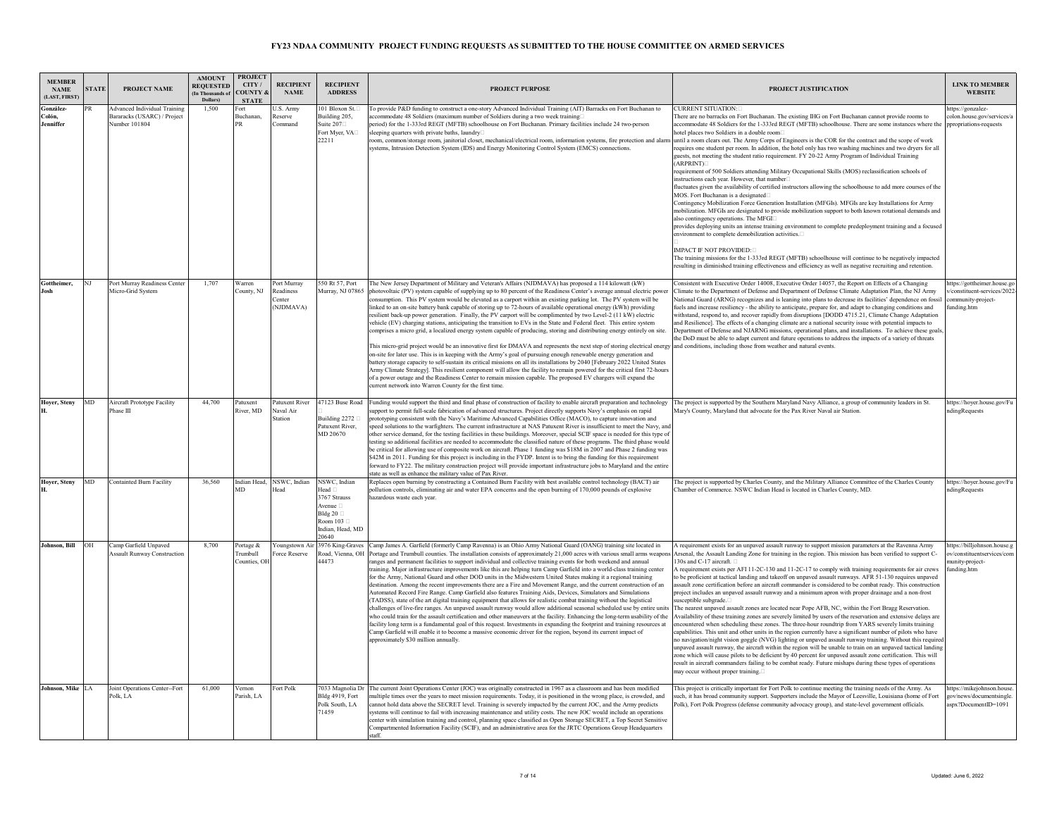| <b>MEMBER</b><br><b>NAME</b><br><b>LAST, FIRST</b> | <b>STATE</b> | PROJECT NAME                                                                        | <b>AMOUNT</b><br><b>REQUESTED</b><br>(In Thousands of<br>Dollars) | <b>PROJECT</b><br>CITY/<br><b>OUNTY &amp;</b><br><b>STATE</b> | <b>RECIPIENT</b><br><b>NAME</b>                 | <b>RECIPIENT</b><br><b>ADDRESS</b>                                                                                                    | <b>PROJECT PURPOSE</b>                                                                                                                                                                                                                                                                                                                                                                                                                                                                                                                                                                                                                                                                                                                                                                                                                                                                                                                                                                                                                                                                                                                                                                                                                                                                                                                                                                                                                                                                                                                                            | PROJECT JUSTIFICATION                                                                                                                                                                                                                                                                                                                                                                                                                                                                                                                                                                                                                                                                                                                                                                                                                                                                                                                                                                                                                                                                                                                                                                                                                                                                                                                                                                                                                                                                                                                                                                                                                                               | <b>LINK TO MEMBER</b><br><b>WEBSITE</b>                                                       |
|----------------------------------------------------|--------------|-------------------------------------------------------------------------------------|-------------------------------------------------------------------|---------------------------------------------------------------|-------------------------------------------------|---------------------------------------------------------------------------------------------------------------------------------------|-------------------------------------------------------------------------------------------------------------------------------------------------------------------------------------------------------------------------------------------------------------------------------------------------------------------------------------------------------------------------------------------------------------------------------------------------------------------------------------------------------------------------------------------------------------------------------------------------------------------------------------------------------------------------------------------------------------------------------------------------------------------------------------------------------------------------------------------------------------------------------------------------------------------------------------------------------------------------------------------------------------------------------------------------------------------------------------------------------------------------------------------------------------------------------------------------------------------------------------------------------------------------------------------------------------------------------------------------------------------------------------------------------------------------------------------------------------------------------------------------------------------------------------------------------------------|---------------------------------------------------------------------------------------------------------------------------------------------------------------------------------------------------------------------------------------------------------------------------------------------------------------------------------------------------------------------------------------------------------------------------------------------------------------------------------------------------------------------------------------------------------------------------------------------------------------------------------------------------------------------------------------------------------------------------------------------------------------------------------------------------------------------------------------------------------------------------------------------------------------------------------------------------------------------------------------------------------------------------------------------------------------------------------------------------------------------------------------------------------------------------------------------------------------------------------------------------------------------------------------------------------------------------------------------------------------------------------------------------------------------------------------------------------------------------------------------------------------------------------------------------------------------------------------------------------------------------------------------------------------------|-----------------------------------------------------------------------------------------------|
| González-<br>∂olón.<br>Jenniffer                   | R            | <b>Advanced Individual Training</b><br>Bararacks (USARC) / Project<br>Number 101804 | 1,500                                                             | ∙ort<br>Buchanan,<br>R                                        | J.S. Army<br>Reserve<br><b>Command</b>          | 101 Bloxon St.<br>Building 205,<br>Suite $207$<br>Fort Myer, VA<br>22211                                                              | To provide P&D funding to construct a one-story Advanced Individual Training (AIT) Barracks on Fort Buchanan to<br>accommodate 48 Soldiers (maximum number of Soldiers during a two week training<br>period) for the 1-333rd REGT (MFTB) schoolhouse on Fort Buchanan. Primary facilities include 24 two-person<br>leeping quarters with private baths, laundry<br>oom, common/storage room, janitorial closet, mechanical/electrical room, information systems, fire protection and alarm<br>systems, Intrusion Detection System (IDS) and Energy Monitoring Control System (EMCS) connections.                                                                                                                                                                                                                                                                                                                                                                                                                                                                                                                                                                                                                                                                                                                                                                                                                                                                                                                                                                  | CURRENT SITUATION:<br>There are no barracks on Fort Buchanan. The existing IHG on Fort Buchanan cannot provide rooms to<br>accommodate 48 Soldiers for the 1-333rd REGT (MFTB) schoolhouse. There are some instances where the<br>notel places two Soldiers in a double room!<br>until a room clears out. The Army Corps of Engineers is the COR for the contract and the scope of work<br>requires one student per room. In addition, the hotel only has two washing machines and two dryers for all<br>guests, not meeting the student ratio requirement. FY 20-22 Army Program of Individual Training<br><b>(ARPRINT)</b><br>requirement of 500 Soldiers attending Military Occupational Skills (MOS) reclassification schools of<br>instructions each year. However, that number<br>fluctuates given the availability of certified instructors allowing the schoolhouse to add more courses of the<br>MOS. Fort Buchanan is a designated<br>Contingency Mobilization Force Generation Installation (MFGIs). MFGIs are key Installations for Army<br>mobilization. MFGIs are designated to provide mobilization support to both known rotational demands and<br>also contingency operations. The MFGI<br>provides deploying units an intense training environment to complete predeployment training and a focused<br>environment to complete demobilization activities.<br><b>IMPACT IF NOT PROVIDED:</b><br>The training missions for the 1-333rd REGT (MFTB) schoolhouse will continue to be negatively impacted<br>resulting in diminished training effectiveness and efficiency as well as negative recruiting and retention.                               | ittps://gonzalez-<br>olon.house.gov/services/a<br>ppropriations-requests                      |
| Gottheimer,                                        | NI           | Port Murray Readiness Center<br>Micro-Grid System                                   | 1.707                                                             | Warren<br>County, NJ                                          | Port Murray<br>Readiness<br>Center<br>(NJDMAVA) | 550 Rt 57, Port                                                                                                                       | The New Jersey Department of Military and Veteran's Affairs (NJDMAVA) has proposed a 114 kilowatt (kW)<br>Murray, NJ 07865 photovoltaic (PV) system capable of supplying up to 80 percent of the Readiness Center's average annual electric power<br>consumption. This PV system would be elevated as a carport within an existing parking lot. The PV system will be<br>linked to an on-site battery bank capable of storing up to 72-hours of available operational energy (kWh) providing<br>resilient back-up power generation. Finally, the PV carport will be complimented by two Level-2 (11 kW) electric<br>vehicle (EV) charging stations, anticipating the transition to EVs in the State and Federal fleet. This entire system<br>comprises a micro grid, a localized energy system capable of producing, storing and distributing energy entirely on site.<br>This micro-grid project would be an innovative first for DMAVA and represents the next step of storing electrical energy<br>on-site for later use. This is in keeping with the Army's goal of pursuing enough renewable energy generation and<br>battery storage capacity to self-sustain its critical missions on all its installations by 2040 [February 2022 United States<br>Army Climate Strategyl. This resilient component will allow the facility to remain powered for the critical first 72-hours<br>of a power outage and the Readiness Center to remain mission capable. The proposed EV chargers will expand the<br>current network into Warren County for the first time. | Consistent with Executive Order 14008, Executive Order 14057, the Report on Effects of a Changing<br>Climate to the Department of Defense and Department of Defense Climate Adaptation Plan, the NJ Army<br>National Guard (ARNG) recognizes and is leaning into plans to decrease its facilities' dependence on fossil<br>fuels and increase resiliency - the ability to anticipate, prepare for, and adapt to changing conditions and<br>withstand, respond to, and recover rapidly from disruptions (DODD 4715.21, Climate Change Adaptation<br>and Resilience]. The effects of a changing climate are a national security issue with potential impacts to<br>Department of Defense and NJARNG missions, operational plans, and installations. To achieve these goals<br>the DoD must be able to adapt current and future operations to address the impacts of a variety of threats<br>and conditions, including those from weather and natural events.                                                                                                                                                                                                                                                                                                                                                                                                                                                                                                                                                                                                                                                                                                          | https://gottheimer.house.go<br>constituent-services/2022-<br>ommunity-project-<br>funding.htm |
| Hoyer, Steny                                       | MD           | Aircraft Prototype Facility<br>Phase III                                            | 44.700                                                            | Patuxent<br>River MD                                          | Patuxent River<br>Naval Air<br>Station          | Building $2272$<br>Patuxent River.<br>MD 20670                                                                                        | 47123 Buse Road Funding would support the third and final phase of construction of facility to enable aircraft preparation and technology<br>upport to permit full-scale fabrication of advanced structures. Project directly supports Navy's emphasis on rapid<br>prototyping consistent with the Navy's Maritime Advanced Capabilities Office (MACO), to capture innovation and<br>speed solutions to the warfighters. The current infrastructure at NAS Patuxent River is insufficient to meet the Navy, and<br>other service demand, for the testing facilities in these buildings. Moreover, special SCIF space is needed for this type of<br>testing so additional facilities are needed to accommodate the classified nature of these programs. The third phase would<br>be critical for allowing use of composite work on aircraft. Phase 1 funding was \$18M in 2007 and Phase 2 funding was<br>\$42M in 2011. Funding for this project is including in the FYDP. Intent is to bring the funding for this requirement<br>forward to FY22. The military construction project will provide important infrastructure jobs to Maryland and the entire<br>state as well as enhance the military value of Pax River.                                                                                                                                                                                                                                                                                                                                           | The project is supported by the Southern Maryland Navy Alliance, a group of community leaders in St.<br>Mary's County, Maryland that advocate for the Pax River Naval air Station.                                                                                                                                                                                                                                                                                                                                                                                                                                                                                                                                                                                                                                                                                                                                                                                                                                                                                                                                                                                                                                                                                                                                                                                                                                                                                                                                                                                                                                                                                  | https://hoyer.house.gov/Fu<br>ndingRequests                                                   |
| Hover, Stenv                                       | MD.          | <b>Containted Burn Facility</b>                                                     | 36.560                                                            | Indian Head.<br><b>MD</b>                                     | NSWC, Indian<br>Head                            | NSWC, Indian<br>Tead <sub>D</sub><br>3767 Strauss<br>Avenue <sub>[1]</sub><br>Bldg 20 $\Box$<br>Room 103<br>Indian, Head, MD<br>20640 | Replaces open burning by constructing a Contained Burn Facility with best available control technology (BACT) air<br>pollution controls, eliminating air and water EPA concerns and the open burning of 170,000 pounds of explosive<br>azardous waste each year.                                                                                                                                                                                                                                                                                                                                                                                                                                                                                                                                                                                                                                                                                                                                                                                                                                                                                                                                                                                                                                                                                                                                                                                                                                                                                                  | The project is supported by Charles County, and the Military Alliance Committee of the Charles County<br>Chamber of Commerce. NSWC Indian Head is located in Charles County, MD.                                                                                                                                                                                                                                                                                                                                                                                                                                                                                                                                                                                                                                                                                                                                                                                                                                                                                                                                                                                                                                                                                                                                                                                                                                                                                                                                                                                                                                                                                    | https://hoyer.house.gov/Fu<br><i>dingRequests</i>                                             |
| <b>Johnson, Bill</b>                               | <b>OH</b>    | Camp Garfield Unpaved<br><b>Assault Runway Construction</b>                         | 8,700                                                             | Portage &<br><b>Crumbull</b><br>Counties, OH                  | oungstown Air<br>orce Reserve                   | Road, Vienna, OH<br>14473                                                                                                             | 3976 King-Graves Camp James A. Garfield (formerly Camp Ravenna) is an Ohio Army National Guard (OANG) training site located in<br>Portage and Trumbull counties. The installation consists of approximately 21,000 acres with various small arms weapon<br>ranges and permanent facilities to support individual and collective training events for both weekend and annual<br>training. Major infrastructure improvements like this are helping turn Camp Garfield into a world-class training center<br>for the Army, National Guard and other DOD units in the Midwestern United States making it a regional training<br>destination. Among the recent improvements there are a Fire and Movement Range, and the current construction of an<br>Automated Record Fire Range. Camp Garfield also features Training Aids, Devices, Simulators and Simulations<br>(TADSS), state of the art digital training equipment that allows for realistic combat training without the logistical<br>challenges of live-fire ranges. An unpayed assault runway would allow additional seasonal scheduled use by entire units<br>who could train for the assault certification and other maneuvers at the facility. Enhancing the long-term usability of the<br>facility long term is a fundamental goal of this request. Investments in expanding the footprint and training resources at<br>Camp Garfield will enable it to become a massive economic driver for the region, beyond its current impact of<br>approximately \$30 million annually.                           | A requirement exists for an unpaved assault runway to support mission parameters at the Ravenna Army<br>Arsenal, the Assault Landing Zone for training in the region. This mission has been verified to support C-<br>130s and C-17 aircraft.<br>A requirement exists per AFI 11-2C-130 and 11-2C-17 to comply with training requirements for air crews<br>to be proficient at tactical landing and takeoff on unpaved assault runways. AFR 51-130 requires unpaved<br>assault zone certification before an aircraft commander is considered to be combat ready. This construction<br>project includes an unpaved assault runway and a minimum apron with proper drainage and a non-frost<br>usceptible subgrade.<br>The nearest unpayed assault zones are located near Pope AFB, NC, within the Fort Bragg Reservation.<br>Availability of these training zones are severely limited by users of the reservation and extensive delays are<br>encountered when scheduling these zones. The three-hour roundtrip from YARS severely limits training<br>capabilities. This unit and other units in the region currently have a significant number of pilots who have<br>no navigation/night vision goggle (NVG) lighting or unpaved assault runway training. Without this required<br>unpaved assault runway, the aircraft within the region will be unable to train on an unpaved tactical landing<br>zone which will cause pilots to be deficient by 40 percent for unpaved assault zone certification. This will<br>esult in aircraft commanders failing to be combat ready. Future mishaps during these types of operations<br>nav occur without proper training. | attps://billjohnson.house.g<br>v/constituentservices/com<br>unitv-project-<br>funding.htm     |
| Johnson, Mike LA                                   |              | Joint Operations Center--Fort<br>Polk, LA                                           | 61,000                                                            | Vernon<br>Parish, LA                                          | Fort Polk                                       | Bldg 4919, Fort<br>Polk South, LA<br>71459                                                                                            | 7033 Magnolia Dr The current Joint Operations Center (JOC) was originally constructed in 1967 as a classroom and has been modified<br>multiple times over the years to meet mission requirements. Today, it is positioned in the wrong place, is crowded, and<br>cannot hold data above the SECRET level. Training is severely impacted by the current JOC, and the Army predicts<br>ystems will continue to fail with increasing maintenance and utility costs. The new JOC would include an operations<br>center with simulation training and control, planning space classified as Open Storage SECRET, a Top Secret Sensitive<br>Compartmented Information Facility (SCIF), and an administrative area for the JRTC Operations Group Headquarters<br>staff                                                                                                                                                                                                                                                                                                                                                                                                                                                                                                                                                                                                                                                                                                                                                                                                    | This project is critically important for Fort Polk to continue meeting the training needs of the Army. As<br>such, it has broad community support. Supporters include the Mayor of Leesville, Louisiana (home of Fort<br>Polk), Fort Polk Progress (defense community advocacy group), and state-level government officials.                                                                                                                                                                                                                                                                                                                                                                                                                                                                                                                                                                                                                                                                                                                                                                                                                                                                                                                                                                                                                                                                                                                                                                                                                                                                                                                                        | https://mikeiohnson.house<br>gov/news/documentsingle.<br>aspx?DocumentID=1091                 |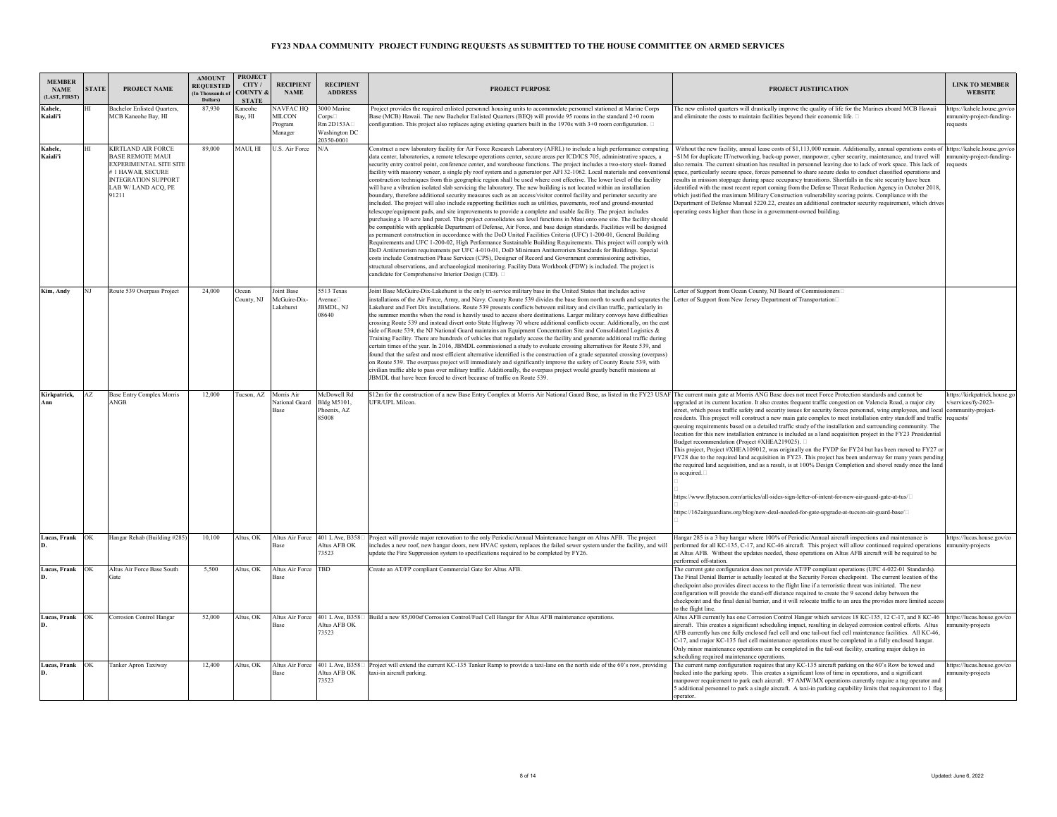| <b>MEMBER</b><br><b>NAME</b><br>(LAST, FIRST) | <b>STATE</b> | PROJECT NAME                                                                                                                                                    | <b>AMOUNT</b><br><b>REQUESTED</b><br>(In Thousands of<br>Dollars) | <b>PROJECT</b><br>CITY.<br>COUNTY<br><b>STATE</b> | <b>RECIPIENT</b><br><b>NAME</b>                    | <b>RECIPIENT</b><br><b>ADDRESS</b>                               | <b>PROJECT PURPOSE</b>                                                                                                                                                                                                                                                                                                                                                                                                                                                                                                                                                                                                                                                                                                                                                                                                                                                                                                                                                                                                                                                                                                                                                                                                                                                                                                                                                                                                                                                                                                                                                                                                                                                                                                                                                                                                                                                                                                                                                                                                                  | PROJECT JUSTIFICATION                                                                                                                                                                                                                                                                                                                                                                                                                                                                                                                                                                                                                                                                                                                                                                                                                                                                                                                                                                                                                                                                                                                                                                                                                               | <b>LINK TO MEMBER</b><br><b>WEBSITE</b>                             |
|-----------------------------------------------|--------------|-----------------------------------------------------------------------------------------------------------------------------------------------------------------|-------------------------------------------------------------------|---------------------------------------------------|----------------------------------------------------|------------------------------------------------------------------|-----------------------------------------------------------------------------------------------------------------------------------------------------------------------------------------------------------------------------------------------------------------------------------------------------------------------------------------------------------------------------------------------------------------------------------------------------------------------------------------------------------------------------------------------------------------------------------------------------------------------------------------------------------------------------------------------------------------------------------------------------------------------------------------------------------------------------------------------------------------------------------------------------------------------------------------------------------------------------------------------------------------------------------------------------------------------------------------------------------------------------------------------------------------------------------------------------------------------------------------------------------------------------------------------------------------------------------------------------------------------------------------------------------------------------------------------------------------------------------------------------------------------------------------------------------------------------------------------------------------------------------------------------------------------------------------------------------------------------------------------------------------------------------------------------------------------------------------------------------------------------------------------------------------------------------------------------------------------------------------------------------------------------------------|-----------------------------------------------------------------------------------------------------------------------------------------------------------------------------------------------------------------------------------------------------------------------------------------------------------------------------------------------------------------------------------------------------------------------------------------------------------------------------------------------------------------------------------------------------------------------------------------------------------------------------------------------------------------------------------------------------------------------------------------------------------------------------------------------------------------------------------------------------------------------------------------------------------------------------------------------------------------------------------------------------------------------------------------------------------------------------------------------------------------------------------------------------------------------------------------------------------------------------------------------------|---------------------------------------------------------------------|
| Kahele.<br>Kaiali'i                           |              | <b>Bachelor Enlisted Quarters,</b><br>MCB Kaneohe Bay, HI                                                                                                       | 87,930                                                            | Kaneohe<br>Bay, HI                                | NAVFAC HQ<br><b>MILCON</b><br>rogram<br>Manager    | 3000 Marine<br>Corps<br>Rm 2D153A<br>Washington DC<br>20350-0001 | Project provides the required enlisted personnel housing units to accommodate personnel stationed at Marine Corps<br>Base (MCB) Hawaii. The new Bachelor Enlisted Ouarters (BEO) will provide 95 rooms in the standard 2+0 room<br>configuration. This project also replaces aging existing quarters built in the 1970s with $3+0$ room configuration. $\Box$                                                                                                                                                                                                                                                                                                                                                                                                                                                                                                                                                                                                                                                                                                                                                                                                                                                                                                                                                                                                                                                                                                                                                                                                                                                                                                                                                                                                                                                                                                                                                                                                                                                                           | The new enlisted quarters will drastically improve the quality of life for the Marines aboard MCB Hawaii<br>and eliminate the costs to maintain facilities beyond their economic life. $\Box$                                                                                                                                                                                                                                                                                                                                                                                                                                                                                                                                                                                                                                                                                                                                                                                                                                                                                                                                                                                                                                                       | https://kahele.house.gov/co<br>nmunity-project-funding-<br>requests |
| Kahele.<br>Kaiali'i                           | HI           | <b>KIRTLAND AIR FORCE</b><br><b>BASE REMOTE MAUI</b><br>EXPERIMENTAL SITE SITE<br>1 HAWAIL SECURE<br><b>INTEGRATION SUPPORT</b><br>LAB W/ LAND ACQ, PE<br>91211 | 89,000                                                            | MAUI, HI                                          | U.S. Air Force                                     | N/A                                                              | Construct a new laboratory facility for Air Force Research Laboratory (AFRL) to include a high performance computing<br>data center, laboratories, a remote telescope operations center, secure areas per ICD/ICS 705, administrative spaces, a<br>security entry control point, conference center, and warehouse functions. The project includes a two-story steel- framed<br>facility with masonry veneer, a single ply roof system and a generator per AFI 32-1062. Local materials and conventional<br>construction techniques from this geographic region shall be used where cost effective. The lower level of the facility<br>will have a vibration isolated slab servicing the laboratory. The new building is not located within an installation<br>boundary, therefore additional security measures such as an access/visitor control facility and perimeter security are<br>included. The project will also include supporting facilities such as utilities, pavements, roof and ground-mounted<br>telescope/equipment pads, and site improvements to provide a complete and usable facility. The project includes<br>purchasing a 10 acre land parcel. This project consolidates sea level functions in Maui onto one site. The facility should<br>be compatible with applicable Department of Defense, Air Force, and base design standards. Facilities will be designed<br>as permanent construction in accordance with the DoD United Facilities Criteria (UFC) 1-200-01, General Building<br>Requirements and UFC 1-200-02, High Performance Sustainable Building Requirements. This project will comply with<br>DoD Antiterrorism requirements per UFC 4-010-01, DoD Minimum Antiterrorism Standards for Buildings. Special<br>costs include Construction Phase Services (CPS), Designer of Record and Government commissioning activities,<br>structural observations, and archaeological monitoring. Facility Data Workbook (FDW) is included. The project is<br>candidate for Comprehensive Interior Design (CID). | Without the new facility, annual lease costs of \$1.113,000 remain. Additionally, annual operations costs of https://kahele.house.gov/c<br>\$1M for duplicate IT/networking, back-up power, manpower, cyber security, maintenance, and travel will<br>also remain. The current situation has resulted in personnel leaving due to lack of work space. This lack of<br>space, particularly secure space, forces personnel to share secure desks to conduct classified operations and<br>results in mission stoppage during space occupancy transitions. Shortfalls in the site security have been<br>identified with the most recent report coming from the Defense Threat Reduction Agency in October 2018.<br>which justified the maximum Military Construction vulnerability scoring points. Compliance with the<br>Department of Defense Manual 5220.22, creates an additional contractor security requirement, which drives<br>operating costs higher than those in a government-owned building.                                                                                                                                                                                                                                                | nmunity-project-funding-<br>requests                                |
| Kim. Andv                                     | NI           | Route 539 Overpass Project                                                                                                                                      | 24,000                                                            | Ocean<br>County, NJ                               | Joint Base<br>McGuire-Dix-<br>Lakehurst            | 5513 Texas<br>Avenue□<br>JBMDL, NJ<br>08640                      | Joint Base McGuire-Dix-Lakehurst is the only tri-service military base in the United States that includes active<br>installations of the Air Force, Army, and Navy. County Route 539 divides the base from north to south and separates the<br>Lakehurst and Fort Dix installations. Route 539 presents conflicts between military and civilian traffic, particularly in<br>the summer months when the road is heavily used to access shore destinations. Larger military convoys have difficulties<br>crossing Route 539 and instead divert onto State Highway 70 where additional conflicts occur. Additionally, on the east<br>side of Route 539, the NJ National Guard maintains an Equipment Concentration Site and Consolidated Logistics &<br>Training Facility. There are hundreds of vehicles that regularly access the facility and generate additional traffic during<br>certain times of the year. In 2016, JBMDL commissioned a study to evaluate crossing alternatives for Route 539, and<br>found that the safest and most efficient alternative identified is the construction of a grade separated crossing (overpass)<br>on Route 539. The overpass project will immediately and significantly improve the safety of County Route 539, with<br>civilian traffic able to pass over military traffic. Additionally, the overpass project would greatly benefit missions at<br>JBMDL that have been forced to divert because of traffic on Route 539.                                                                                                                                                                                                                                                                                                                                                                                                                                                                                                                                                                    | Letter of Support from Ocean County, NJ Board of Commissioners□<br>Letter of Support from New Jersey Department of Transportation                                                                                                                                                                                                                                                                                                                                                                                                                                                                                                                                                                                                                                                                                                                                                                                                                                                                                                                                                                                                                                                                                                                   |                                                                     |
| Kirkpatrick,                                  | AZ           | <b>Base Entry Complex Morris</b><br>ANGB                                                                                                                        | 12,000                                                            | Tucson, AZ                                        | Morris Air<br><b>Vational Guard</b><br><b>Base</b> | McDowell Rd<br>Bldg M5101,<br>Phoenix, AZ<br>85008               | \$12m for the construction of a new Base Entry Complex at Morris Air National Gaurd Base, as listed in the FY23 USAF The current main gate at Morris ANG Base does not meet Force Protection standards and cannot be<br>JFR/UPL Milcon.                                                                                                                                                                                                                                                                                                                                                                                                                                                                                                                                                                                                                                                                                                                                                                                                                                                                                                                                                                                                                                                                                                                                                                                                                                                                                                                                                                                                                                                                                                                                                                                                                                                                                                                                                                                                 | upgraded at its current location. It also creates frequent traffic congestion on Valencia Road, a major city<br>street, which poses traffic safety and security issues for security forces personnel, wing employees, and local community-project-<br>residents. This project will construct a new main gate complex to meet installation entry standoff and traffic requests/<br>queuing requirements based on a detailed traffic study of the installation and surrounding community. The<br>location for this new installation entrance is included as a land acquisition project in the FY23 Presidential<br>Budget recommendation (Project #XHEA219025). □<br>This project, Project #XHEA109012, was originally on the FYDP for FY24 but has been moved to FY27 or<br>FY28 due to the required land acquisition in FY23. This project has been underway for many years pending<br>the required land acquisition, and as a result, is at 100% Design Completion and shovel ready once the land<br>is acquired.<br>https://www.flytucson.com/articles/all-sides-sign-letter-of-intent-for-new-air-guard-gate-at-tus/ $\Box$<br>$\text{https://162airguardians.org/blog/news-deal-neded-for-gate-upgrade-at-tucson-air-guard-based} \textbf{[1]}$ | https://kirkpatrick.house.go<br>v/services/fy-2023-                 |
| Lucas, Frank OK                               |              | Hangar Rehab (Building #285)                                                                                                                                    | 10,100                                                            | Altus, OK                                         | Altus Air Force<br><b>Base</b>                     | 401 L Ave, B358<br>Altus AFB OK<br>73523                         | Project will provide major renovation to the only Periodic/Annual Maintenance hangar on Altus AFB. The project<br>includes a new roof, new hangar doors, new HVAC system, replaces the failed sewer system under the facility, and will<br>update the Fire Suppression system to specifications required to be completed by FY26.                                                                                                                                                                                                                                                                                                                                                                                                                                                                                                                                                                                                                                                                                                                                                                                                                                                                                                                                                                                                                                                                                                                                                                                                                                                                                                                                                                                                                                                                                                                                                                                                                                                                                                       | Hangar 285 is a 3 bay hangar where 100% of Periodic/Annual aircraft inspections and maintenance is<br>performed for all KC-135, C-17, and KC-46 aircraft. This project will allow continued required operations<br>at Altus AFB. Without the updates needed, these operations on Altus AFB aircraft will be required to be<br>performed off-station.                                                                                                                                                                                                                                                                                                                                                                                                                                                                                                                                                                                                                                                                                                                                                                                                                                                                                                | https://lucas.house.gov/co<br>mmunity-projects                      |
| Lucas, Frank                                  | OK           | Altus Air Force Base South<br>Gate                                                                                                                              | 5.500                                                             | Altus, OK                                         | Altus Air Force TBD<br>₹ase                        |                                                                  | Create an AT/FP compliant Commercial Gate for Altus AFB.                                                                                                                                                                                                                                                                                                                                                                                                                                                                                                                                                                                                                                                                                                                                                                                                                                                                                                                                                                                                                                                                                                                                                                                                                                                                                                                                                                                                                                                                                                                                                                                                                                                                                                                                                                                                                                                                                                                                                                                | The current gate configuration does not provide AT/FP compliant operations (UFC 4-022-01 Standards).<br>The Final Denial Barrier is actually located at the Security Forces checkpoint. The current location of the<br>checkpoint also provides direct access to the flight line if a terroristic threat was initiated. The new<br>configuration will provide the stand-off distance required to create the 9 second delay between the<br>checkpoint and the final denial barrier, and it will relocate traffic to an area the provides more limited access<br>to the flight line.                                                                                                                                                                                                                                                                                                                                                                                                                                                                                                                                                                                                                                                                  |                                                                     |
| Lucas, Frank                                  | OK           | <b>Corrosion Control Hangar</b>                                                                                                                                 | 52,000                                                            | Altus, OK                                         | Altus Air Force<br>lase                            | 401 L Ave, B358<br>Altus AFB OK<br>73523                         | Build a new 85,000sf Corrosion Control/Fuel Cell Hangar for Altus AFB maintenance operations.                                                                                                                                                                                                                                                                                                                                                                                                                                                                                                                                                                                                                                                                                                                                                                                                                                                                                                                                                                                                                                                                                                                                                                                                                                                                                                                                                                                                                                                                                                                                                                                                                                                                                                                                                                                                                                                                                                                                           | Altus AFB currently has one Corrosion Control Hangar which services 18 KC-135, 12 C-17, and 8 KC-46<br>aircraft. This creates a significant scheduling impact, resulting in delayed corrosion control efforts. Altus<br>AFB currently has one fully enclosed fuel cell and one tail-out fuel cell maintenance facilities. All KC-46,<br>C-17, and major KC-135 fuel cell maintenance operations must be completed in a fully enclosed hangar.<br>Only minor maintenance operations can be completed in the tail-out facility, creating major delays in<br>scheduling required maintenance operations.                                                                                                                                                                                                                                                                                                                                                                                                                                                                                                                                                                                                                                               | https://lucas.house.gov/co<br>munity-projects                       |
| Lucas, Frank                                  | OK           | Tanker Apron Taxiway                                                                                                                                            | 12,400                                                            | Altus, OK                                         | Altus Air Force<br><b>Base</b>                     | 401 L Ave, B358<br>Altus AFB OK<br>73523                         | Project will extend the current KC-135 Tanker Ramp to provide a taxi-lane on the north side of the 60's row, providing<br>taxi-in aircraft parking.                                                                                                                                                                                                                                                                                                                                                                                                                                                                                                                                                                                                                                                                                                                                                                                                                                                                                                                                                                                                                                                                                                                                                                                                                                                                                                                                                                                                                                                                                                                                                                                                                                                                                                                                                                                                                                                                                     | The current ramp configuration requires that any KC-135 aircraft parking on the 60's Row be towed and<br>backed into the parking spots. This creates a significant loss of time in operations, and a significant<br>manpower requirement to park each aircraft. 97 AMW/MX operations currently require a tug operator and<br>5 additional personnel to park a single aircraft. A taxi-in parking capability limits that requirement to 1 flag<br>operator                                                                                                                                                                                                                                                                                                                                                                                                                                                                                                                                                                                                                                                                                                                                                                                           | https://lucas.house.gov/co<br>mmunity-projects                      |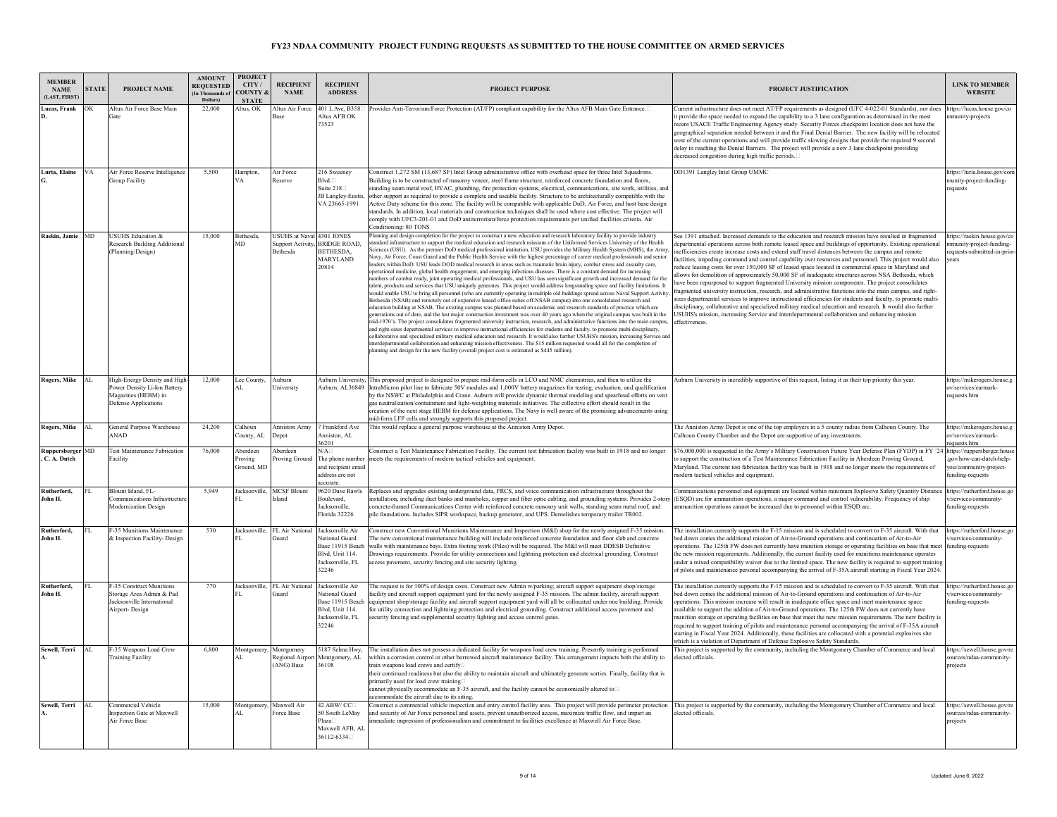| <b>MEMBER</b><br><b>NAME</b><br><b>ILAST. FIRST</b> | <b>STATE</b> | PROJECT NAME                                                                                                        | <b>AMOUNT</b><br><b>REQUESTED</b><br>(In Thousands of<br>Dollars) | <b>PROJECT</b><br>CITY/<br><b>COUNTY &amp;</b><br><b>STATE</b> | <b>RECIPIENT</b><br><b>NAME</b>                          | <b>RECIPIENT</b><br><b>ADDRESS</b>                                                                            | <b>PROJECT PURPOSE</b>                                                                                                                                                                                                                                                                                                                                                                                                                                                                                                                                                                                                                                                                                                                                                                                                                                                                                                                                                                                                                                                                                                                                                                                                                                                                                                                                                                                                                                                                                                                                                                                                                                                                                                                                                                                                                                                                                                                                                                                                                                                                                                                                                                                                                                                               | PROJECT JUSTIFICATION                                                                                                                                                                                                                                                                                                                                                                                                                                                                                                                                                                                                                                                                                                                                                                                                                                                                                                                                                                                                                                                                                                                                                                                                      | <b>LINK TO MEMBER</b><br><b>WEBSITE</b>                                                            |
|-----------------------------------------------------|--------------|---------------------------------------------------------------------------------------------------------------------|-------------------------------------------------------------------|----------------------------------------------------------------|----------------------------------------------------------|---------------------------------------------------------------------------------------------------------------|--------------------------------------------------------------------------------------------------------------------------------------------------------------------------------------------------------------------------------------------------------------------------------------------------------------------------------------------------------------------------------------------------------------------------------------------------------------------------------------------------------------------------------------------------------------------------------------------------------------------------------------------------------------------------------------------------------------------------------------------------------------------------------------------------------------------------------------------------------------------------------------------------------------------------------------------------------------------------------------------------------------------------------------------------------------------------------------------------------------------------------------------------------------------------------------------------------------------------------------------------------------------------------------------------------------------------------------------------------------------------------------------------------------------------------------------------------------------------------------------------------------------------------------------------------------------------------------------------------------------------------------------------------------------------------------------------------------------------------------------------------------------------------------------------------------------------------------------------------------------------------------------------------------------------------------------------------------------------------------------------------------------------------------------------------------------------------------------------------------------------------------------------------------------------------------------------------------------------------------------------------------------------------------|----------------------------------------------------------------------------------------------------------------------------------------------------------------------------------------------------------------------------------------------------------------------------------------------------------------------------------------------------------------------------------------------------------------------------------------------------------------------------------------------------------------------------------------------------------------------------------------------------------------------------------------------------------------------------------------------------------------------------------------------------------------------------------------------------------------------------------------------------------------------------------------------------------------------------------------------------------------------------------------------------------------------------------------------------------------------------------------------------------------------------------------------------------------------------------------------------------------------------|----------------------------------------------------------------------------------------------------|
| Lucas, Frank                                        | ЭK           | <b>Altus Air Force Base Main</b><br><b>Tate</b>                                                                     | 22,000                                                            | Altus, OK                                                      | Altus Air Force<br><b>Base</b>                           | 401 L Ave, B358<br>Altus AFR OK<br>73523                                                                      | Provides Anti-Terrorism/Force Protection (AT/FP) compliant capability for the Altus AFB Main Gate Entrance.                                                                                                                                                                                                                                                                                                                                                                                                                                                                                                                                                                                                                                                                                                                                                                                                                                                                                                                                                                                                                                                                                                                                                                                                                                                                                                                                                                                                                                                                                                                                                                                                                                                                                                                                                                                                                                                                                                                                                                                                                                                                                                                                                                          | Current infrastructure does not meet AT/FP requirements as designed (UFC 4-022-01 Standards), nor does<br>t provide the space needed to expand the capability to a 3 lane configuration as determined in the most<br>ecent USACE Traffic Engineering Agency study. Security Forces checkpoint location does not have the<br>geographical separation needed between it and the Final Denial Barrier. The new facility will be relocated<br>west of the current operations and will provide traffic slowing designs that provide the required 9 second<br>delay in reaching the Denial Barriers. The project will provide a new 3 lane checkpoint providing<br>decreased congestion during high traffic periods.□                                                                                                                                                                                                                                                                                                                                                                                                                                                                                                            | ttps://lucas.house.gov/co<br>nunity-projects                                                       |
| Luria, Elaine                                       | VA           | Air Force Reserve Intelligence<br><b>Group Facility</b>                                                             | 5.500                                                             | Hampton,<br>VΑ                                                 | Air Force<br>Reserve                                     | 216 Sweeney<br>Blvd. <sub>D</sub><br>Suite $218$<br>JB Langley-Eustis<br>VA 23665-1991                        | Construct 1,272 SM (13,687 SF) Intel Group administrative office with overhead space for three Intel Squadrons.<br>Building is to be constructed of masonry veneer, steel frame structure, reinforced concrete foundation and floors,<br>tanding seam metal roof, HVAC, plumbing, fire protection systems, electrical, communications, site work, utilities, and<br>other support as required to provide a complete and useable facility. Structure to be architecturally compatible with the<br>Active Duty scheme for this zone. The facility will be compatible with applicable DoD, Air Force, and host base design<br>tandards. In addition, local materials and construction techniques shall be used where cost effective. The project will<br>omply with UFC3-201-01 and DoD antiterrorism/force protection requirements per unified facilities criteria. Air<br>Conditioning: 80 TONS                                                                                                                                                                                                                                                                                                                                                                                                                                                                                                                                                                                                                                                                                                                                                                                                                                                                                                                                                                                                                                                                                                                                                                                                                                                                                                                                                                                       | DD1391 Langley Intel Group UMMC                                                                                                                                                                                                                                                                                                                                                                                                                                                                                                                                                                                                                                                                                                                                                                                                                                                                                                                                                                                                                                                                                                                                                                                            | https://luria.house.gov/con<br>munity-project-funding-<br>equests                                  |
| Raskin, Jamie                                       | MD           | <b>USUHS Education &amp;</b><br><b>Research Building Additional</b><br>Planning/Design)                             | 15,000                                                            | Bethesda.<br>MD                                                | <b>USUHS at Naval 4301 JONES</b><br><b>Bethesda</b>      | Support Activity, BRIDGE ROAD,<br><b>BETHESDA.</b><br><b>MARYLAND</b><br>20814                                | lanning and design completion for the project to construct a new education and research laboratory facility to provide industry<br>tandard infrastructure to support the medical education and research missions of the Uniformed Services University of the Health<br>Sciences (USU). As the premier DoD medical professional institution, USU provides the Military Health System (MHS), the Army,<br>Navy, Air Force, Coast Guard and the Public Health Service with the highest percentage of career medical professionals and senior<br>eaders within DoD. USU leads DOD medical research in areas such as traumatic brain injury, combat stress and casualty care,<br>operational medicine, global health engagement, and emerging infectious diseases. There is a constant demand for increasing<br>umbers of combat ready, joint operating medical professionals, and USU has seen significant growth and increased demand for the<br>talent, products and services that USU uniquely generates. This project would address longstanding space and facility limitations. It<br>would enable USU to bring all personnel (who are currently operating in multiple old buildings spread across Naval Support Activity,<br>Bethesda (NSAB) and remotely out of expensive leased office suites off-NSAB campus) into one consolidated research and<br>education building at NSAB. The existing campus was planned based on academic and research standards of practice which are<br>generations out of date, and the last major construction investment was over 40 years ago when the original campus was built in the<br>mid-1970's. The project consolidates fragmented university instruction, research, and administrative functions into the main campus<br>and right-sizes departmental services to improve instructional efficiencies for students and faculty, to promote multi-disciplinary,<br>collaborative and specialized military medical education and research. It would also further USUHS's mission, increasing Service and<br>interdepartmental collaboration and enhancing mission effectiveness. The \$15 million requested would all for the completion of<br>anning and design for the new facility (overall project cost is estimated as \$445 million). | See 1391 attached. Increased demands to the education and research mission have resulted in fragmented<br>lepartmental operations across both remote leased space and buildings of opportunity. Existing operational<br>nefficiencies create increase costs and extend staff travel distances between the campus and remote<br>acilities, impeding command and control capability over resources and personnel. This project would also<br>reduce leasing costs for over 150,000 SF of leased space located in commercial space in Maryland and<br>llows for demolition of approximately 50,000 SF of inadequate structures across NSA Bethesda, which<br>ave been repurposed to support fragmented University mission components. The project consolidates<br>ragmented university instruction, research, and administrative functions into the main campus, and right-<br>sizes departmental services to improve instructional efficiencies for students and faculty, to promote multi-<br>disciplinary, collaborative and specialized military medical education and research. It would also further<br>USUHS's mission, increasing Service and interdepartmental collaboration and enhancing mission<br>effectiveness. | https://raskin.house.gov/co<br>nunity-project-funding-<br>equests-submitted-in-prior<br>ears       |
| Rogers, Mike                                        | AI.          | High-Energy Density and High-<br>Power Density Li-Ion Battery<br>Magazines (HEBM) in<br><b>Defense Applications</b> | 12,000                                                            | Lee County,<br>AL.                                             | Auburn<br>University                                     | Auburn, AL36849                                                                                               | Auburn University, This proposed project is designed to prepare mid-form cells in LCO and NMC chemistries, and then to utilize the<br>IntraMicron pilot line to fabricate 50V modules and 1,000V battery magazines for testing, evaluation, and qualification<br>by the NSWC at Philadelphia and Crane. Auburn will provide dynamic thermal modeling and spearhead efforts on vent<br>gas neutralization/containment and light-weighting materials initiatives. The collective effort should result in the<br>creation of the next stage HEBM for defense applications. The Navy is well aware of the promising advancements using<br>nid-form LFP cells and strongly supports this proposed project.                                                                                                                                                                                                                                                                                                                                                                                                                                                                                                                                                                                                                                                                                                                                                                                                                                                                                                                                                                                                                                                                                                                                                                                                                                                                                                                                                                                                                                                                                                                                                                                | Auburn University is incredibly supportive of this request, listing it as their top priority this year.                                                                                                                                                                                                                                                                                                                                                                                                                                                                                                                                                                                                                                                                                                                                                                                                                                                                                                                                                                                                                                                                                                                    | https://mikerogers.house.g<br>ov/services/earmark-<br>requests.htm                                 |
| Rogers, Mike                                        | AL.          | General Purpose Warehouse<br><b>ANAD</b>                                                                            | 24,200                                                            | Calhoun<br>ounty. AI                                           | <b>Anniston Army</b><br><b>Depot</b>                     | 7 Frankford Ave<br>Anniston, AL<br>6201                                                                       | This would replace a general purpose warehouse at the Anniston Army Depot.                                                                                                                                                                                                                                                                                                                                                                                                                                                                                                                                                                                                                                                                                                                                                                                                                                                                                                                                                                                                                                                                                                                                                                                                                                                                                                                                                                                                                                                                                                                                                                                                                                                                                                                                                                                                                                                                                                                                                                                                                                                                                                                                                                                                           | The Anniston Army Depot is one of the top employers in a 5 county radius from Calhoun County. The<br>Calhoun County Chamber and the Depot are supportive of any investments                                                                                                                                                                                                                                                                                                                                                                                                                                                                                                                                                                                                                                                                                                                                                                                                                                                                                                                                                                                                                                                | https://mikerogers.house.g<br>w/services/earmark-<br>requests.htm                                  |
| Ruppersberger MD<br>C. A. Dutch                     |              | <b>Test Maintenance Fabrication</b><br>Facility                                                                     | 76.000                                                            | Aberdeen<br>roving<br>Ground, MD                               | Aberdeen<br>roving Ground                                | $\nabla A$<br>The phone number<br>and recipient emai<br>address are not<br>ccurate.                           | Construct a Test Maintenance Fabrication Facility. The current test fabrication facility was built in 1918 and no longer<br>meets the requirements of modern tactical vehicles and equipment.                                                                                                                                                                                                                                                                                                                                                                                                                                                                                                                                                                                                                                                                                                                                                                                                                                                                                                                                                                                                                                                                                                                                                                                                                                                                                                                                                                                                                                                                                                                                                                                                                                                                                                                                                                                                                                                                                                                                                                                                                                                                                        | \$76,000,000 is requested in the Army's Military Construction Future Year Defense Plan (FYDP) in FY '24<br>o support the construction of a Test Maintenance Fabrication Facility in Aberdeen Proving Ground,<br>Maryland. The current test fabrication facility was built in 1918 and no longer meets the requirements of<br>nodern tactical vehicles and equipment.                                                                                                                                                                                                                                                                                                                                                                                                                                                                                                                                                                                                                                                                                                                                                                                                                                                       | https://ruppersberger.house<br>gov/how-can-dutch-help-<br>ou/community-project-<br>inding-requests |
| Rutherford.<br>John H.                              | FT.          | Blount Island, FL-<br>Communications Infrastructur<br>Modernization Design                                          | 5.949                                                             | Jacksonville.                                                  | <b>MCSF Blount</b><br>sland                              | 9620 Dave Rawls<br>Boulevard,<br>Jacksonville,<br>Florida 32226                                               | Replaces and upgrades existing underground data, FRCS, and voice communication infrastructure throughout the<br>istallation, including duct banks and manholes, copper and fiber optic cabling, and grounding systems. Provides 2-story<br>oncrete-framed Communications Center with reinforced concrete masonry unit walls, standing seam metal roof, and<br>pile foundations. Includes SIPR workspace, backup generator, and UPS. Demolishes temporary trailer TR002.                                                                                                                                                                                                                                                                                                                                                                                                                                                                                                                                                                                                                                                                                                                                                                                                                                                                                                                                                                                                                                                                                                                                                                                                                                                                                                                                                                                                                                                                                                                                                                                                                                                                                                                                                                                                              | Communications personnel and equipment are located within minimum Explosive Safety Quantity Distance<br>(ESQD) arc for ammunition operations, a major command and control vulnerability. Frequency of ship<br>mmunition operations cannot be increased due to personnel within ESQD arc.                                                                                                                                                                                                                                                                                                                                                                                                                                                                                                                                                                                                                                                                                                                                                                                                                                                                                                                                   | nttps://rutherford.house.go<br>services/community-<br>unding-requests                              |
| Rutherford,<br>John H.                              |              | F-35 Munitions Maintenance<br>& Inspection Facility- Design                                                         | 530                                                               |                                                                | Jacksonville, FL Air National Jacksonville Air<br>hiard  | National Guard<br>Base 11915 Beach<br>Blyd, Unit 114.<br>Jacksonville, FL<br>32246                            | Construct new Conventional Munitions Maintenance and Inspection (M&I) shop for the newly assigned F-35 mission.<br>The new conventional maintenance building will include reinforced concrete foundation and floor slab and concrete<br>walls with maintenance bays. Extra footing work (Piles) will be required. The M&I will meet DDESB Definitive<br>Drawings requirements. Provide for utility connections and lightning protection and electrical grounding. Construct<br>ccess pavement, security fencing and site security lighting.                                                                                                                                                                                                                                                                                                                                                                                                                                                                                                                                                                                                                                                                                                                                                                                                                                                                                                                                                                                                                                                                                                                                                                                                                                                                                                                                                                                                                                                                                                                                                                                                                                                                                                                                          | The installation currently supports the F-15 mission and is scheduled to convert to F-35 aircraft. With that<br>bed down comes the additional mission of Air-to-Ground operations and continuation of Air-to-Air<br>operations. The 125th FW does not currently have munition storage or operating facilities on base that meet<br>the new mission requirements. Additionally, the current facility used for munitions maintenance operates<br>nder a mixed compatibility waiver due to the limited space. The new facility is required to support training<br>of pilots and maintenance personal accompanying the arrival of F-35A aircraft starting in Fiscal Year 2024.                                                                                                                                                                                                                                                                                                                                                                                                                                                                                                                                                 | https://rutherford.house.go<br>/services/community<br>unding-requests                              |
| <b>Rutherford</b><br>John H.                        | FL.          | -35 Construct Munitions<br>Storage Area Admin & Pad<br>Jacksonville International<br><b>Airport-Design</b>          | 770                                                               |                                                                | Jacksonville. FL Air National<br>hiard                   | Jacksonville Air<br><b>National Guard</b><br>Base 11915 Beach<br>Blvd, Unit 114.<br>Jacksonville, FL<br>32246 | The request is for 100% of design costs. Construct new Admin w/parking; aircraft support equipment shop/storage<br>acility and aircraft support equipment yard for the newly assigned F-35 mission. The admin facility, aircraft support<br>equipment shop/storage facility and aircraft support equipment yard will all be collocated under one building. Provide<br>for utility connection and lightning protection and electrical grounding. Construct additional access pavement and<br>security fencing and supplemental security lighting and access control gates.                                                                                                                                                                                                                                                                                                                                                                                                                                                                                                                                                                                                                                                                                                                                                                                                                                                                                                                                                                                                                                                                                                                                                                                                                                                                                                                                                                                                                                                                                                                                                                                                                                                                                                            | The installation currently supports the F-15 mission and is scheduled to convert to F-35 aircraft. With that<br>ed down comes the additional mission of Air-to-Ground operations and continuation of Air-to-Air<br>operations. This mission increase will result in inadequate office space and inert maintenance space<br>available to support the addition of Air-to-Ground operations. The 125th FW does not currently have<br>nunition storage or operating facilities on base that meet the new mission requirements. The new facility is<br>equired to support training of pilots and maintenance personal accompanying the arrival of F-35A aircraft<br>starting in Fiscal Year 2024. Additionally, these facilities are collocated with a potential explosives site<br>which is a violation of Department of Defense Explosive Safety Standards.                                                                                                                                                                                                                                                                                                                                                                   | https://rutherford.house.go<br>/services/community-<br>unding-requests                             |
| Sewell, Terri                                       | AL.          | F-35 Weapons Load Crew<br><b>Training Facility</b>                                                                  | 6.800                                                             | AT.                                                            | Montgomery, Montgomery<br>Regional Airport<br>(ANG) Base | 5187 Selma Hwy,<br>Montgomery, AL<br>36108                                                                    | The installation does not possess a dedicated facility for weapons load crew training. Presently training is performed<br>within a corrosion control or other borrowed aircraft maintenance facility. This arrangement impacts both the ability to<br>rain weapons load crews and certify<br>their continued readiness but also the ability to maintain aircraft and ultimately generate sorties. Finally, facility that is<br>primarily used for load crew training<br>annot physically accommodate an F-35 aircraft, and the facility cannot be economically altered to□<br>ccommodate the aircraft due to its siting.                                                                                                                                                                                                                                                                                                                                                                                                                                                                                                                                                                                                                                                                                                                                                                                                                                                                                                                                                                                                                                                                                                                                                                                                                                                                                                                                                                                                                                                                                                                                                                                                                                                             | This project is supported by the community, including the Montgomery Chamber of Commerce and local<br>elected officials                                                                                                                                                                                                                                                                                                                                                                                                                                                                                                                                                                                                                                                                                                                                                                                                                                                                                                                                                                                                                                                                                                    | https://sewell.house.gov/re<br>ources/ndaa-community-<br>projects                                  |
| Sewell, Terri                                       | AL           | Commercial Vehicle<br>nspection Gate at Maxwell<br>Air Force Base                                                   | 15,000                                                            | AL.                                                            | Montgomery, Maxwell Air<br>Force Base                    | 42 ABW/CC<br>50 South LeMay<br>Plaza <sub>[1]</sub><br>Maxwell AFB, Al<br>36112-6334                          | Construct a commercial vehicle inspection and entry control facility area. This project will provide perimeter protection This project is supported by the community, including the Montgomery Chamber of Commerce and local<br>and security of Air Force personnel and assets, prevent unauthorized access, maximize traffic flow, and impart an<br>nmediate impression of professionalism and commitment to facilities excellence at Maxwell Air Force Base.                                                                                                                                                                                                                                                                                                                                                                                                                                                                                                                                                                                                                                                                                                                                                                                                                                                                                                                                                                                                                                                                                                                                                                                                                                                                                                                                                                                                                                                                                                                                                                                                                                                                                                                                                                                                                       | elected officials                                                                                                                                                                                                                                                                                                                                                                                                                                                                                                                                                                                                                                                                                                                                                                                                                                                                                                                                                                                                                                                                                                                                                                                                          | https://sewell.house.gov/re<br>sources/ndaa-community<br>projects                                  |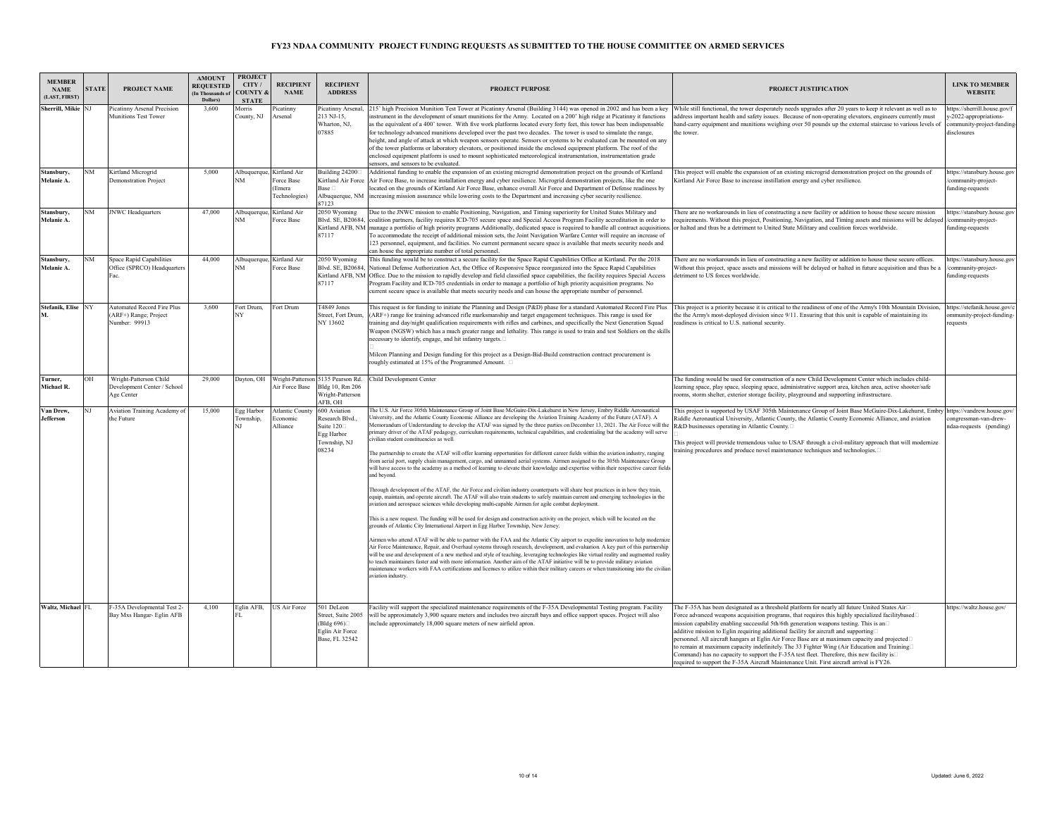| <b>MEMBER</b><br><b>NAME</b><br>(LAST, FIRST) | <b>STATE</b> | PROJECT NAME                                                                | <b>AMOUNT</b><br><b>REOUESTED</b><br>(In Thousands of<br>Dollars) | <b>PROJECT</b><br>CITY/<br><b>COUNTY</b><br><b>STATE</b> | <b>RECIPIENT</b><br><b>NAME</b>                                    | <b>RECIPIENT</b><br><b>ADDRESS</b>                                                      | <b>PROJECT PURPOSE</b>                                                                                                                                                                                                                                                                                                                                                                                                                                                                                                                                                                                                                                                                                                                                                                                                                                                                                                                                                                                                                                                                                                                                                                                                                                                                                                                                                                                                                                                                                                                                                                                                                                                                                                                                                                                                                                                                                                                                                                                                                                                                                                                                                                                                                                                                                                                            | PROJECT JUSTIFICATION                                                                                                                                                                                                                                                                                                                                                                                                                                                                                                                                                                                                                                                                                                                                                           | <b>LINK TO MEMBER</b><br><b>WEBSITE</b>                                                         |
|-----------------------------------------------|--------------|-----------------------------------------------------------------------------|-------------------------------------------------------------------|----------------------------------------------------------|--------------------------------------------------------------------|-----------------------------------------------------------------------------------------|---------------------------------------------------------------------------------------------------------------------------------------------------------------------------------------------------------------------------------------------------------------------------------------------------------------------------------------------------------------------------------------------------------------------------------------------------------------------------------------------------------------------------------------------------------------------------------------------------------------------------------------------------------------------------------------------------------------------------------------------------------------------------------------------------------------------------------------------------------------------------------------------------------------------------------------------------------------------------------------------------------------------------------------------------------------------------------------------------------------------------------------------------------------------------------------------------------------------------------------------------------------------------------------------------------------------------------------------------------------------------------------------------------------------------------------------------------------------------------------------------------------------------------------------------------------------------------------------------------------------------------------------------------------------------------------------------------------------------------------------------------------------------------------------------------------------------------------------------------------------------------------------------------------------------------------------------------------------------------------------------------------------------------------------------------------------------------------------------------------------------------------------------------------------------------------------------------------------------------------------------------------------------------------------------------------------------------------------------|---------------------------------------------------------------------------------------------------------------------------------------------------------------------------------------------------------------------------------------------------------------------------------------------------------------------------------------------------------------------------------------------------------------------------------------------------------------------------------------------------------------------------------------------------------------------------------------------------------------------------------------------------------------------------------------------------------------------------------------------------------------------------------|-------------------------------------------------------------------------------------------------|
| Sherrill, Mikie NJ                            |              | Picatinny Arsenal Precision<br><b>Munitions Test Tower</b>                  | 3.600                                                             | Morris<br>County, NJ                                     | <sup>2</sup> icatinny<br>Arsenal                                   | icatinny Arsenal,<br>213 NJ-15.<br>Wharton, NJ,<br>07885                                | 215' high Precision Munition Test Tower at Picatinny Arsenal (Building 3144) was opened in 2002 and has been a key<br>instrument in the development of smart munitions for the Army. Located on a 200' high ridge at Picatinny it functions<br>as the equivalent of a 400' tower. With five work platforms located every forty feet, this tower has been indispensable<br>for technology advanced munitions developed over the past two decades. The tower is used to simulate the range,<br>height, and angle of attack at which weapon sensors operate. Sensors or systems to be evaluated can be mounted on any<br>of the tower platforms or laboratory elevators, or positioned inside the enclosed equipment platform. The roof of the<br>enclosed equipment platform is used to mount sophisticated meteorological instrumentation, instrumentation grade<br>sensors, and sensors to be evaluated.                                                                                                                                                                                                                                                                                                                                                                                                                                                                                                                                                                                                                                                                                                                                                                                                                                                                                                                                                                                                                                                                                                                                                                                                                                                                                                                                                                                                                                          | While still functional, the tower desperately needs upgrades after 20 years to keep it relevant as well as to<br>address important health and safety issues. Because of non-operating elevators, engineers currently must<br>hand-carry equipment and munitions weighing over 50 pounds up the external staircase to various levels of<br>the tower.                                                                                                                                                                                                                                                                                                                                                                                                                            | ttps://sherrill.house.gov/f<br>-2022-appropriations-<br>ommunity-project-funding<br>disclosures |
| Stansbury.<br>Melanie A.                      | NM           | Kirtland Microgrid<br><b>Demonstration Project</b>                          | 5.000                                                             | NM                                                       | Albuquerque, Kirtland Air<br>Force Base<br>(Emera<br>Technologies) | Building 24200<br>Kirtland Air Force<br>Base <sub>[1]</sub><br>Albuquerque, NM<br>87123 | Additional funding to enable the expansion of an existing microgrid demonstration project on the grounds of Kirtland<br>Air Force Base, to increase installation energy and cyber resilience. Microgrid demonstration projects, like the one<br>ocated on the grounds of Kirtland Air Force Base, enhance overall Air Force and Department of Defense readiness by<br>increasing mission assurance while lowering costs to the Department and increasing cyber security resilience.                                                                                                                                                                                                                                                                                                                                                                                                                                                                                                                                                                                                                                                                                                                                                                                                                                                                                                                                                                                                                                                                                                                                                                                                                                                                                                                                                                                                                                                                                                                                                                                                                                                                                                                                                                                                                                                               | This project will enable the expansion of an existing microgrid demonstration project on the grounds of<br>Kirtland Air Force Base to increase instillation energy and cyber resilience.                                                                                                                                                                                                                                                                                                                                                                                                                                                                                                                                                                                        | https://stansbury.house.gov<br>community-project-<br>funding-requests                           |
| Stansbury.<br>Melanie A.                      | NM           | <b>JNWC</b> Headquarters                                                    | 47,000                                                            | VM                                                       | Albuquerque, Kirtland Air<br>orce Base                             | 2050 Wyoming<br>87117                                                                   | Due to the JNWC mission to enable Positioning, Navigation, and Timing superiority for United States Military and<br>Blvd. SE, B20684, coalition partners, facility requires ICD-705 secure space and Special Access Program Facility accreditation in order to<br>Kirtland AFB, NM manage a portfolio of high priority programs Additionally, dedicated space is required to handle all contract acquisitions<br>To accommodate the receipt of additional mission sets, the Joint Navigation Warfare Center will require an increase of<br>123 personnel, equipment, and facilities. No current permanent secure space is available that meets security needs and<br>can house the appropriate number of total personnel.                                                                                                                                                                                                                                                                                                                                                                                                                                                                                                                                                                                                                                                                                                                                                                                                                                                                                                                                                                                                                                                                                                                                                                                                                                                                                                                                                                                                                                                                                                                                                                                                                         | There are no workarounds in lieu of constructing a new facility or addition to house these secure mission<br>requirements. Without this project, Positioning, Navigation, and Timing assets and missions will be delayed<br>or halted and thus be a detriment to United State Military and coalition forces worldwide.                                                                                                                                                                                                                                                                                                                                                                                                                                                          | https://stansbury.house.gov<br>community-project-<br>funding-requests                           |
| Stansbury.<br>Melanie A.                      | NM           | Space Rapid Capabilities<br>Office (SPRCO) Headquarters<br>ac.              | 44,000                                                            | VM                                                       | Albuquerque, Kirtland Air<br>orce Base                             | 2050 Wyoming<br>87117                                                                   | This funding would be to construct a secure facility for the Space Rapid Capabilities Office at Kirtland. Per the 2018<br>Blvd. SE, B20684, National Defense Authorization Act, the Office of Responsive Space reorganized into the Space Rapid Capabilities<br>Kirtland AFB, NM Office. Due to the mission to rapidly develop and field classified space capabilities, the facility requires Special Access<br>Program Facility and ICD-705 credentials in order to manage a portfolio of high priority acquisition programs. No<br>current secure space is available that meets security needs and can house the appropriate number of personnel.                                                                                                                                                                                                                                                                                                                                                                                                                                                                                                                                                                                                                                                                                                                                                                                                                                                                                                                                                                                                                                                                                                                                                                                                                                                                                                                                                                                                                                                                                                                                                                                                                                                                                               | There are no workarounds in lieu of constructing a new facility or addition to house these secure offices.<br>Without this project, space assets and missions will be delayed or halted in future acquisition and thus be a<br>detriment to US forces worldwide.                                                                                                                                                                                                                                                                                                                                                                                                                                                                                                                | nttps://stansbury.house.go<br>community-project-<br>funding-requests                            |
| <b>Stefanik, Elise</b>                        | NY           | <b>Automated Record Fire Plus</b><br>(ARF+) Range; Project<br>Number: 99913 | 3.600                                                             | Fort Drum.<br>VV                                         | ort Drum                                                           | T4849 Jones<br>Street, Fort Drum<br>NY 13602                                            | This request is for funding to initiate the Planning and Design (P&D) phase for a standard Automated Record Fire Plus<br>(ARF+) range for training advanced rifle marksmanship and target engagement techniques. This range is used for<br>training and day/night qualification requirements with rifles and carbines, and specifically the Next Generation Squad<br>Weapon (NGSW) which has a much greater range and lethality. This range is used to train and test Soldiers on the skills<br>necessary to identify, engage, and hit infantry targets.□<br>Milcon Planning and Design funding for this project as a Design-Bid-Build construction contract procurement is<br>roughly estimated at 15% of the Programmed Amount. $\Box$                                                                                                                                                                                                                                                                                                                                                                                                                                                                                                                                                                                                                                                                                                                                                                                                                                                                                                                                                                                                                                                                                                                                                                                                                                                                                                                                                                                                                                                                                                                                                                                                          | This project is a priority because it is critical to the readiness of one of the Army's 10th Mountain Division,<br>the the Army's most-deployed division since 9/11. Ensuring that this unit is capable of maintaining its<br>readiness is critical to U.S. national security.                                                                                                                                                                                                                                                                                                                                                                                                                                                                                                  | https://stefanik.house.gov/<br>mmunity-project-funding<br>equests                               |
| Turner.<br>Michael R.                         | OH           | Wright-Patterson Child<br>Development Center / School<br>Age Center         | 29,000                                                            | Dayton, OH                                               | Air Force Base                                                     | Wright-Patterson 5135 Pearson Rd.<br>Bldg 10, Rm 206<br>Wright-Patterson<br>AFB, OH     | Child Development Center                                                                                                                                                                                                                                                                                                                                                                                                                                                                                                                                                                                                                                                                                                                                                                                                                                                                                                                                                                                                                                                                                                                                                                                                                                                                                                                                                                                                                                                                                                                                                                                                                                                                                                                                                                                                                                                                                                                                                                                                                                                                                                                                                                                                                                                                                                                          | The funding would be used for construction of a new Child Development Center which includes child-<br>learning space, play space, sleeping space, administrative support area, kitchen area, active shooter/safe<br>ooms, storm shelter, exterior storage facility, playground and supporting infrastructure.                                                                                                                                                                                                                                                                                                                                                                                                                                                                   |                                                                                                 |
| Van Drew.<br><b>Jefferson</b>                 | NT           | Aviation Training Academy of<br>the Future                                  | 15,000                                                            | Egg Harbor<br>Township.                                  | <b>Atlantic County</b><br>conomic<br>Alliance                      | 600 Aviation<br>Research Blvd.<br>Suite $120$<br>Egg Harbor<br>Township, NJ<br>08234    | The U.S. Air Force 305th Maintenance Group of Joint Base McGuire-Dix-Lakehurst in New Jersey, Embry Riddle Aeronautical<br>Jniversity, and the Atlantic County Economic Alliance are developing the Aviation Training Academy of the Future (ATAF). A<br>Memorandum of Understanding to develop the ATAF was signed by the three parties on December 13, 2021. The Air Force will the<br>orimary driver of the ATAF pedagogy, curriculum requirements, technical capabilities, and credentialing but the academy will serve<br>civilian student constituencies as well.<br>The partnership to create the ATAF will offer learning opportunities for different career fields within the aviation industry, ranging<br>from aerial port, supply chain management, cargo, and unmanned aerial systems. Airmen assigned to the 305th Maintenance Group<br>will have access to the academy as a method of learning to elevate their knowledge and expertise within their respective career fields<br>and bevond<br>Through development of the ATAF, the Air Force and civilian industry counterparts will share best practices in in how they train,<br>equip, maintain, and operate aircraft. The ATAF will also train students to safely maintain current and emerging technologies in the<br>aviation and aerospace sciences while developing multi-capable Airmen for agile combat deployment.<br>This is a new request. The funding will be used for design and construction activity on the project, which will be located on the<br>grounds of Atlantic City International Airport in Egg Harbor Township, New Jersey.<br>Airmen who attend ATAF will be able to partner with the FAA and the Atlantic City airport to expedite innovation to help modernize<br>Air Force Maintenance, Repair, and Overhaul systems through research, development, and evaluation. A key part of this partnership<br>will be use and development of a new method and style of teaching, leveraging technologies like virtual reality and augmented reality<br>to teach maintainers faster and with more information. Another aim of the ATAF initiative will be to provide military aviation<br>maintenance workers with FAA certifications and licenses to utilize within their military careers or when transitioning into the civilian<br>aviation industry. | This project is supported by USAF 305th Maintenance Group of Joint Base McGuire-Dix-Lakehurst, Embry<br>Riddle Aeronautical University, Atlantic County, the Atlantic County Economic Alliance, and aviation<br>R&D businesses operating in Atlantic County.<br>This project will provide tremendous value to USAF through a civil-military approach that will modernize<br>raining procedures and produce novel maintenance techniques and technologies.□                                                                                                                                                                                                                                                                                                                      | https://vandrew.house.gov<br>ongressman-van-drew-<br>ndaa-requests (pending)                    |
| Waltz, Michael FL                             |              | F-35A Developmental Test 2-<br>Bay Mxs Hangar- Eglin AFB                    | 4,100                                                             | Eglin AFB,                                               | <b>US Air Force</b>                                                | 501 DeLeon<br>Street, Suite 2005<br>(Bldg 696)□<br>Eglin Air Force<br>Base, FL 32542    | Facility will support the specialized maintenance requirements of the F-35A Developmental Testing program. Facility<br>will be approximately 3,900 square meters and includes two aircraft bays and office support spaces. Project will also<br>include approximately 18,000 square meters of new airfield apron.                                                                                                                                                                                                                                                                                                                                                                                                                                                                                                                                                                                                                                                                                                                                                                                                                                                                                                                                                                                                                                                                                                                                                                                                                                                                                                                                                                                                                                                                                                                                                                                                                                                                                                                                                                                                                                                                                                                                                                                                                                 | The F-35A has been designated as a threshold platform for nearly all future United States Air□<br>Force advanced weapons acquisition programs, that requires this highly specialized facilitybased□<br>mission capability enabling successful 5th/6th generation weapons testing. This is an□<br>additive mission to Eglin requiring additional facility for aircraft and supporting<br>personnel. All aircraft hangars at Eglin Air Force Base are at maximum capacity and projected□<br>to remain at maximum capacity indefinitely. The 33 Fighter Wing (Air Education and Training□<br>Command) has no capacity to support the F-35A test fleet. Therefore, this new facility is<br>required to support the F-35A Aircraft Maintenance Unit. First aircraft arrival is FY26. | https://waltz.house.gov/                                                                        |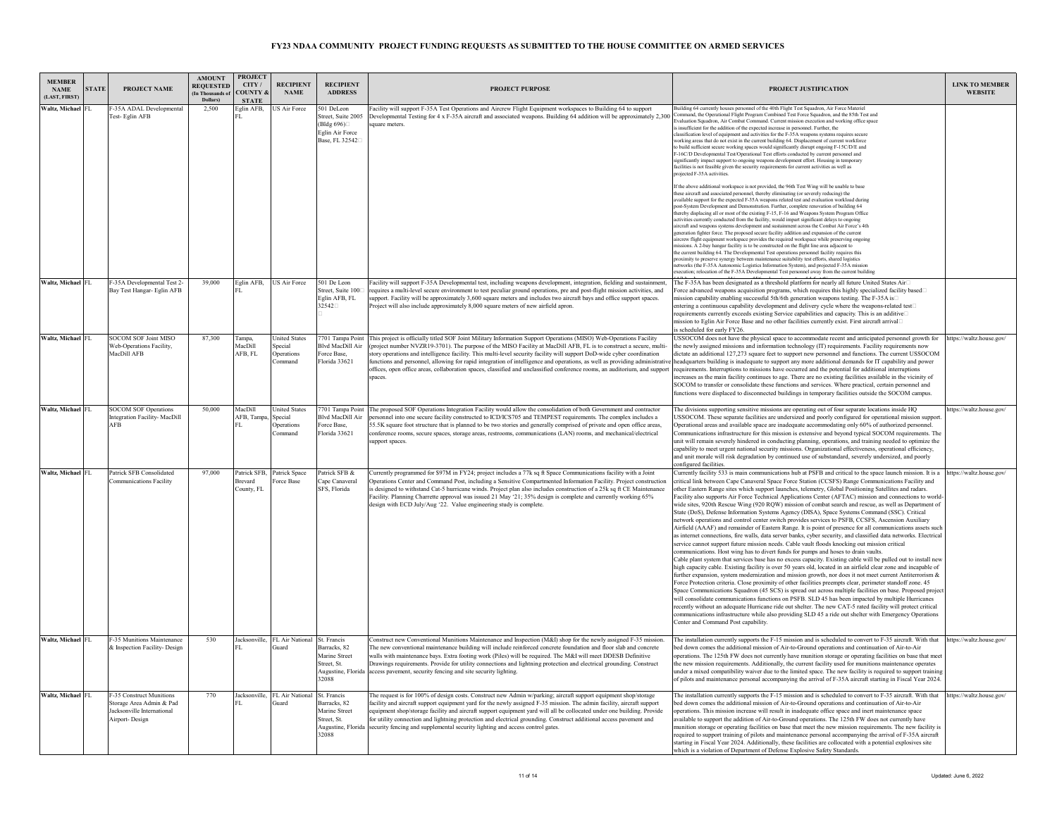| <b>MEMBER</b><br><b>NAME</b><br>LAST, FIRST) | <b>STATE</b> | PROJECT NAME                                                                                         | <b>AMOUNT</b><br><b>REQUESTED</b><br>(In Thousands of<br>Dollars) | <b>PROJECT</b><br>CITY /<br><b>COUNTY &amp;</b><br><b>STATE</b> | <b>RECIPIENT</b><br><b>NAME</b>                                 | <b>RECIPIENT</b><br><b>ADDRESS</b>                                                         | <b>PROJECT PURPOSE</b>                                                                                                                                                                                                                                                                                                                                                                                                                                                                                                                                                                                                                                     | PROJECT JUSTIFICATION                                                                                                                                                                                                                                                                                                                                                                                                                                                                                                                                                                                                                                                                                                                                                                                                                                                                                                                                                                                                                                                                                                                                                                                                                                                                                                                                                                                                                                                                                                                                                                                                                                                                                                                                                                                                                                                                                                                                                                                                                                                                                                                                       | <b>LINK TO MEMBER</b><br><b>WEBSITE</b> |
|----------------------------------------------|--------------|------------------------------------------------------------------------------------------------------|-------------------------------------------------------------------|-----------------------------------------------------------------|-----------------------------------------------------------------|--------------------------------------------------------------------------------------------|------------------------------------------------------------------------------------------------------------------------------------------------------------------------------------------------------------------------------------------------------------------------------------------------------------------------------------------------------------------------------------------------------------------------------------------------------------------------------------------------------------------------------------------------------------------------------------------------------------------------------------------------------------|-------------------------------------------------------------------------------------------------------------------------------------------------------------------------------------------------------------------------------------------------------------------------------------------------------------------------------------------------------------------------------------------------------------------------------------------------------------------------------------------------------------------------------------------------------------------------------------------------------------------------------------------------------------------------------------------------------------------------------------------------------------------------------------------------------------------------------------------------------------------------------------------------------------------------------------------------------------------------------------------------------------------------------------------------------------------------------------------------------------------------------------------------------------------------------------------------------------------------------------------------------------------------------------------------------------------------------------------------------------------------------------------------------------------------------------------------------------------------------------------------------------------------------------------------------------------------------------------------------------------------------------------------------------------------------------------------------------------------------------------------------------------------------------------------------------------------------------------------------------------------------------------------------------------------------------------------------------------------------------------------------------------------------------------------------------------------------------------------------------------------------------------------------------|-----------------------------------------|
| Waltz, Michael FL                            |              | -35A ADAL Developmental<br>Fest-Eglin AFB                                                            | 2,500                                                             | Eglin AFB.<br>FL.                                               | <b>US Air Force</b>                                             | 501 DeLeon<br>Street, Suite 2005<br>(Bldø 696)□<br>Eglin Air Force<br>Base, FL 32542       | Facility will support F-35A Test Operations and Aircrew Flight Equipment workspaces to Building 64 to support<br>Developmental Testing for 4 x F-35A aircraft and associated weapons. Building 64 addition will be approximately 2,300<br>square meters.                                                                                                                                                                                                                                                                                                                                                                                                   | Building 64 currently houses personnel of the 40th Flight Test Squadron, Air Force Materiel<br>mand, the Operational Flight Program Combined Test Force Squadron, and the 85th Test and<br>Evaluation Squadron, Air Combat Command. Current mission execution and working office space<br>s insufficient for the addition of the expected increase in personnel. Further, the<br>lassification level of equipment and activities for the F-35A weapons systems requires secure<br>working areas that do not exist in the current building 64. Displacement of current workforce<br>to build sufficient secure working spaces would significantly disrupt ongoing F-15C/D/E and<br>F-16C/D Developmental Test/Operational Test efforts conducted by current personnel and<br>significantly impact support to ongoing weapons development effort. Housing in temporary<br>facilities is not feasible given the security requirements for current activities as well as<br>rojected F-35A activities                                                                                                                                                                                                                                                                                                                                                                                                                                                                                                                                                                                                                                                                                                                                                                                                                                                                                                                                                                                                                                                                                                                                                           |                                         |
|                                              |              |                                                                                                      |                                                                   |                                                                 |                                                                 |                                                                                            |                                                                                                                                                                                                                                                                                                                                                                                                                                                                                                                                                                                                                                                            | If the above additional workspace is not provided, the 96th Test Wing will be unable to base<br>these aircraft and associated personnel, thereby eliminating (or severely reducing) the<br>available support for the expected F-35A weapons related test and evaluation workload during<br>bost-System Development and Demonstration. Further, complete renovation of building 64<br>hereby displacing all or most of the existing F-15. F-16 and Weapons System Program Office<br>activities currently conducted from the facility, would impart significant delays to ongoing<br>aircraft and weapons systems development and sustainment across the Combat Air Force's 4th<br>eneration fighter force. The proposed secure facility addition and expansion of the current<br>aircrew flight equipment workspace provides the required workspace while preserving ongoing<br>nissions. A 2-bay hangar facility is to be constructed on the flight line area adjacent to<br>the current building 64. The Developmental Test operations personnel facility requires this<br>proximity to preserve synergy between maintenance suitability test efforts, shared logistics<br>networks (the F-35A Autonomic Logistics Information System), and projected F-35A mission<br>xecution; relocation of the F-35A Developmental Test personnel away from the current building                                                                                                                                                                                                                                                                                                                                                                                                                                                                                                                                                                                                                                                                                                                                                                                       |                                         |
| Waltz, Michael FL                            |              | F-35A Developmental Test 2-<br>Bay Test Hangar- Eglin AFB                                            | 39,000                                                            | Eglin AFB,                                                      | <b>US Air Force</b>                                             | 501 De Leon<br>Street, Suite 100<br>Eglin AFB, FL<br>32542                                 | Facility will support F-35A Developmental test, including weapons development, integration, fielding and sustainment,<br>equires a multi-level secure environment to test peculiar ground operations, pre and post-flight mission activities, and<br>support. Facility will be approximately 3,600 square meters and includes two aircraft bays and office support spaces.<br>roject will also include approximately 8,000 square meters of new airfield apron.                                                                                                                                                                                            | The F-35A has been designated as a threshold platform for nearly all future United States Air<br>Force advanced weapons acquisition programs, which requires this highly specialized facility based□<br>mission capability enabling successful 5th/6th generation weapons testing. The F-35A is□<br>entering a continuous capability development and delivery cycle where the weapons-related test⊡<br>requirements currently exceeds existing Service capabilities and capacity. This is an additive□<br>mission to Eglin Air Force Base and no other facilities currently exist. First aircraft arrival<br>is scheduled for early FY26.                                                                                                                                                                                                                                                                                                                                                                                                                                                                                                                                                                                                                                                                                                                                                                                                                                                                                                                                                                                                                                                                                                                                                                                                                                                                                                                                                                                                                                                                                                                   |                                         |
| Waltz, Michael FL                            |              | SOCOM SOF Joint MISO<br>Web-Operations Facility,<br>MacDill AFB                                      | 87.300                                                            | Tampa,<br>MacDill<br>AFB, FL                                    | <b>United States</b><br>Special<br>Operations<br><b>Command</b> | <b>Blvd MacDill Air</b><br>Force Base,<br>Florida 33621                                    | 7701 Tampa Point This project is officially titled SOF Joint Military Information Support Operations (MISO) Web-Operations Facility<br>project number NVZR19-3701). The purpose of the MISO Facility at MacDill AFB, FL is to construct a secure, multi-<br>story operations and intelligence facility. This multi-level security facility will support DoD-wide cyber coordination<br>functions and personnel, allowing for rapid integration of intelligence and operations, as well as providing administrativ<br>offices, open office areas, collaboration spaces, classified and unclassified conference rooms, an auditorium, and support<br>spaces. | USSOCOM does not have the physical space to accommodate recent and anticipated personnel growth for https://waltz.house.gov/<br>the newly assigned missions and information technology (IT) requirements. Facility requirements now<br>dictate an additional 127,273 square feet to support new personnel and functions. The current USSOCOM<br>headquarters building is inadequate to support any more additional demands for IT capability and power<br>requirements. Interruptions to missions have occurred and the potential for additional interruptions<br>increases as the main facility continues to age. There are no existing facilities available in the vicinity of<br>SOCOM to transfer or consolidate these functions and services. Where practical, certain personnel and<br>functions were displaced to disconnected buildings in temporary facilities outside the SOCOM campus.                                                                                                                                                                                                                                                                                                                                                                                                                                                                                                                                                                                                                                                                                                                                                                                                                                                                                                                                                                                                                                                                                                                                                                                                                                                           |                                         |
| Waltz, Michael FL                            |              | <b>SOCOM SOF Operations</b><br><b>Integration Facility- MacDill</b><br>AFB                           | 50.000                                                            | MacDill<br>AFB, Tampa,                                          | <b>Inited States</b><br>Special<br><b>Operations</b><br>Command | 7701 Tampa Point<br>Blvd MacDill Air<br>Force Base,<br>Florida 33621                       | The proposed SOF Operations Integration Facility would allow the consolidation of both Government and contractor<br>bersonnel into one secure facility constructed to ICD/ICS705 and TEMPEST requirements. The complex includes a<br>55.5K square foot structure that is planned to be two stories and generally comprised of private and open office areas,<br>conference rooms, secure spaces, storage areas, restrooms, communications (LAN) rooms, and mechanical/electrical<br>support spaces.                                                                                                                                                        | The divisions supporting sensitive missions are operating out of four separate locations inside HQ<br>USSOCOM. These separate facilities are undersized and poorly configured for operational mission support<br>Operational areas and available space are inadequate accommodating only 60% of authorized personnel.<br>Communications infrastructure for this mission is extensive and beyond typical SOCOM requirements. The<br>unit will remain severely hindered in conducting planning, operations, and training needed to optimize the<br>capability to meet urgent national security missions. Organizational effectiveness, operational efficiency,<br>and unit morale will risk degradation by continued use of substandard, severely undersized, and poorly<br>configured facilities                                                                                                                                                                                                                                                                                                                                                                                                                                                                                                                                                                                                                                                                                                                                                                                                                                                                                                                                                                                                                                                                                                                                                                                                                                                                                                                                                             | https://waltz.house.gov/                |
| Waltz, Michael FL                            |              | Patrick SFB Consolidated<br>Communications Facility                                                  | 97.000                                                            | <b>Brevard</b><br>County, FL                                    | Patrick SFB, Patrick Space<br>Force Base                        | Patrick SFB &<br>Cape Canaveral<br>SFS, Florida                                            | Currently programmed for \$97M in FY24; project includes a 77k sq ft Space Communications facility with a Joint<br>Operations Center and Command Post, including a Sensitive Compartmented Information Facility. Project construction<br>s designed to withstand Cat-5 hurricane winds. Project plan also includes construction of a 25k sq ft CE Maintenance<br>Facility. Planning Charrette approval was issued 21 May '21; 35% design is complete and currently working 65%<br>design with ECD July/Aug '22. Value engineering study is complete.                                                                                                       | Currently facility 533 is main communications hub at PSFB and critical to the space launch mission. It is a https://waltz.house.gov/<br>critical link between Cape Canaveral Space Force Station (CCSFS) Range Communications Facility and<br>other Eastern Range sites which support launches, telemetry, Global Positioning Satellites and radars.<br>Facility also supports Air Force Technical Applications Center (AFTAC) mission and connections to world-<br>wide sites, 920th Rescue Wing (920 RQW) mission of combat search and rescue, as well as Department of<br>State (DoS), Defense Information Systems Agency (DISA), Space Systems Command (SSC). Critical<br>network operations and control center switch provides services to PSFB, CCSFS, Ascension Auxiliary<br>Airfield (AAAF) and remainder of Eastern Range. It is point of presence for all communications assets such<br>as internet connections, fire walls, data server banks, cyber security, and classified data networks. Electrical<br>service cannot support future mission needs. Cable vault floods knocking out mission critical<br>communications. Host wing has to divert funds for pumps and hoses to drain vaults.<br>Cable plant system that services base has no excess capacity. Existing cable will be pulled out to install new<br>high capacity cable. Existing facility is over 50 years old, located in an airfield clear zone and incapable of<br>further expansion, system modernization and mission growth, nor does it not meet current Antiterrorism &<br>Force Protection criteria. Close proximity of other facilities preempts clear, perimeter standoff zone. 45<br>Space Communications Squadron (45 SCS) is spread out across multiple facilities on base. Proposed project<br>will consolidate communications functions on PSFB. SLD 45 has been impacted by multiple Hurricanes<br>recently without an adequate Hurricane ride out shelter. The new CAT-5 rated facility will protect critical<br>communications infrastructure while also providing SLD 45 a ride out shelter with Emergency Operations<br>Center and Command Post capability. |                                         |
| Waltz, Michael FL                            |              | -35 Munitions Maintenance<br>& Inspection Facility- Design                                           | 530                                                               | FL.                                                             | Jacksonville, FL Air National<br>Guard                          | St. Francis<br>Barracks, 82<br>Marine Street<br>Street. St.<br>Augustine, Florida<br>32088 | Construct new Conventional Munitions Maintenance and Inspection (M&I) shop for the newly assigned F-35 mission.<br>The new conventional maintenance building will include reinforced concrete foundation and floor slab and concrete<br>walls with maintenance bays. Extra footing work (Piles) will be required. The M&I will meet DDESB Definitive<br>Drawings requirements. Provide for utility connections and lightning protection and electrical grounding. Construct<br>access pavement, security fencing and site security lighting.                                                                                                               | The installation currently supports the F-15 mission and is scheduled to convert to F-35 aircraft. With that<br>bed down comes the additional mission of Air-to-Ground operations and continuation of Air-to-Air<br>operations. The 125th FW does not currently have munition storage or operating facilities on base that mee<br>the new mission requirements. Additionally, the current facility used for munitions maintenance operates<br>under a mixed compatibility waiver due to the limited space. The new facility is required to support training<br>of pilots and maintenance personal accompanying the arrival of F-35A aircraft starting in Fiscal Year 2024.                                                                                                                                                                                                                                                                                                                                                                                                                                                                                                                                                                                                                                                                                                                                                                                                                                                                                                                                                                                                                                                                                                                                                                                                                                                                                                                                                                                                                                                                                  | https://waltz.house.gov/                |
| Waltz, Michael FL                            |              | F-35 Construct Munitions<br>Storage Area Admin & Pad<br>Jacksonville International<br>Airport-Design | 770                                                               |                                                                 | Jacksonville, FL Air National<br><b>Guard</b>                   | St. Francis<br>Barracks, 82<br>Marine Street<br>Street, St.<br>Augustine, Florida<br>32088 | The request is for 100% of design costs. Construct new Admin w/parking; aircraft support equipment shop/storage<br>facility and aircraft support equipment yard for the newly assigned F-35 mission. The admin facility, aircraft support<br>equipment shop/storage facility and aircraft support equipment yard will all be collocated under one building. Provide<br>for utility connection and lightning protection and electrical grounding. Construct additional access pavement and<br>security fencing and supplemental security lighting and access control gates.                                                                                 | The installation currently supports the F-15 mission and is scheduled to convert to F-35 aircraft. With that<br>bed down comes the additional mission of Air-to-Ground operations and continuation of Air-to-Air<br>operations. This mission increase will result in inadequate office space and inert maintenance space<br>available to support the addition of Air-to-Ground operations. The 125th FW does not currently have<br>unition storage or operating facilities on base that meet the new mission requirements. The new facility is<br>required to support training of pilots and maintenance personal accompanying the arrival of F-35A aircraft<br>starting in Fiscal Year 2024. Additionally, these facilities are collocated with a potential explosives site<br>which is a violation of Department of Defense Explosive Safety Standards.                                                                                                                                                                                                                                                                                                                                                                                                                                                                                                                                                                                                                                                                                                                                                                                                                                                                                                                                                                                                                                                                                                                                                                                                                                                                                                   | https://waltz.house.gov/                |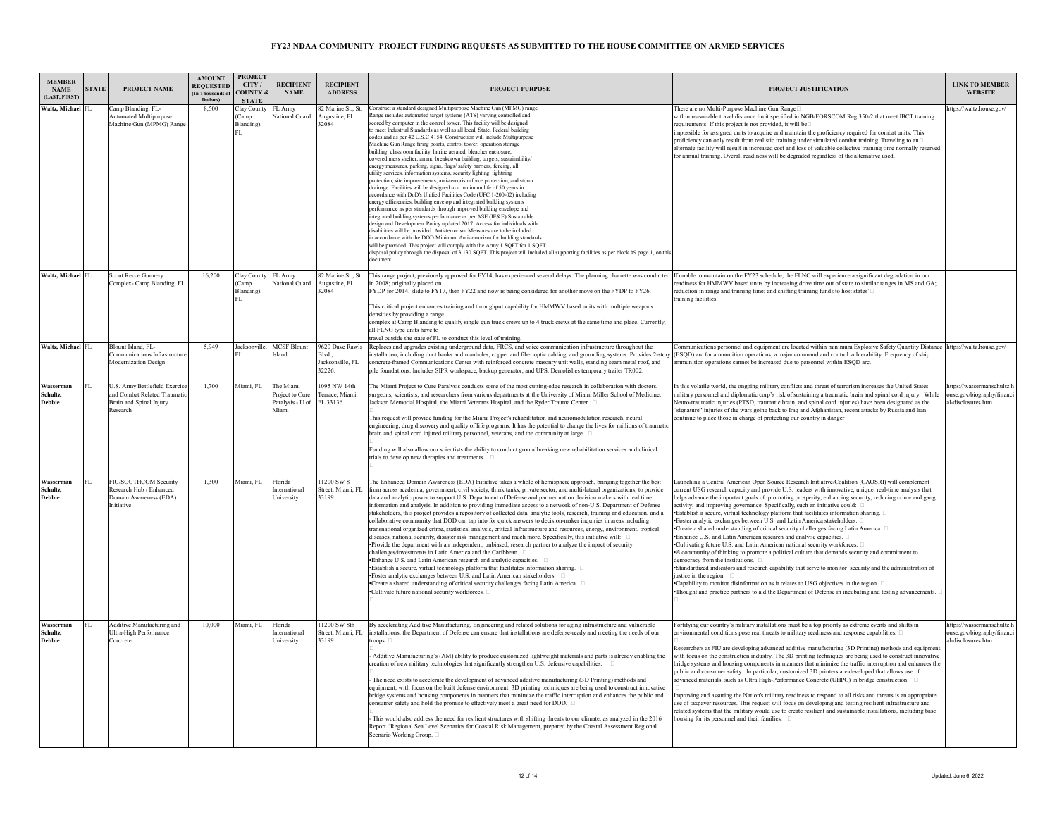| <b>MEMBER</b><br><b>NAME</b><br>LAST, FIRST) | <b>STATE</b> | PROJECT NAME                                                                                           | <b>AMOUNT</b><br><b>REQUESTED</b><br>(In Thousands of<br>Dollars) | <b>PROJECT</b><br>CTTY/<br><b>COUNTY &amp;</b><br><b>STATE</b> | <b>RECIPIENT</b><br><b>NAME</b>                          | <b>RECIPIENT</b><br><b>ADDRESS</b>                     | <b>PROJECT PURPOSE</b>                                                                                                                                                                                                                                                                                                                                                                                                                                                                                                                                                                                                                                                                                                                                                                                                                                                                                                                                                                                                                                                                                                                                                                                                                                                                                                                                                                                                                                                                                                                                                                                                                                                | PROJECT JUSTIFICATION                                                                                                                                                                                                                                                                                                                                                                                                                                                                                                                                                                                                                                                                                                                                                                                                                                                                                                                                                                                                                                                                                                                                                                                                                                                                                                  | <b>LINK TO MEMBER</b><br><b>WEBSITE</b>                                        |
|----------------------------------------------|--------------|--------------------------------------------------------------------------------------------------------|-------------------------------------------------------------------|----------------------------------------------------------------|----------------------------------------------------------|--------------------------------------------------------|-----------------------------------------------------------------------------------------------------------------------------------------------------------------------------------------------------------------------------------------------------------------------------------------------------------------------------------------------------------------------------------------------------------------------------------------------------------------------------------------------------------------------------------------------------------------------------------------------------------------------------------------------------------------------------------------------------------------------------------------------------------------------------------------------------------------------------------------------------------------------------------------------------------------------------------------------------------------------------------------------------------------------------------------------------------------------------------------------------------------------------------------------------------------------------------------------------------------------------------------------------------------------------------------------------------------------------------------------------------------------------------------------------------------------------------------------------------------------------------------------------------------------------------------------------------------------------------------------------------------------------------------------------------------------|------------------------------------------------------------------------------------------------------------------------------------------------------------------------------------------------------------------------------------------------------------------------------------------------------------------------------------------------------------------------------------------------------------------------------------------------------------------------------------------------------------------------------------------------------------------------------------------------------------------------------------------------------------------------------------------------------------------------------------------------------------------------------------------------------------------------------------------------------------------------------------------------------------------------------------------------------------------------------------------------------------------------------------------------------------------------------------------------------------------------------------------------------------------------------------------------------------------------------------------------------------------------------------------------------------------------|--------------------------------------------------------------------------------|
| Waltz, Michael FL                            |              | Camp Blanding, FL-<br><b>Automated Multipurpose</b><br>Machine Gun (MPMG) Range                        | 8,500                                                             | Clay County<br>(Camp<br>Blanding),<br>FL.                      | FL Army<br>National Guard                                | 82 Marine St., St.<br>Augustine, FL<br>32084           | onstruct a standard designed Multipurpose Machine Gun (MPMG) range.<br>ange includes automated target systems (ATS) varying controlled and<br>cored by computer in the control tower. This facility will be designed<br>o meet Industrial Standards as well as all local, State, Federal building<br>odes and as per 42 U.S.C 4154. Construction will include Multipurpose<br>Machine Gun Range firing points, control tower, operation storage<br>puilding, classroom facility, latrine aerated, bleacher enclosure,<br>covered mess shelter, ammo breakdown building, targets, sustainability/<br>energy measures, parking, signs, flags/safety barriers, fencing, all<br>utility services, information systems, security lighting, lightning<br>protection, site improvements, anti-terrorism/force protection, and storm<br>Irainage. Facilities will be designed to a minimum life of 50 years in<br>ccordance with DoD's Unified Facilities Code (UFC 1-200-02) including<br>energy efficiencies, building envelop and integrated building systems<br>erformance as per standards through improved building envelope and<br>integrated building systems performance as per ASE (IE&E) Sustainable<br>lesign and Development Policy updated 2017. Access for individuals with<br>lisabilities will be provided. Anti-terrorism Measures are to be included<br>in accordance with the DOD Minimum Anti-terrorism for building standards<br>will be provided. This project will comply with the Army 1 SQFT for 1 SQFT<br>disposal policy through the disposal of 3,130 SQFT. This project will included all supporting facilities as per block #9 page 1, on this | There are no Multi-Purpose Machine Gun Range<br>within reasonable travel distance limit specified in NGB/FORSCOM Reg 350-2 that meet IBCT training<br>requirements. If this project is not provided, it will be<br>mpossible for assigned units to acquire and maintain the proficiency required for combat units. This<br>proficiency can only result from realistic training under simulated combat training. Traveling to an<br>alternate facility will result in increased cost and loss of valuable collective training time normally reserved<br>for annual training. Overall readiness will be degraded regardless of the alternative used.                                                                                                                                                                                                                                                                                                                                                                                                                                                                                                                                                                                                                                                                     | ittps://waltz.house.gov/                                                       |
| Waltz, Michael FL                            |              | <b>Scout Recce Gunnery</b><br>Complex- Camp Blanding, FL                                               | 16,200                                                            | Clay County<br>Camp<br>Blanding)<br>FL.                        | FL Army<br>National Guard                                | 82 Marine St., St.<br>Augustine, FL<br>32084           | This range project, previously approved for FY14, has experienced several delays. The planning charrette was conducted<br>in 2008: originally placed on<br>FYDP for 2014, slide to FY17, then FY22 and now is being considered for another move on the FYDP to FY26.<br>This critical project enhances training and throughput capability for HMMWV based units with multiple weapons<br>densities by providing a range<br>complex at Camp Blanding to qualify single gun truck crews up to 4 truck crews at the same time and place. Currently,<br>all FLNG type units have to<br>ravel outside the state of FL to conduct this level of training.                                                                                                                                                                                                                                                                                                                                                                                                                                                                                                                                                                                                                                                                                                                                                                                                                                                                                                                                                                                                                   | If unable to maintain on the FY23 schedule, the FLNG will experience a significant degradation in our<br>eadiness for HMMWV based units by increasing drive time out of state to similar ranges in MS and GA;<br>eduction in range and training time; and shifting training funds to host states'<br>raining facilities.                                                                                                                                                                                                                                                                                                                                                                                                                                                                                                                                                                                                                                                                                                                                                                                                                                                                                                                                                                                               |                                                                                |
| Waltz, Michael FL                            |              | Blount Island, FL-<br>Communications Infrastructure<br>Modernization Design                            | 5,949                                                             |                                                                | Jacksonville, MCSF Blount<br><b>Island</b>               | 9620 Dave Rawls<br>Blvd.<br>Jacksonville, FL<br>32226. | Replaces and upgrades existing underground data, FRCS, and voice communication infrastructure throughout the<br>nstallation, including duct banks and manholes, copper and fiber optic cabling, and grounding systems. Provides 2-story<br>oncrete-framed Communications Center with reinforced concrete masonry unit walls, standing seam metal roof, and<br>pile foundations. Includes SIPR workspace, backup generator, and UPS. Demolishes temporary trailer TR002.                                                                                                                                                                                                                                                                                                                                                                                                                                                                                                                                                                                                                                                                                                                                                                                                                                                                                                                                                                                                                                                                                                                                                                                               | Communications personnel and equipment are located within minimum Explosive Safety Quantity Distance https://waltz.house.gov/<br>ESQD) arc for ammunition operations, a major command and control vulnerability. Frequency of ship<br>mmunition operations cannot be increased due to personnel within ESQD arc.                                                                                                                                                                                                                                                                                                                                                                                                                                                                                                                                                                                                                                                                                                                                                                                                                                                                                                                                                                                                       |                                                                                |
| Wasserman<br>Schultz,<br><b>Debbie</b>       |              | U.S. Army Battlefield Exercise<br>and Combat Related Traumation<br>Brain and Spinal Injury<br>Research | 1,700                                                             | Miami, FL                                                      | The Miami<br>roject to Cure<br>Paralysis - U of<br>Miami | 095 NW 14th<br>Ferrace, Miami,<br>FL 33136             | The Miami Project to Cure Paralysis conducts some of the most cutting-edge research in collaboration with doctors,<br>urgeons, scientists, and researchers from various departments at the University of Miami Miller School of Medicine,<br>Jackson Memorial Hospital, the Miami Veterans Hospital, and the Ryder Trauma Center.<br>This request will provide funding for the Miami Project's rehabilitation and neuromodulation research, neural<br>engineering, drug discovery and quality of life programs. It has the potential to change the lives for millions of traumatic<br>brain and spinal cord injured military personnel, veterans, and the community at large. $\Box$<br>Funding will also allow our scientists the ability to conduct groundbreaking new rehabilitation services and clinical<br>trials to develop new therapies and treatments.                                                                                                                                                                                                                                                                                                                                                                                                                                                                                                                                                                                                                                                                                                                                                                                                      | In this volatile world, the ongoing military conflicts and threat of terrorism increases the United States<br>military personnel and diplomatic corp's risk of sustaining a traumatic brain and spinal cord injury. While<br>Veuro-traumatic injuries (PTSD, traumatic brain, and spinal cord injuries) have been designated as the<br>'signature" injuries of the wars going back to Iraq and Afghanistan, recent attacks by Russia and Iran<br>ontinue to place those in charge of protecting our country in danger                                                                                                                                                                                                                                                                                                                                                                                                                                                                                                                                                                                                                                                                                                                                                                                                  | ttps://wassermanschultz.h<br>ouse.gov/biography/financi<br>al-disclosures.htm  |
| Wasserman<br>Schultz.<br><b>Debbie</b>       | FL.          | FIU/SOUTHCOM Security<br>Research Hub / Enhanced<br>Domain Awareness (EDA)<br><b>Initiative</b>        | 1.300                                                             | Miami, FL                                                      | Florida<br>nternationa<br>University                     | 11200 SW 8<br>Street, Miami, FL<br>33199               | The Enhanced Domain Awareness (EDA) Initiative takes a whole of hemisphere approach, bringing together the best<br>rom across academia, government, civil society, think tanks, private sector, and multi-lateral organizations, to provide<br>data and analytic power to support U.S. Department of Defense and partner nation decision makers with real time<br>information and analysis. In addition to providing immediate access to a network of non-U.S. Department of Defense<br>stakeholders, this project provides a repository of collected data, analytic tools, research, training and education, and a<br>collaborative community that DOD can tap into for quick answers to decision-maker inquiries in areas including<br>transnational organized crime, statistical analysis, critical infrastructure and resources, energy, environment, tropical<br>diseases, national security, disaster risk management and much more. Specifically, this initiative will: $\square$<br>·Provide the department with an independent, unbiased, research partner to analyze the impact of security<br>challenges/investments in Latin America and the Caribbean.<br>. Enhance U.S. and Latin American research and analytic capacities. □<br>· Establish a secure, virtual technology platform that facilitates information sharing. □<br>· Foster analytic exchanges between U.S. and Latin American stakeholders.<br>•Create a shared understanding of critical security challenges facing Latin America. [<br>•Cultivate future national security workforces. □                                                                                                 | Launching a Central American Open Source Research Initiative/Coalition (CAOSRI) will complement<br>current USG research capacity and provide U.S. leaders with innovative, unique, real-time analysis that<br>helps advance the important goals of: promoting prosperity; enhancing security; reducing crime and gang<br>activity; and improving governance. Specifically, such an initiative could:<br>• Establish a secure, virtual technology platform that facilitates information sharing. □<br>Foster analytic exchanges between U.S. and Latin America stakeholders.<br>•Create a shared understanding of critical security challenges facing Latin America. $\Box$<br>*Enhance U.S. and Latin American research and analytic capacities. $\square$<br>.Cultivating future U.S. and Latin American national security workforces.<br>A community of thinking to promote a political culture that demands security and commitment to<br>democracy from the institutions. □<br>Standardized indicators and research capability that serve to monitor security and the administration of<br>iustice in the region.<br>Capability to monitor disinformation as it relates to USG objectives in the region.<br>Thought and practice partners to aid the Department of Defense in incubating and testing advancements. |                                                                                |
| Wasserman<br>Schultz.<br><b>Debbie</b>       | FL.          | Additive Manufacturing and<br>Ultra-High Performance<br>Concrete                                       | 10.000                                                            | Miami, FL                                                      | Florida<br>International<br>University                   | 11200 SW 8th<br>Street, Miami, FL<br>33199             | By accelerating Additive Manufacturing, Engineering and related solutions for aging infrastructure and vulnerable<br>installations, the Department of Defense can ensure that installations are defense-ready and meeting the needs of our<br>Additive Manufacturing's (AM) ability to produce customized lightweight materials and parts is already enabling the<br>reation of new military technologies that significantly strengthen U.S. defensive capabilities.<br>The need exists to accelerate the development of advanced additive manufacturing (3D Printing) methods and<br>equipment, with focus on the built defense environment. 3D printing techniques are being used to construct innovative<br>bridge systems and housing components in manners that minimize the traffic interruption and enhances the public and<br>consumer safety and hold the promise to effectively meet a great need for DOD. $\Box$<br>This would also address the need for resilient structures with shifting threats to our climate, as analyzed in the 2016<br>Report "Regional Sea Level Scenarios for Coastal Risk Management, prepared by the Coastal Assessment Regional<br>Scenario Working Group. □                                                                                                                                                                                                                                                                                                                                                                                                                                                                  | Fortifying our country's military installations must be a top priority as extreme events and shifts in<br>environmental conditions pose real threats to military readiness and response capabilities.<br>Researchers at FIU are developing advanced additive manufacturing (3D Printing) methods and equipment<br>with focus on the construction industry. The 3D printing techniques are being used to construct innovative<br>bridge systems and housing components in manners that minimize the traffic interruption and enhances the<br>public and consumer safety. In particular, customized 3D printers are developed that allows use of<br>dvanced materials, such as Ultra High-Performance Concrete (UHPC) in bridge construction.<br>mproving and assuring the Nation's military readiness to respond to all risks and threats is an appropriate<br>use of taxpayer resources. This request will focus on developing and testing resilient infrastructure and<br>elated systems that the military would use to create resilient and sustainable installations, including base<br>ousing for its personnel and their families.                                                                                                                                                                                | nttps://wassermanschultz.h<br>ouse.gov/biography/financi<br>al-disclosures.htm |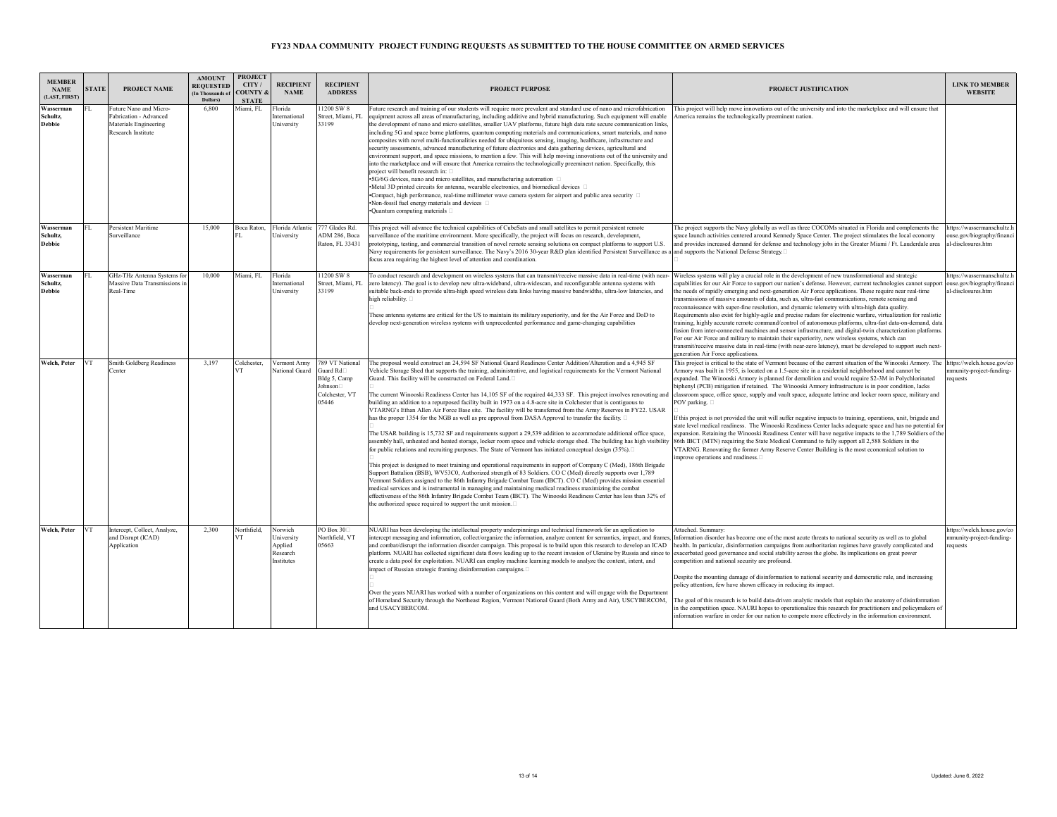| <b>MEMBER</b><br><b>NAME</b><br>(LAST, FIRST) | <b>STATE</b> | PROJECT NAME                                                                                           | <b>AMOUNT</b><br><b>REQUESTED</b><br>(In Thousands of<br>Dollars) | <b>PROJECT</b><br>CITY/<br><b>COUNTY &amp;</b><br><b>STATE</b> | <b>RECIPIENT</b><br><b>NAME</b>                            | <b>RECIPIENT</b><br><b>ADDRESS</b>                                                  | <b>PROJECT PURPOSE</b>                                                                                                                                                                                                                                                                                                                                                                                                                                                                                                                                                                                                                                                                                                                                                                                                                                                                                                                                                                                                                                                                                                                                                                                                                                                                                                                                                                                                                                                                                                                                                                                                                                                                                                                                                                               | PROJECT JUSTIFICATION                                                                                                                                                                                                                                                                                                                                                                                                                                                                                                                                                                                                                                                                                                                                                                                                                                                                                                                                                                                                                                                                                                                                                                 | <b>LINK TO MEMBER</b><br><b>WEBSITE</b>                                       |
|-----------------------------------------------|--------------|--------------------------------------------------------------------------------------------------------|-------------------------------------------------------------------|----------------------------------------------------------------|------------------------------------------------------------|-------------------------------------------------------------------------------------|------------------------------------------------------------------------------------------------------------------------------------------------------------------------------------------------------------------------------------------------------------------------------------------------------------------------------------------------------------------------------------------------------------------------------------------------------------------------------------------------------------------------------------------------------------------------------------------------------------------------------------------------------------------------------------------------------------------------------------------------------------------------------------------------------------------------------------------------------------------------------------------------------------------------------------------------------------------------------------------------------------------------------------------------------------------------------------------------------------------------------------------------------------------------------------------------------------------------------------------------------------------------------------------------------------------------------------------------------------------------------------------------------------------------------------------------------------------------------------------------------------------------------------------------------------------------------------------------------------------------------------------------------------------------------------------------------------------------------------------------------------------------------------------------------|---------------------------------------------------------------------------------------------------------------------------------------------------------------------------------------------------------------------------------------------------------------------------------------------------------------------------------------------------------------------------------------------------------------------------------------------------------------------------------------------------------------------------------------------------------------------------------------------------------------------------------------------------------------------------------------------------------------------------------------------------------------------------------------------------------------------------------------------------------------------------------------------------------------------------------------------------------------------------------------------------------------------------------------------------------------------------------------------------------------------------------------------------------------------------------------|-------------------------------------------------------------------------------|
| Wasserman<br>Schultz,<br><b>Debbie</b>        |              | Future Nano and Micro-<br>Fabrication - Advanced<br><b>Materials Engineering</b><br>Research Institute | 6.800                                                             | Miami, FL                                                      | Florida<br>International<br>University                     | 1200 SW 8<br>Street, Miami, FL<br>33199                                             | Future research and training of our students will require more prevalent and standard use of nano and microfabrication<br>equipment across all areas of manufacturing, including additive and hybrid manufacturing. Such equipment will enable<br>the development of nano and micro satellites, smaller UAV platforms, future high data rate secure communication links,<br>including 5G and space borne platforms, quantum computing materials and communications, smart materials, and nano<br>composites with novel multi-functionalities needed for ubiquitous sensing, imaging, healthcare, infrastructure and<br>security assessments, advanced manufacturing of future electronics and data gathering devices, agricultural and<br>environment support, and space missions, to mention a few. This will help moving innovations out of the university and<br>into the marketplace and will ensure that America remains the technologically preeminent nation. Specifically, this<br>project will benefit research in: $\square$<br>•5G/6G devices, nano and micro satellites, and manufacturing automation □<br>•Metal 3D printed circuits for antenna, wearable electronics, and biomedical devices<br>•Compact, high performance, real-time millimeter wave camera system for airport and public area security □<br>•Non-fossil fuel energy materials and devices □<br>•Quantum computing materials □                                                                                                                                                                                                                                                                                                                                                                                       | This project will help move innovations out of the university and into the marketplace and will ensure that<br>America remains the technologically preeminent nation.                                                                                                                                                                                                                                                                                                                                                                                                                                                                                                                                                                                                                                                                                                                                                                                                                                                                                                                                                                                                                 |                                                                               |
| Wasserman<br>Schultz.<br><b>Debbie</b>        | FL.          | Persistent Maritime<br>Surveillance                                                                    | 15,000                                                            | Boca Raton.                                                    | Florida Atlantic<br>University                             | 777 Glades Rd.<br>ADM 286, Boca<br>Raton, FL 33431                                  | This project will advance the technical capabilities of CubeSats and small satellites to permit persistent remote<br>urveillance of the maritime environment. More specifically, the project will focus on research, development,<br>prototyping, testing, and commercial transition of novel remote sensing solutions on compact platforms to support U.S.<br>Navy requirements for persistent surveillance. The Navy's 2016 30-year R&D plan identified Persistent Surveillance as a and supports the National Defense Strategy. □<br>focus area requiring the highest level of attention and coordination.                                                                                                                                                                                                                                                                                                                                                                                                                                                                                                                                                                                                                                                                                                                                                                                                                                                                                                                                                                                                                                                                                                                                                                                        | The project supports the Navy globally as well as three COCOMs situated in Florida and complements the<br>space launch activities centered around Kennedy Space Center. The project stimulates the local economy<br>and provides increased demand for defense and technology jobs in the Greater Miami / Ft. Lauderdale area                                                                                                                                                                                                                                                                                                                                                                                                                                                                                                                                                                                                                                                                                                                                                                                                                                                          | https://wassermanschultz.l<br>ouse.gov/biography/financ<br>al-disclosures.htm |
| Wasserman<br>Schultz,<br><b>Debbie</b>        | FL.          | GHz-THz Antenna Systems for<br>Massive Data Transmissions in<br>Real-Time                              | 10,000                                                            | Miami, FL                                                      | Florida<br>International<br>University                     | 1200 SW 8<br>Street, Miami, FL<br>33199                                             | To conduct research and development on wireless systems that can transmit/receive massive data in real-time (with near-<br>zero latency). The goal is to develop new ultra-wideband, ultra-widescan, and reconfigurable antenna systems with<br>suitable back-ends to provide ultra-high speed wireless data links having massive bandwidths, ultra-low latencies, and<br>high reliability. [<br>These antenna systems are critical for the US to maintain its military superiority, and for the Air Force and DoD to<br>develop next-generation wireless systems with unprecedented performance and game-changing capabilities                                                                                                                                                                                                                                                                                                                                                                                                                                                                                                                                                                                                                                                                                                                                                                                                                                                                                                                                                                                                                                                                                                                                                                      | Wireless systems will play a crucial role in the development of new transformational and strategic<br>capabilities for our Air Force to support our nation's defense. However, current technologies cannot support<br>the needs of rapidly emerging and next-generation Air Force applications. These require near real-time<br>transmissions of massive amounts of data, such as, ultra-fast communications, remote sensing and<br>reconnaissance with super-fine resolution, and dynamic telemetry with ultra-high data quality.<br>Requirements also exist for highly-agile and precise radars for electronic warfare, virtualization for realistic<br>training, highly accurate remote command/control of autonomous platforms, ultra-fast data-on-demand, data<br>fusion from inter-connected machines and sensor infrastructure, and digital-twin characterization platforms<br>For our Air Force and military to maintain their superiority, new wireless systems, which can<br>transmit/receive massive data in real-time (with near-zero latency), must be developed to support such next-<br>generation Air Force applications.                                             | ittps://wassermanschultz.h<br>ouse.gov/biography/financ<br>al-disclosures.htm |
| Welch, Peter                                  | <b>VT</b>    | Smith Goldberg Readiness<br>Center                                                                     | 3.197                                                             | Colchester,<br>VT                                              | Vermont Army<br>National Guard                             | 789 VT National<br>Guard Rd□<br>Bldg 5, Camp<br>Johnson□<br>Colchester, VT<br>05446 | The proposal would construct an 24,594 SF National Guard Readiness Center Addition/Alteration and a 4,945 SF<br>Vehicle Storage Shed that supports the training, administrative, and logistical requirements for the Vermont National<br>Guard. This facility will be constructed on Federal Land.<br>The current Winooski Readiness Center has 14,105 SF of the required 44,333 SF. This project involves renovating and<br>building an addition to a repurposed facility built in 1973 on a 4.8-acre site in Colchester that is contiguous to<br>VTARNG's Ethan Allen Air Force Base site. The facility will be transferred from the Army Reserves in FY22. USAR<br>has the proper 1354 for the NGB as well as pre approval from DASA Approval to transfer the facility. □<br>The USAR building is 15,732 SF and requirements support a 29,539 addition to accommodate additional office space,<br>ssembly hall, unheated and heated storage, locker room space and vehicle storage shed. The building has high visibility<br>for public relations and recruiting purposes. The State of Vermont has initiated conceptual design (35%).□<br>This project is designed to meet training and operational requirements in support of Company C (Med), 186th Brigade<br>Support Battalion (BSB), WV53C0, Authorized strength of 83 Soldiers. CO C (Med) directly supports over 1,789<br>Vermont Soldiers assigned to the 86th Infantry Brigade Combat Team (IBCT). CO C (Med) provides mission essential<br>medical services and is instrumental in managing and maintaining medical readiness maximizing the combat<br>effectiveness of the 86th Infantry Brigade Combat Team (IBCT). The Winooski Readiness Center has less than 32% of<br>the authorized space required to support the unit mission. | This project is critical to the state of Vermont because of the current situation of the Winooski Armory. The https://welch.house.gov/co<br>Armory was built in 1955, is located on a 1.5-acre site in a residential neighborhood and cannot be<br>expanded. The Winooski Armory is planned for demolition and would require \$2-3M in Polychlorinated<br>biphenyl (PCB) mitigation if retained. The Winooski Armory infrastructure is in poor condition, lacks<br>classroom space, office space, supply and vault space, adequate latrine and locker room space, military and<br>POV parking.<br>If this project is not provided the unit will suffer negative impacts to training, operations, unit, brigade and<br>state level medical readiness. The Winooski Readiness Center lacks adequate space and has no potential for<br>expansion. Retaining the Winooski Readiness Center will have negative impacts to the 1,789 Soldiers of the<br>86th IBCT (MTN) requiring the State Medical Command to fully support all 2,588 Soldiers in the<br>VTARNG. Renovating the former Army Reserve Center Building is the most economical solution to<br>mprove operations and readiness. | umunity-project-funding-<br>equests                                           |
| Welch, Peter                                  | VT           | Intercept, Collect, Analyze,<br>and Disrupt (ICAD)<br>Application                                      | 2.300                                                             | Northfield.<br><b>UT</b>                                       | Norwich<br>University<br>Applied<br>Research<br>Institutes | PO Box 30<br>Northfield, VT<br>05663                                                | NUARI has been developing the intellectual property underpinnings and technical framework for an application to<br>ntercept messaging and information, collect/organize the information, analyze content for semantics, impact, and frames<br>and combat/disrupt the information disorder campaign. This proposal is to build upon this research to develop an ICAD<br>platform. NUARI has collected significant data flows leading up to the recent invasion of Ukraine by Russia and since to exacerbated good governance and social stability across the globe. Its implications on great power<br>create a data pool for exploitation. NUARI can employ machine learning models to analyze the content, intent, and<br>mpact of Russian strategic framing disinformation campaigns.<br>Over the years NUARI has worked with a number of organizations on this content and will engage with the Department<br>of Homeland Security through the Northeast Region, Vermont National Guard (Both Army and Air), USCYBERCOM,<br>and USACYBERCOM.                                                                                                                                                                                                                                                                                                                                                                                                                                                                                                                                                                                                                                                                                                                                                      | Attached. Summary:<br>Information disorder has become one of the most acute threats to national security as well as to global<br>health. In particular, disinformation campaigns from authoritarian regimes have gravely complicated and<br>competition and national security are profound.<br>Despite the mounting damage of disinformation to national security and democratic rule, and increasing<br>policy attention, few have shown efficacy in reducing its impact.<br>The goal of this research is to build data-driven analytic models that explain the anatomy of disinformation<br>in the competition space. NAURI hopes to operationalize this research for practitioners and policymakers of<br>information warfare in order for our nation to compete more effectively in the information environment                                                                                                                                                                                                                                                                                                                                                                   | https://welch.house.gov/co<br>munity-project-funding-<br>equests              |